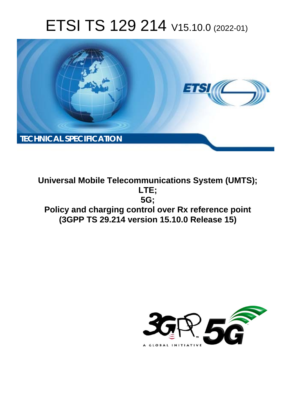# ETSI TS 129 214 V15.10.0 (2022-01)



**Universal Mobile Telecommunications System (UMTS); LTE; 5G; Policy and charging control over Rx reference point (3GPP TS 29.214 version 15.10.0 Release 15)** 

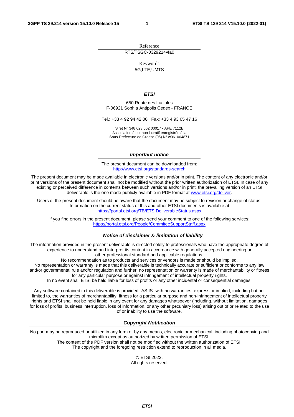Reference RTS/TSGC-0329214vfa0

Keywords 5G,LTE,UMTS

#### *ETSI*

650 Route des Lucioles F-06921 Sophia Antipolis Cedex - FRANCE

Tel.: +33 4 92 94 42 00 Fax: +33 4 93 65 47 16

Siret N° 348 623 562 00017 - APE 7112B Association à but non lucratif enregistrée à la Sous-Préfecture de Grasse (06) N° w061004871

#### *Important notice*

The present document can be downloaded from: <http://www.etsi.org/standards-search>

The present document may be made available in electronic versions and/or in print. The content of any electronic and/or print versions of the present document shall not be modified without the prior written authorization of ETSI. In case of any existing or perceived difference in contents between such versions and/or in print, the prevailing version of an ETSI deliverable is the one made publicly available in PDF format at [www.etsi.org/deliver](http://www.etsi.org/deliver).

Users of the present document should be aware that the document may be subject to revision or change of status. Information on the current status of this and other ETSI documents is available at <https://portal.etsi.org/TB/ETSIDeliverableStatus.aspx>

If you find errors in the present document, please send your comment to one of the following services: <https://portal.etsi.org/People/CommiteeSupportStaff.aspx>

#### *Notice of disclaimer & limitation of liability*

The information provided in the present deliverable is directed solely to professionals who have the appropriate degree of experience to understand and interpret its content in accordance with generally accepted engineering or other professional standard and applicable regulations.

No recommendation as to products and services or vendors is made or should be implied.

No representation or warranty is made that this deliverable is technically accurate or sufficient or conforms to any law and/or governmental rule and/or regulation and further, no representation or warranty is made of merchantability or fitness for any particular purpose or against infringement of intellectual property rights.

In no event shall ETSI be held liable for loss of profits or any other incidental or consequential damages.

Any software contained in this deliverable is provided "AS IS" with no warranties, express or implied, including but not limited to, the warranties of merchantability, fitness for a particular purpose and non-infringement of intellectual property rights and ETSI shall not be held liable in any event for any damages whatsoever (including, without limitation, damages for loss of profits, business interruption, loss of information, or any other pecuniary loss) arising out of or related to the use of or inability to use the software.

#### *Copyright Notification*

No part may be reproduced or utilized in any form or by any means, electronic or mechanical, including photocopying and microfilm except as authorized by written permission of ETSI. The content of the PDF version shall not be modified without the written authorization of ETSI.

The copyright and the foregoing restriction extend to reproduction in all media.

© ETSI 2022. All rights reserved.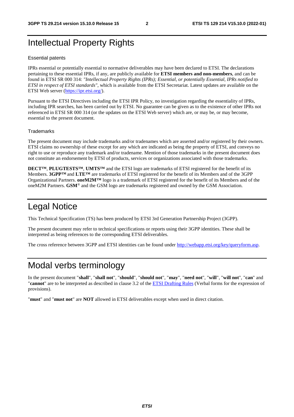# Intellectual Property Rights

#### Essential patents

IPRs essential or potentially essential to normative deliverables may have been declared to ETSI. The declarations pertaining to these essential IPRs, if any, are publicly available for **ETSI members and non-members**, and can be found in ETSI SR 000 314: *"Intellectual Property Rights (IPRs); Essential, or potentially Essential, IPRs notified to ETSI in respect of ETSI standards"*, which is available from the ETSI Secretariat. Latest updates are available on the ETSI Web server [\(https://ipr.etsi.org/](https://ipr.etsi.org/)).

Pursuant to the ETSI Directives including the ETSI IPR Policy, no investigation regarding the essentiality of IPRs, including IPR searches, has been carried out by ETSI. No guarantee can be given as to the existence of other IPRs not referenced in ETSI SR 000 314 (or the updates on the ETSI Web server) which are, or may be, or may become, essential to the present document.

#### **Trademarks**

The present document may include trademarks and/or tradenames which are asserted and/or registered by their owners. ETSI claims no ownership of these except for any which are indicated as being the property of ETSI, and conveys no right to use or reproduce any trademark and/or tradename. Mention of those trademarks in the present document does not constitute an endorsement by ETSI of products, services or organizations associated with those trademarks.

**DECT™**, **PLUGTESTS™**, **UMTS™** and the ETSI logo are trademarks of ETSI registered for the benefit of its Members. **3GPP™** and **LTE™** are trademarks of ETSI registered for the benefit of its Members and of the 3GPP Organizational Partners. **oneM2M™** logo is a trademark of ETSI registered for the benefit of its Members and of the oneM2M Partners. **GSM**® and the GSM logo are trademarks registered and owned by the GSM Association.

# Legal Notice

This Technical Specification (TS) has been produced by ETSI 3rd Generation Partnership Project (3GPP).

The present document may refer to technical specifications or reports using their 3GPP identities. These shall be interpreted as being references to the corresponding ETSI deliverables.

The cross reference between 3GPP and ETSI identities can be found under<http://webapp.etsi.org/key/queryform.asp>.

# Modal verbs terminology

In the present document "**shall**", "**shall not**", "**should**", "**should not**", "**may**", "**need not**", "**will**", "**will not**", "**can**" and "**cannot**" are to be interpreted as described in clause 3.2 of the [ETSI Drafting Rules](https://portal.etsi.org/Services/editHelp!/Howtostart/ETSIDraftingRules.aspx) (Verbal forms for the expression of provisions).

"**must**" and "**must not**" are **NOT** allowed in ETSI deliverables except when used in direct citation.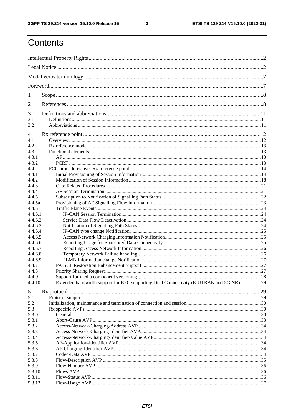$\mathbf{3}$ 

# Contents

| 1               |                                                                                        |  |
|-----------------|----------------------------------------------------------------------------------------|--|
| 2               |                                                                                        |  |
| 3               |                                                                                        |  |
| 3.1             |                                                                                        |  |
| 3.2             |                                                                                        |  |
| 4               |                                                                                        |  |
| 4.1             |                                                                                        |  |
| 4.2             |                                                                                        |  |
| 4.3             |                                                                                        |  |
| 4.3.1           |                                                                                        |  |
| 4.3.2           |                                                                                        |  |
| 4.4             |                                                                                        |  |
| 4.4.1           |                                                                                        |  |
| 4.4.2           |                                                                                        |  |
| 4.4.3           |                                                                                        |  |
| 4.4.4           |                                                                                        |  |
| 4.4.5<br>4.4.5a |                                                                                        |  |
| 4.4.6           |                                                                                        |  |
| 4.4.6.1         |                                                                                        |  |
| 4.4.6.2         |                                                                                        |  |
| 4.4.6.3         |                                                                                        |  |
| 4.4.6.4         |                                                                                        |  |
| 4.4.6.5         |                                                                                        |  |
| 4.4.6.6         |                                                                                        |  |
| 4.4.6.7         |                                                                                        |  |
| 4.4.6.8         |                                                                                        |  |
| 4.4.6.9         |                                                                                        |  |
| 4.4.7           |                                                                                        |  |
| 4.4.8           |                                                                                        |  |
| 4.4.9           |                                                                                        |  |
| 4.4.10          | Extended bandwidth support for EPC supporting Dual Connectivity (E-UTRAN and 5G NR) 29 |  |
| 5               |                                                                                        |  |
| 5.1             |                                                                                        |  |
| 5.2             |                                                                                        |  |
| 5.3             |                                                                                        |  |
| 5.3.0           |                                                                                        |  |
| 5.3.1           |                                                                                        |  |
| 5.3.2           |                                                                                        |  |
| 5.3.3           |                                                                                        |  |
| 5.3.4           |                                                                                        |  |
| 5.3.5           |                                                                                        |  |
| 5.3.6           |                                                                                        |  |
| 5.3.7           |                                                                                        |  |
| 5.3.8           |                                                                                        |  |
| 5.3.9           |                                                                                        |  |
| 5.3.10          |                                                                                        |  |
| 5.3.11          |                                                                                        |  |
| 5.3.12          |                                                                                        |  |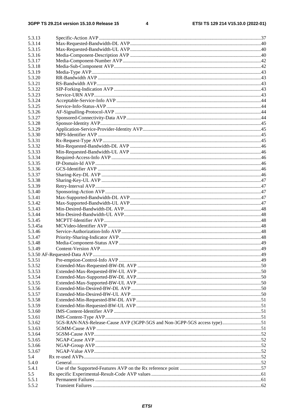$\overline{\mathbf{4}}$ 

| 5.3.13  |  |
|---------|--|
| 5.3.14  |  |
| 5.3.15  |  |
| 5.3.16  |  |
| 5.3.17  |  |
| 5.3.18  |  |
| 5.3.19  |  |
| 5.3.20  |  |
| 5.3.21  |  |
| 5.3.22  |  |
| 5.3.23  |  |
| 5.3.24  |  |
| 5.3.25  |  |
| 5.3.26  |  |
| 5.3.27  |  |
| 5.3.28  |  |
| 5.3.29  |  |
| 5.3.30  |  |
| 5.3.31  |  |
| 5.3.32  |  |
| 5.3.33  |  |
| 5.3.34  |  |
| 5.3.35  |  |
| 5.3.36  |  |
|         |  |
| 5.3.37  |  |
| 5.3.38  |  |
| 5.3.39  |  |
| 5.3.40  |  |
| 5.3.41  |  |
| 5.3.42  |  |
| 5.3.43  |  |
| 5.3.44  |  |
| 5.3.45  |  |
| 5.3.45a |  |
| 5.3.46  |  |
| 5.3.47  |  |
| 5.3.48  |  |
| 5.3.49  |  |
|         |  |
| 5.3.51  |  |
| 5.3.52  |  |
| 5.3.53  |  |
| 5.3.54  |  |
| 5.3.55  |  |
| 5.3.56  |  |
| 5.3.57  |  |
| 5.3.58  |  |
| 5.3.59  |  |
| 5.3.60  |  |
| 5.3.61  |  |
| 5.3.62  |  |
| 5.3.63  |  |
| 5.3.64  |  |
| 5.3.65  |  |
| 5.3.66  |  |
| 5.3.67  |  |
| 5.4     |  |
| 5.4.0   |  |
| 5.4.1   |  |
| 5.5     |  |
| 5.5.1   |  |
| 5.5.2   |  |
|         |  |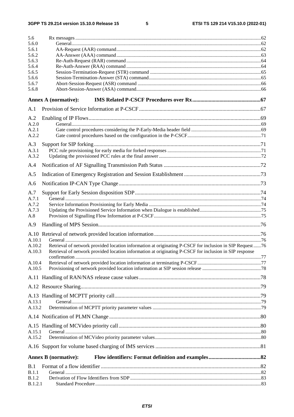$5\phantom{a}$ 

| 5.6<br>5.6.0     |                                                                                                                                                                                                                    |  |
|------------------|--------------------------------------------------------------------------------------------------------------------------------------------------------------------------------------------------------------------|--|
| 5.6.1            |                                                                                                                                                                                                                    |  |
| 5.6.2            |                                                                                                                                                                                                                    |  |
| 5.6.3            |                                                                                                                                                                                                                    |  |
| 5.6.4<br>5.6.5   |                                                                                                                                                                                                                    |  |
| 5.6.6            |                                                                                                                                                                                                                    |  |
| 5.6.7            |                                                                                                                                                                                                                    |  |
| 5.6.8            |                                                                                                                                                                                                                    |  |
|                  | <b>Annex A (normative):</b>                                                                                                                                                                                        |  |
| A.1              |                                                                                                                                                                                                                    |  |
| A.2              |                                                                                                                                                                                                                    |  |
| A.2.0            |                                                                                                                                                                                                                    |  |
| A.2.1            |                                                                                                                                                                                                                    |  |
| A.2.2            |                                                                                                                                                                                                                    |  |
| A.3              |                                                                                                                                                                                                                    |  |
| A.3.1            |                                                                                                                                                                                                                    |  |
| A.3.2            |                                                                                                                                                                                                                    |  |
| A.4              |                                                                                                                                                                                                                    |  |
| A.5              |                                                                                                                                                                                                                    |  |
| A.6              |                                                                                                                                                                                                                    |  |
| A.7              |                                                                                                                                                                                                                    |  |
| A.7.1            |                                                                                                                                                                                                                    |  |
| A.7.2            |                                                                                                                                                                                                                    |  |
| A.7.3            |                                                                                                                                                                                                                    |  |
| A.8              |                                                                                                                                                                                                                    |  |
| A.9              |                                                                                                                                                                                                                    |  |
|                  |                                                                                                                                                                                                                    |  |
| A.10.1           |                                                                                                                                                                                                                    |  |
| A.10.2<br>A.10.3 | Retrieval of network provided location information at originating P-CSCF for inclusion in SIP Request 76<br>Retrieval of network provided location information at originating P-CSCF for inclusion in SIP response |  |
|                  |                                                                                                                                                                                                                    |  |
| A.10.4<br>A.10.5 |                                                                                                                                                                                                                    |  |
|                  |                                                                                                                                                                                                                    |  |
|                  |                                                                                                                                                                                                                    |  |
|                  |                                                                                                                                                                                                                    |  |
|                  |                                                                                                                                                                                                                    |  |
| A.13.1           |                                                                                                                                                                                                                    |  |
| A.13.2           |                                                                                                                                                                                                                    |  |
|                  |                                                                                                                                                                                                                    |  |
|                  |                                                                                                                                                                                                                    |  |
| A.15.1           |                                                                                                                                                                                                                    |  |
| A.15.2           |                                                                                                                                                                                                                    |  |
|                  |                                                                                                                                                                                                                    |  |
|                  | <b>Annex B</b> (normative):                                                                                                                                                                                        |  |
| B.1              |                                                                                                                                                                                                                    |  |
| B.1.1            |                                                                                                                                                                                                                    |  |
| <b>B.1.2</b>     |                                                                                                                                                                                                                    |  |
| <b>B.1.2.1</b>   |                                                                                                                                                                                                                    |  |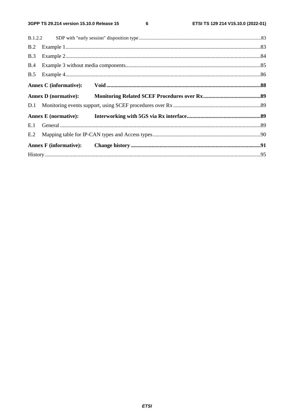$\bf 6$ 

| B.2 |  |  |  |  |  |  |
|-----|--|--|--|--|--|--|
| B.3 |  |  |  |  |  |  |
|     |  |  |  |  |  |  |
|     |  |  |  |  |  |  |
|     |  |  |  |  |  |  |
|     |  |  |  |  |  |  |
|     |  |  |  |  |  |  |
|     |  |  |  |  |  |  |
|     |  |  |  |  |  |  |
|     |  |  |  |  |  |  |
|     |  |  |  |  |  |  |
|     |  |  |  |  |  |  |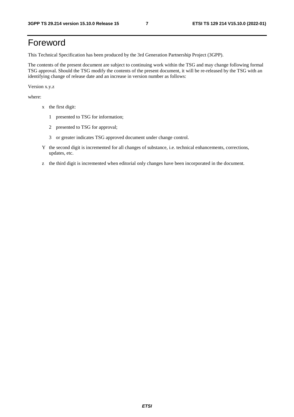# Foreword

This Technical Specification has been produced by the 3rd Generation Partnership Project (3GPP).

The contents of the present document are subject to continuing work within the TSG and may change following formal TSG approval. Should the TSG modify the contents of the present document, it will be re-released by the TSG with an identifying change of release date and an increase in version number as follows:

Version x.y.z

where:

- x the first digit:
	- 1 presented to TSG for information;
	- 2 presented to TSG for approval;
	- 3 or greater indicates TSG approved document under change control.
- Y the second digit is incremented for all changes of substance, i.e. technical enhancements, corrections, updates, etc.
- z the third digit is incremented when editorial only changes have been incorporated in the document.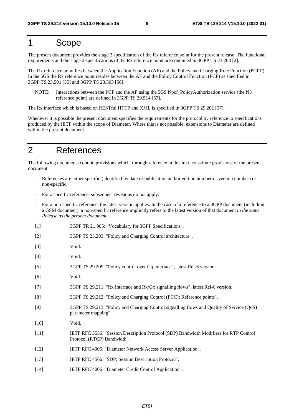# 1 Scope

The present document provides the stage 3 specification of the Rx reference point for the present release. The functional requirements and the stage 2 specifications of the Rx reference point are contained in 3GPP TS 23.203 [2].

The Rx reference point lies between the Application Function (AF) and the Policy and Charging Rule Function (PCRF). In the 5GS the Rx reference point resides between the AF and the Policy Control Function (PCF) as specified in 3GPP TS 23.501 [55] and 3GPP TS 23.503 [56].

NOTE: Interactions between the PCF and the AF using the 5GS Npcf\_PolicyAuthorization service (the N5 reference point) are defined in 3GPP TS 29.514 [57].

The Rx interface which is based on RESTful HTTP and XML is specified in 3GPP TS 29.201 [37].

Whenever it is possible the present document specifies the requirements for the protocol by reference to specifications produced by the IETF within the scope of Diameter. Where this is not possible, extensions to Diameter are defined within the present document.

# 2 References

The following documents contain provisions which, through reference in this text, constitute provisions of the present document.

- References are either specific (identified by date of publication and/or edition number or version number) or non-specific.
- For a specific reference, subsequent revisions do not apply.
- For a non-specific reference, the latest version applies. In the case of a reference to a 3GPP document (including a GSM document), a non-specific reference implicitly refers to the latest version of that document *in the same Release as the present document*.
- [1] 3GPP TR 21.905: "Vocabulary for 3GPP Specifications".
- [2] 3GPP TS 23.203: "Policy and Charging Control architecture".
- [3] Void.
- [4] Void.
- [5] 3GPP TS 29.209: "Policy control over Gq interface", latest Rel-6 version.
- [6] Void.
- [7] 3GPP TS 29.211: "Rx Interface and Rx/Gx signalling flows", latest Rel-6 version.
- [8] 3GPP TS 29.212: "Policy and Charging Control (PCC); Reference points".
- [9] 3GPP TS 29.213: "Policy and Charging Control signalling flows and Quality of Service (QoS) parameter mapping".
- [10] **Void.**
- [11] IETF RFC 3556: "Session Description Protocol (SDP) Bandwidth Modifiers for RTP Control Protocol (RTCP) Bandwidth".
- [12] IETF RFC 4005: "Diameter Network Access Server Application".
- [13] IETF RFC 4566: "SDP: Session Description Protocol".
- [14] IETF RFC 4006: "Diameter Credit Control Application".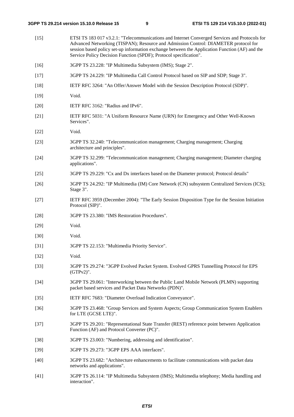| $[15]$ | ETSI TS 183 017 v3.2.1: "Telecommunications and Internet Converged Services and Protocols for<br>Advanced Networking (TISPAN); Resource and Admission Control: DIAMETER protocol for<br>session based policy set-up information exchange between the Application Function (AF) and the<br>Service Policy Decision Function (SPDF); Protocol specification". |
|--------|-------------------------------------------------------------------------------------------------------------------------------------------------------------------------------------------------------------------------------------------------------------------------------------------------------------------------------------------------------------|
| $[16]$ | 3GPP TS 23.228: "IP Multimedia Subsystem (IMS); Stage 2".                                                                                                                                                                                                                                                                                                   |
| $[17]$ | 3GPP TS 24.229: "IP Multimedia Call Control Protocol based on SIP and SDP; Stage 3".                                                                                                                                                                                                                                                                        |
| $[18]$ | IETF RFC 3264: "An Offer/Answer Model with the Session Description Protocol (SDP)".                                                                                                                                                                                                                                                                         |
| $[19]$ | Void.                                                                                                                                                                                                                                                                                                                                                       |
| $[20]$ | IETF RFC 3162: "Radius and IPv6".                                                                                                                                                                                                                                                                                                                           |
| $[21]$ | IETF RFC 5031: "A Uniform Resource Name (URN) for Emergency and Other Well-Known<br>Services".                                                                                                                                                                                                                                                              |
| $[22]$ | Void.                                                                                                                                                                                                                                                                                                                                                       |
| $[23]$ | 3GPP TS 32.240: "Telecommunication management; Charging management; Charging<br>architecture and principles".                                                                                                                                                                                                                                               |
| $[24]$ | 3GPP TS 32.299: "Telecommunication management; Charging management; Diameter charging<br>applications".                                                                                                                                                                                                                                                     |
| $[25]$ | 3GPP TS 29.229: "Cx and Dx interfaces based on the Diameter protocol; Protocol details"                                                                                                                                                                                                                                                                     |
| $[26]$ | 3GPP TS 24.292: "IP Multimedia (IM) Core Network (CN) subsystem Centralized Services (ICS);<br>Stage 3".                                                                                                                                                                                                                                                    |
| $[27]$ | IETF RFC 3959 (December 2004): "The Early Session Disposition Type for the Session Initiation<br>Protocol (SIP)".                                                                                                                                                                                                                                           |
| $[28]$ | 3GPP TS 23.380: "IMS Restoration Procedures".                                                                                                                                                                                                                                                                                                               |
| $[29]$ | Void.                                                                                                                                                                                                                                                                                                                                                       |
| $[30]$ | Void.                                                                                                                                                                                                                                                                                                                                                       |
| $[31]$ | 3GPP TS 22.153: "Multimedia Priority Service".                                                                                                                                                                                                                                                                                                              |
| $[32]$ | Void.                                                                                                                                                                                                                                                                                                                                                       |
| $[33]$ | 3GPP TS 29.274: "3GPP Evolved Packet System. Evolved GPRS Tunnelling Protocol for EPS<br>$(GTPv2)$ ".                                                                                                                                                                                                                                                       |
| $[34]$ | 3GPP TS 29.061: "Interworking between the Public Land Mobile Network (PLMN) supporting<br>packet based services and Packet Data Networks (PDN)".                                                                                                                                                                                                            |
| $[35]$ | IETF RFC 7683: "Diameter Overload Indication Conveyance".                                                                                                                                                                                                                                                                                                   |
| $[36]$ | 3GPP TS 23.468: "Group Services and System Aspects; Group Communication System Enablers<br>for LTE (GCSE LTE)".                                                                                                                                                                                                                                             |
| $[37]$ | 3GPP TS 29.201: "Representational State Transfer (REST) reference point between Application<br>Function (AF) and Protocol Converter (PC)".                                                                                                                                                                                                                  |
| $[38]$ | 3GPP TS 23.003: "Numbering, addressing and identification".                                                                                                                                                                                                                                                                                                 |
| $[39]$ | 3GPP TS 29.273: "3GPP EPS AAA interfaces".                                                                                                                                                                                                                                                                                                                  |
| $[40]$ | 3GPP TS 23.682: "Architecture enhancements to facilitate communications with packet data<br>networks and applications".                                                                                                                                                                                                                                     |
| $[41]$ | 3GPP TS 26.114: "IP Multimedia Subsystem (IMS); Multimedia telephony; Media handling and<br>interaction".                                                                                                                                                                                                                                                   |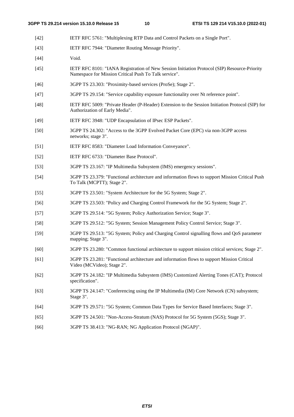- [42] IETF RFC 5761: "Multiplexing RTP Data and Control Packets on a Single Port".
- [43] IETF RFC 7944: "Diameter Routing Message Priority".
- [44] **Void.**
- [45] IETF RFC 8101: "IANA Registration of New Session Initiation Protocol (SIP) Resource-Priority Namespace for Mission Critical Push To Talk service".
- [46] 3GPP TS 23.303: "Proximity-based services (ProSe); Stage 2".
- [47] 3GPP TS 29.154: "Service capability exposure functionality over Nt reference point".
- [48] IETF RFC 5009: "Private Header (P-Header) Extension to the Session Initiation Protocol (SIP) for Authorization of Early Media".
- [49] IETF RFC 3948: "UDP Encapsulation of IPsec ESP Packets".
- [50] 3GPP TS 24.302: "Access to the 3GPP Evolved Packet Core (EPC) via non-3GPP access networks; stage 3".
- [51] IETF RFC 8583: "Diameter Load Information Conveyance".
- [52] IETF RFC 6733: "Diameter Base Protocol".
- [53] 3GPP TS 23.167: "IP Multimedia Subsystem (IMS) emergency sessions".
- [54] 3GPP TS 23.379: "Functional architecture and information flows to support Mission Critical Push To Talk (MCPTT); Stage 2".
- [55] 3GPP TS 23.501: "System Architecture for the 5G System; Stage 2".
- [56] 3GPP TS 23.503: "Policy and Charging Control Framework for the 5G System; Stage 2".
- [57] 3GPP TS 29.514: "5G System; Policy Authorization Service; Stage 3".
- [58] 3GPP TS 29.512: "5G System; Session Management Policy Control Service; Stage 3".
- [59] 3GPP TS 29.513: "5G System; Policy and Charging Control signalling flows and QoS parameter mapping; Stage 3".
- [60] 3GPP TS 23.280: "Common functional architecture to support mission critical services; Stage 2".
- [61] 3GPP TS 23.281: "Functional architecture and information flows to support Mission Critical Video (MCVideo); Stage 2".
- [62] 3GPP TS 24.182: "IP Multimedia Subsystem (IMS) Customized Alerting Tones (CAT); Protocol specification".
- [63] 3GPP TS 24.147: "Conferencing using the IP Multimedia (IM) Core Network (CN) subsystem; Stage 3".
- [64] 3GPP TS 29.571: "5G System; Common Data Types for Service Based Interfaces; Stage 3".
- [65] 3GPP TS 24.501: "Non-Access-Stratum (NAS) Protocol for 5G System (5GS); Stage 3".
- [66] 3GPP TS 38.413: "NG-RAN; NG Application Protocol (NGAP)".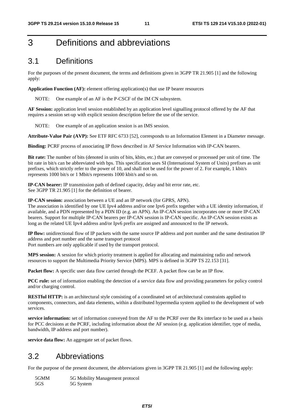# 3 Definitions and abbreviations

# 3.1 Definitions

For the purposes of the present document, the terms and definitions given in 3GPP TR 21.905 [1] and the following apply:

**Application Function (AF):** element offering application(s) that use IP bearer resources

NOTE: One example of an AF is the P-CSCF of the IM CN subsystem.

**AF Session:** application level session established by an application level signalling protocol offered by the AF that requires a session set-up with explicit session description before the use of the service.

NOTE: One example of an application session is an IMS session.

**Attribute-Value Pair (AVP):** See ETF RFC 6733 [52], corresponds to an Information Element in a Diameter message.

**Binding:** PCRF process of associating IP flows described in AF Service Information with IP-CAN bearers.

**Bit rate:** The number of bits (denoted in units of bits, kbits, etc.) that are conveyed or processed per unit of time. The bit rate in bit/s can be abbreviated with bps. This specification uses SI (International System of Units) prefixes as unit prefixes, which strictly refer to the power of 10, and shall not be used for the power of 2. For example, 1 kbit/s represents 1000 bit/s or 1 Mbit/s represents 1000 kbit/s and so on.

**IP-CAN bearer:** IP transmission path of defined capacity, delay and bit error rate, etc. See 3GPP TR 21.905 [1] for the definition of bearer.

**IP-CAN session:** association between a UE and an IP network (for GPRS, APN).

The association is identified by one UE Ipv4 address and/or one Ipv6 prefix together with a UE identity information, if available, and a PDN represented by a PDN ID (e.g. an APN). An IP-CAN session incorporates one or more IP-CAN bearers. Support for multiple IP-CAN bearers per IP-CAN session is IP-CAN specific. An IP-CAN session exists as long as the related UE Ipv4 address and/or Ipv6 prefix are assigned and announced to the IP network.

**IP flow:** unidirectional flow of IP packets with the same source IP address and port number and the same destination IP address and port number and the same transport protocol

Port numbers are only applicable if used by the transport protocol.

**MPS session:** A session for which priority treatment is applied for allocating and maintaining radio and network resources to support the Multimedia Priority Service (MPS). MPS is defined in 3GPP TS 22.153 [31].

**Packet flow:** A specific user data flow carried through the PCEF. A packet flow can be an IP flow.

**PCC rule:** set of information enabling the detection of a service data flow and providing parameters for policy control and/or charging control.

**RESTful HTTP:** is an architectural style consisting of a coordinated set of architectural constraints applied to components, connectors, and data elements, within a distributed hypermedia system applied to the development of web services.

**service information:** set of information conveyed from the AF to the PCRF over the Rx interface to be used as a basis for PCC decisions at the PCRF, including information about the AF session (e.g. application identifier, type of media, bandwidth, IP address and port number).

**service data flow:** An aggregate set of packet flows.

# 3.2 Abbreviations

For the purpose of the present document, the abbreviations given in 3GPP TR 21.905 [1] and the following apply:

5GMM 5G Mobility Management protocol 5GS 5G System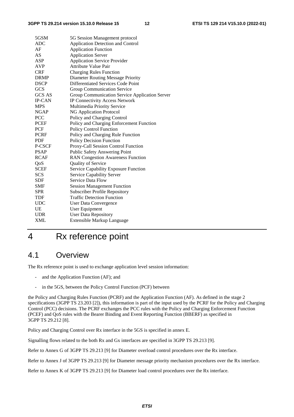| 5GSM          | 5G Session Management protocol                 |
|---------------|------------------------------------------------|
| <b>ADC</b>    | Application Detection and Control              |
| AF            | <b>Application Function</b>                    |
| AS            | <b>Application Server</b>                      |
| ASP           | <b>Application Service Provider</b>            |
| <b>AVP</b>    | Attribute Value Pair                           |
| <b>CRF</b>    | <b>Charging Rules Function</b>                 |
| <b>DRMP</b>   | Diameter Routing Message Priority              |
| <b>DSCP</b>   | Differentiated Services Code Point             |
| <b>GCS</b>    | Group Communication Service                    |
| GCS AS        | Group Communication Service Application Server |
| <b>IP-CAN</b> | <b>IP Connectivity Access Network</b>          |
| <b>MPS</b>    | Multimedia Priority Service                    |
| <b>NGAP</b>   | <b>NG Application Protocol</b>                 |
| <b>PCC</b>    | Policy and Charging Control                    |
| <b>PCEF</b>   | Policy and Charging Enforcement Function       |
| PCF           | <b>Policy Control Function</b>                 |
| <b>PCRF</b>   | Policy and Charging Rule Function              |
| <b>PDF</b>    | Policy Decision Function                       |
| P-CSCF        | Proxy-Call Session Control Function            |
| <b>PSAP</b>   | <b>Public Safety Answering Point</b>           |
| <b>RCAF</b>   | <b>RAN Congestion Awareness Function</b>       |
| QoS           | Quality of Service                             |
| <b>SCEF</b>   | Service Capability Exposure Function           |
| <b>SCS</b>    | Service Capability Server                      |
| <b>SDF</b>    | Service Data Flow                              |
| <b>SMF</b>    | <b>Session Management Function</b>             |
| <b>SPR</b>    | <b>Subscriber Profile Repository</b>           |
| TDF           | <b>Traffic Detection Function</b>              |
| <b>UDC</b>    | <b>User Data Convergence</b>                   |
| UE            | User Equipment                                 |
| <b>UDR</b>    | <b>User Data Repository</b>                    |
| <b>XML</b>    | <b>Extensible Markup Language</b>              |
|               |                                                |

# 4 Rx reference point

# 4.1 Overview

The Rx reference point is used to exchange application level session information:

- and the Application Function (AF); and
- in the 5GS, between the Policy Control Function (PCF) between

the Policy and Charging Rules Function (PCRF) and the Application Function (AF). As defined in the stage 2 specifications (3GPP TS 23.203 [2]), this information is part of the input used by the PCRF for the Policy and Charging Control (PCC) decisions. The PCRF exchanges the PCC rules with the Policy and Charging Enforcement Function (PCEF) and QoS rules with the Bearer Binding and Event Reporting Function (BBERF) as specified in 3GPP TS 29.212 [8].

Policy and Charging Control over Rx interface in the 5GS is specified in annex E.

Signalling flows related to the both Rx and Gx interfaces are specified in 3GPP TS 29.213 [9].

Refer to Annex G of 3GPP TS 29.213 [9] for Diameter overload control procedures over the Rx interface.

Refer to Annex J of 3GPP TS 29.213 [9] for Diameter message priority mechanism procedures over the Rx interface.

Refer to Annex K of 3GPP TS 29.213 [9] for Diameter load control procedures over the Rx interface.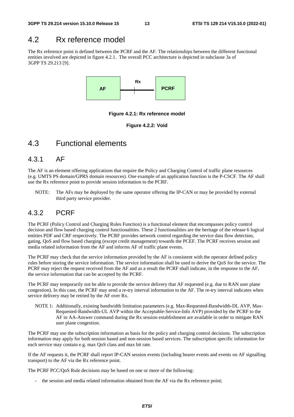# 4.2 Rx reference model

The Rx reference point is defined between the PCRF and the AF. The relationships between the different functional entities involved are depicted in figure 4.2.1. The overall PCC architecture is depicted in subclause 3a of 3GPP TS 29.213 [9].



**Figure 4.2.1: Rx reference model** 

**Figure 4.2.2: Void** 

# 4.3 Functional elements

### 4.3.1 AF

The AF is an element offering applications that require the Policy and Charging Control of traffic plane resources (e.g. UMTS PS domain/GPRS domain resources). One example of an application function is the P-CSCF. The AF shall use the Rx reference point to provide session information to the PCRF.

NOTE: The AFs may be deployed by the same operator offering the IP-CAN or may be provided by external third party service provider.

# 4.3.2 PCRF

The PCRF (Policy Control and Charging Rules Function) is a functional element that encompasses policy control decision and flow based charging control functionalities. These 2 functionalities are the heritage of the release 6 logical entities PDF and CRF respectively. The PCRF provides network control regarding the service data flow detection, gating, QoS and flow based charging (except credit management) towards the PCEF. The PCRF receives session and media related information from the AF and informs AF of traffic plane events.

The PCRF may check that the service information provided by the AF is consistent with the operator defined policy rules before storing the service information. The service information shall be used to derive the QoS for the service. The PCRF may reject the request received from the AF and as a result the PCRF shall indicate, in the response to the AF, the service information that can be accepted by the PCRF.

The PCRF may temporarily not be able to provide the service delivery that AF requested (e.g. due to RAN user plane congestion). In this case, the PCRF may send a re-try interval information to the AF. The re-try interval indicates when service delivery may be retried by the AF over Rx.

NOTE 1: Additionally, existing bandwidth limitation parameters (e.g. Max-Requested-Bandwidth-DL AVP, Max-Requested-Bandwidth-UL AVP within the Acceptable-Service-Info AVP) provided by the PCRF to the AF in AA-Answer command during the Rx session establishment are available in order to mitigate RAN user plane congestion.

The PCRF may use the subscription information as basis for the policy and charging control decisions. The subscription information may apply for both session based and non-session based services. The subscription specific information for each service may contain e.g. max QoS class and max bit rate.

If the AF requests it, the PCRF shall report IP-CAN session events (including bearer events and events on AF signalling transport) to the AF via the Rx reference point.

The PCRF PCC/QoS Rule decisions may be based on one or more of the following:

the session and media related information obtained from the AF via the Rx reference point;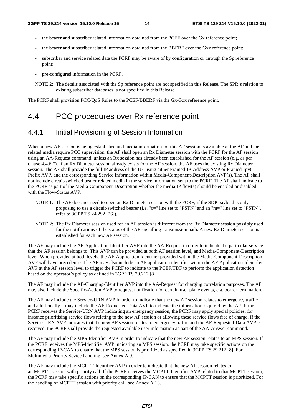- the bearer and subscriber related information obtained from the PCEF over the Gx reference point;
- the bearer and subscriber related information obtained from the BBERF over the Gxx reference point;
- subscriber and service related data the PCRF may be aware of by configuration or through the Sp reference point;
- pre-configured information in the PCRF.
- NOTE 2: The details associated with the Sp reference point are not specified in this Release. The SPR's relation to existing subscriber databases is not specified in this Release.

The PCRF shall provision PCC/QoS Rules to the PCEF/BBERF via the Gx/Gxx reference point.

# 4.4 PCC procedures over Rx reference point

### 4.4.1 Initial Provisioning of Session Information

When a new AF session is being established and media information for this AF session is available at the AF and the related media require PCC supervision, the AF shall open an Rx Diameter session with the PCRF for the AF session using an AA-Request command, unless an Rx session has already been established for the AF session (e.g. as per clause 4.4.6.7). If an Rx Diameter session already exists for the AF session, the AF uses the existing Rx Diameter session. The AF shall provide the full IP address of the UE using either Framed-IP-Address AVP or Framed-Ipv6- Prefix AVP, and the corresponding Service Information within Media-Component-Description AVP(s). The AF shall not include circuit-switched bearer related media in the service information sent to the PCRF. The AF shall indicate to the PCRF as part of the Media-Component-Description whether the media IP flow(s) should be enabled or disabled with the Flow-Status AVP.

- NOTE 1: The AF does not need to open an Rx Diameter session with the PCRF, if the SDP payload is only proposing to use a circuit-switched bearer (i.e. "c=" line set to "PSTN" and an "m=" line set to "PSTN", refer to 3GPP TS 24.292 [26]).
- NOTE 2: The Rx Diameter session used for an AF session is different from the Rx Diameter session possibly used for the notifications of the status of the AF signalling transmission path. A new Rx Diameter session is established for each new AF session.

The AF may include the AF-Application-Identifier AVP into the AA-Request in order to indicate the particular service that the AF session belongs to. This AVP can be provided at both AF session level, and Media-Component-Description level. When provided at both levels, the AF-Application Identifier provided within the Media-Component-Description AVP will have precedence. The AF may also include an AF application identifier within the AF-Application-Identifier AVP at the AF session level to trigger the PCRF to indicate to the PCEF/TDF to perform the application detection based on the operator's policy as defined in 3GPP TS 29.212 [8].

The AF may include the AF-Charging-Identifier AVP into the AA-Request for charging correlation purposes. The AF may also include the Specific-Action AVP to request notification for certain user plane events, e.g. bearer termination.

The AF may include the Service-URN AVP in order to indicate that the new AF session relates to emergency traffic and additionally it may include the AF-Requested-Data AVP to indicate the information required by the AF. If the PCRF receives the Service-URN AVP indicating an emergency session, the PCRF may apply special policies, for instance prioritising service flows relating to the new AF session or allowing these service flows free of charge. If the Service-URN AVP indicates that the new AF session relates to emergency traffic and the AF-Requested-Data AVP is received, the PCRF shall provide the requested available user information as part of the AA-Answer command.

The AF may include the MPS-Identifier AVP in order to indicate that the new AF session relates to an MPS session. If the PCRF receives the MPS-Identifier AVP indicating an MPS session, the PCRF may take specific actions on the corresponding IP-CAN to ensure that the MPS session is prioritized as specified in 3GPP TS 29.212 [8]. For Multimedia Priority Sevice handling, see Annex A.9.

The AF may include the MCPTT-Identifier AVP in order to indicate that the new AF session relates to an MCPTT session with priority call. If the PCRF receives the MCPTT-Identifier AVP related to that MCPTT session, the PCRF may take specific actions on the corresponding IP-CAN to ensure that the MCPTT session is prioritized. For the handling of MCPTT session with priority call, see Annex A.13.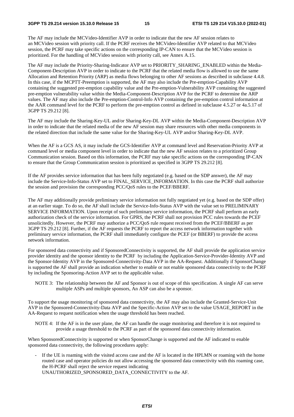The AF may include the MCVideo-Identifier AVP in order to indicate that the new AF session relates to an MCVideo session with priority call. If the PCRF receives the MCVideo-Identifier AVP related to that MCVideo session, the PCRF may take specific actions on the corresponding IP-CAN to ensure that the MCVideo session is prioritized. For the handling of MCVideo session with priority call, see Annex A.15.

The AF may include the Priority-Sharing-Indicator AVP set to PRIORITY\_SHARING\_ENABLED within the Media-Component-Description AVP in order to indicate to the PCRF that the related media flow is allowed to use the same Allocation and Retention Priority (ARP) as media flows belonging to other AF sessions as described in subclause 4.4.8. In this case, if the MCPTT-Preemption is supported, the AF may also include the Pre-emption-Capability AVP containing the suggested pre-emption capability value and the Pre-emption-Vulnerability AVP containing the suggested pre-emption vulnerability value within the Media-Component-Description AVP for the PCRF to determine the ARP values. The AF may also include the Pre-emption-Control-Info AVP containing the pre-emption control information at the AAR command level for the PCRF to perform the pre-emption control as defined in subclause 4.5.27 or 4a.5.17 of 3GPP TS 29.212 [8].

The AF may include the Sharing-Key-UL and/or Sharing-Key-DL AVP within the Media-Component-Description AVP in order to indicate that the related media of the new AF session may share resources with other media components in the related direction that include the same value for the Sharing-Key-UL AVP and/or Sharing-Key-DL AVP.

When the AF is a GCS AS, it may include the GCS-Identifier AVP at command level and Reservation-Priority AVP at command level or media component level in order to indicate that the new AF session relates to a prioritized Group Communication session. Based on this information, the PCRF may take specific actions on the corresponding IP-CAN to ensure that the Group Communication session is prioritized as specified in 3GPP TS 29.212 [8].

If the AF provides service information that has been fully negotiated (e.g. based on the SDP answer), the AF may include the Service-Info-Status AVP set to FINAL\_SERVICE\_INFORMATION. In this case the PCRF shall authorize the session and provision the corresponding PCC/QoS rules to the PCEF/BBERF.

The AF may additionally provide preliminary service information not fully negotiated yet (e.g. based on the SDP offer) at an earlier stage. To do so, the AF shall include the Service-Info-Status AVP with the value set to PRELIMINARY SERVICE INFORMATION. Upon receipt of such preliminary service information, the PCRF shall perform an early authorization check of the service information. For GPRS, the PCRF shall not provision PCC rules towards the PCEF unsolicitedly. However, the PCRF may authorize a PCC/QoS rule request received from the PCEF/BBERF as per 3GPP TS 29.212 [8]. Further, if the AF requests the PCRF to report the access network information together with preliminary service information, the PCRF shall immediately configure the PCEF (or BBERF) to provide the access network information.

For sponsored data connectivity and if SponsoredConnectivity is supported, the AF shall provide the application service provider identity and the sponsor identity to the PCRF by including the Application-Service-Provider-Identity AVP and the Sponsor-Identity AVP in the Sponsored-Connectivity-Data AVP in the AA-Request. Additionally if SponsorChange is supported the AF shall provide an indication whether to enable or not enable sponsored data connectivity to the PCRF by including the Sponsoring-Action AVP set to the applicable value.

NOTE 3: The relationship between the AF and Sponsor is out of scope of this specification. A single AF can serve multiple ASPs and multiple sponsors, An ASP can also be a sponsor.

To support the usage monitoring of sponsored data connectivity, the AF may also include the Granted-Service-Unit AVP in the Sponsored-Connectivity-Data AVP and the Specific-Action AVP set to the value USAGE\_REPORT in the AA-Request to request notification when the usage threshold has been reached.

NOTE 4: If the AF is in the user plane, the AF can handle the usage monitoring and therefore it is not required to provide a usage threshold to the PCRF as part of the sponsored data connectivity information.

When SponsoredConnectivity is supported or when SponsorChange is supported and the AF indicated to enable sponsored data connectivity, the following procedures apply:

If the UE is roaming with the visited access case and the AF is located in the HPLMN or roaming with the home routed case and operator policies do not allow accessing the sponsored data connectivity with this roaming case, the H-PCRF shall reject the service request indicating UNAUTHORIZED\_SPONSORED\_DATA\_CONNECTIVITY to the AF.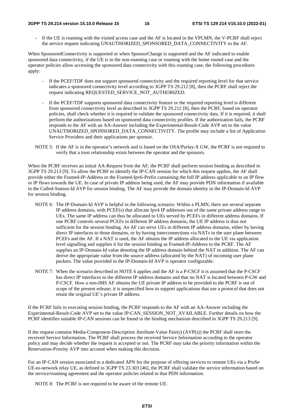#### **3GPP TS 29.214 version 15.10.0 Release 15 16 ETSI TS 129 214 V15.10.0 (2022-01)**

If the UE is roaming with the visited access case and the AF is located in the VPLMN, the V-PCRF shall reject the service request indicating UNAUTHORIZED\_SPONSORED\_DATA\_CONNECTIVITY to the AF.

When SponsoredConnectivity is supported or when SponsorChange is supported and the AF indicated to enable sponsored data connectivity, if the UE is in the non-roaming case or roaming with the home routed case and the operator policies allow accessing the sponsored data connectivity with this roaming case, the following procedures apply:

- If the PCEF/TDF does not support sponsored connectivity and the required reporting level for that service indicates a sponsored connectivity level according to 3GPP TS 29.212 [8], then the PCRF shall reject the request indicating REQUESTED\_SERVICE\_NOT\_AUTHORIZED.
- If the PCEF/TDF supports sponsored data connectivity feature or the required reporting level is different from sponsored connectivity level as described in 3GPP TS 29.212 [8], then the PCRF, based on operator policies, shall check whether it is required to validate the sponsored connectivity data. If it is required, it shall perform the authorizations based on sponsored data connectivity profiles. If the authorization fails, the PCRF responds to the AF with an AA-Answer including the Experimental-Result-Code AVP set to the value UNAUTHORIZED\_SPONSORED\_DATA\_CONNECTIVITY. The profile may include a list of Application Service Providers and their applications per sponsor.
- NOTE 5: If the AF is in the operator's network and is based on the OSA/Parlay-X GW, the PCRF is not required to verify that a trust relationship exists between the operator and the sponsors.

When the PCRF receives an initial AA-Request from the AF, the PCRF shall perform session binding as described in 3GPP TS 29.213 [9]. To allow the PCRF to identify the IP-CAN session for which this request applies, the AF shall provide either the Framed-IP-Address or the Framed-Ipv6-Prefix containing the full IP address applicable to an IP flow or IP flows towards the UE. In case of private IP address being used, the AF may provide PDN information if available in the Called-Station-Id AVP for session binding. The AF may provide the domain identity in the IP-Domain-Id AVP for session binding.

- NOTE 6: The IP-Domain-Id AVP is helpful in the following scenario: Within a PLMN, there are several separate IP address domains, with PCEF(s) that allocate Ipv4 IP addresses out of the same private address range to UEs. The same IP address can thus be allocated to UEs served by PCEFs in different address domains. If one PCRF controls several PCEFs in different IP address domains, the UE IP address is thus not sufficient for the session binding. An AF can serve UEs in different IP address domains, either by having direct IP interfaces to those domains, or by having interconnections via NATs in the user plane between PCEFs and the AF. If a NAT is used, the AF obtains the IP address allocated to the UE via application level signalling and supplies it for the session binding as Framed-IP-Address to the PCRF. The AF supplies an IP-Domain-Id value denoting the IP address domain behind the NAT in addition. The AF can derive the appropriate value from the source address (allocated by the NAT) of incoming user plane packets. The value provided in the IP-Domain-Id AVP is operator configurable.
- NOTE 7: When the scenario described in NOTE 6 applies and the AF is a P-CSCF it is assumed that the P-CSCF has direct IP interfaces to the different IP address domains and that no NAT is located between P-GW and P-CSCF. How a non-IMS AF obtains the UE private IP address to be provided to the PCRF is out of scope of the present release; it is unspecified how to support applications that use a protocol that does not retain the original UE's private IP address.

If the PCRF fails in executing session binding, the PCRF responds to the AF with an AA-Answer including the Experimental-Result-Code AVP set to the value IP-CAN\_SESSION\_NOT\_AVAILABLE. Further details on how the PCRF identifies suitable IP-CAN sessions can be found in the binding mechanism described in 3GPP TS 29.213 [9].

If the request contains Media-Component-Description Attribute-Value Pair(s) (AVP(s)) the PCRF shall store the received Service Information. The PCRF shall process the received Service Information according to the operator policy and may decide whether the request is accepted or not. The PCRF may take the priority information within the Reservation-Priority AVP into account when making this decision.

For an IP-CAN session associated to a dedicated APN for the purpose of offering services to remote UEs via a ProSe UE-to-network relay UE, as defined in 3GPP TS 23.303 [46], the PCRF shall validate the service information based on the service/roaming agreement and the operator policies related to that PDN information.

NOTE 8: The PCRF is not required to be aware of the remote UE.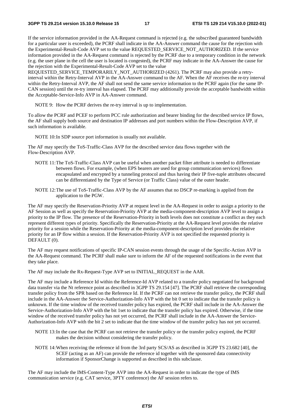If the service information provided in the AA-Request command is rejected (e.g. the subscribed guaranteed bandwidth for a particular user is exceeded), the PCRF shall indicate in the AA-Answer command the cause for the rejection with the Experimental-Result-Code AVP set to the value REQUESTED\_SERVICE\_NOT\_AUTHORIZED. If the service information provided in the AA-Request command is rejected by the PCRF due to a temporary condition in the network (e.g. the user plane in the cell the user is located is congested), the PCRF may indicate in the AA-Answer the cause for the rejection with the Experimental-Result-Code AVP set to the value

REQUESTED\_SERVICE\_TEMPORARILY\_NOT\_AUTHORIZED (4261). The PCRF may also provide a retryinterval within the Retry-Interval AVP in the AA-Answer command to the AF. When the AF receives the re-try interval within the Retry-Interval AVP, the AF shall not send the same service information to the PCRF again (for the same IP-CAN session) until the re-try interval has elapsed. The PCRF may additionally provide the acceptable bandwidth within the Acceptable-Service-Info AVP in AA-Answer command.

NOTE 9: How the PCRF derives the re-try interval is up to implementation.

To allow the PCRF and PCEF to perform PCC rule authorization and bearer binding for the described service IP flows, the AF shall supply both source and destination IP addresses and port numbers within the Flow-Description AVP, if such information is available.

NOTE 10: In SDP source port information is usually not available.

The AF may specify the ToS-Traffic-Class AVP for the described service data flows together with the Flow-Description AVP.

- NOTE 11: The ToS-Traffic-Class AVP can be useful when another packet filter attribute is needed to differentiate between flows. For example, (when EPS bearers are used for group communication services) flows encapsulated and encrypted by a tunneling protocol and thus having their IP five-tuple attributes obscured can be differentiated by the Type of Service (or Traffic Class) value of the outer header.
- NOTE 12: The use of ToS-Traffic-Class AVP by the AF assumes that no DSCP re-marking is applied from the application to the PGW.

The AF may specify the Reservation-Priority AVP at request level in the AA-Request in order to assign a priority to the AF Session as well as specify the Reservation-Priority AVP at the media-component-description AVP level to assign a priority to the IP flow. The presence of the Reservation-Priority in both levels does not constitute a conflict as they each represent different types of priority. Specifically the Reservation-Priority at the AA-Request level provides the relative priority for a session while the Reservation-Priority at the media-component-description level provides the relative priority for an IP flow within a session. If the Reservation-Priority AVP is not specified the requested priority is DEFAULT (0).

The AF may request notifications of specific IP-CAN session events through the usage of the Specific-Action AVP in the AA-Request command. The PCRF shall make sure to inform the AF of the requested notifications in the event that they take place.

The AF may include the Rx-Request-Type AVP set to INITIAL\_REQUEST in the AAR.

The AF may include a Reference Id within the Reference-Id AVP related to a transfer policy negotiated for background data transfer via the Nt reference point as described in 3GPP TS 29.154 [47]. The PCRF shall retrieve the corresponding transfer policy from the SPR based on the Reference Id. If the PCRF can not retrieve the transfer policy, the PCRF shall include in the AA-Answer the Service-Authorization-Info AVP with the bit 0 set to indicate that the transfer policy is unknown. If the time window of the received transfer policy has expired, the PCRF shall include in the AA-Answer the Service-Authorization-Info AVP with the bit 1set to indicate that the transfer policy has expired. Otherwise, if the time window of the received transfer policy has not yet occurred, the PCRF shall include in the AA-Answer the Service-Authorization-Info AVP with the bit 2 set to indicate that the time window of the transfer policy has not yet occurred.

- NOTE 13: In the case that the PCRF can not retrieve the transfer policy or the transfer policy expired, the PCRF makes the decision without considering the transfer policy.
- NOTE 14: When receiving the reference id from the 3rd party SCS/AS as described in 3GPP TS 23.682 [40], the SCEF (acting as an AF) can provide the reference id together with the sponsored data connectivity information if SponsorChange is supported as described in this subclause.

The AF may include the IMS-Content-Type AVP into the AA-Request in order to indicate the type of IMS communication service (e.g. CAT service, 3PTY conference) the AF session refers to.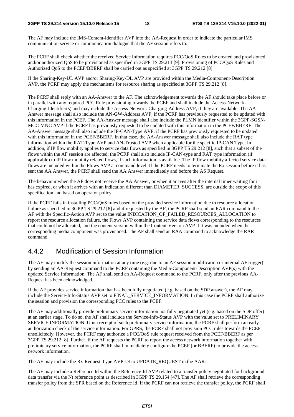The AF may include the IMS-Content-Identifier AVP into the AA-Request in order to indicate the particular IMS communication service or communication dialogue that the AF session refers to.

The PCRF shall check whether the received Service Information requires PCC/QoS Rules to be created and provisioned and/or authorized QoS to be provisioned as specified in 3GPP TS 29.213 [9]. Provisioning of PCC/QoS Rules and Authorized QoS to the PCEF/BBERF shall be carried out as specified at 3GPP TS 29.212 [8].

If the Sharing-Key-UL AVP and/or Sharing-Key-DL AVP are provided within the Media-Component-Description AVP, the PCRF may apply the mechanisms for resource sharing as specified at 3GPP TS 29.212 [8].

The PCRF shall reply with an AA-Answer to the AF. The acknowledgement towards the AF should take place before or in parallel with any required PCC Rule provisioning towards the PCEF and shall include the Access-Network-Charging-Identifier(s) and may include the Access-Network-Charging-Address AVP, if they are available. The AA-Answer message shall also include the AN-GW-Address AVP, if the PCRF has previously requested to be updated with this information in the PCEF. The AA-Answer message shall also include the PLMN identifier within the 3GPP-SGSN-MCC-MNC AVP if the PCRF has previously requested to be updated with this information in the PCEF/BBERF. The AA-Answer message shall also include the IP-CAN-Type AVP. if the PCRF has previously requested to be updated with this information in the PCEF/BBERF. In that case, the AA-Answer message shall also include the RAT type information within the RAT-Type AVP and AN-Trusted AVP when applicable for the specific IP-CAN Type. In addition, if IP flow mobility applies to service data flows as specified in 3GPP TS 29.212 [8], such that a subset of the flows within the AF session are affected, the PCRF shall also include IP-CAN-type and RAT type information (if applicable) to IP flow mobility related flows, if such information is available. The IP flow mobility affected service data flows are included within the Flows AVP at command level. If the PCRF needs to terminate the Rx session before it has sent the AA Answer, the PCRF shall send the AA Answer immediately and before the AS Request.

The behaviour when the AF does not receive the AA Answer, or when it arrives after the internal timer waiting for it has expired, or when it arrives with an indication different than DIAMETER\_SUCCESS, are outside the scope of this specification and based on operator policy.

If the PCRF fails in installing PCC/QoS rules based on the provided service information due to resource allocation failure as specified in 3GPP TS 29.212 [8] and if requested by the AF, the PCRF shall send an RAR command to the AF with the Specific-Action AVP set to the value INDICATION OF FAILED RESOURCES ALLOCATION to report the resource allocation failure, the Flows AVP containing the service data flows corresponding to the resources that could not be allocated, and the content version within the Content-Version AVP if it was included when the corresponding media component was provisioned. The AF shall send an RAA command to acknowledge the RAR command.

# 4.4.2 Modification of Session Information

The AF may modify the session information at any time (e.g. due to an AF session modification or internal AF trigger) by sending an AA-Request command to the PCRF containing the Media-Component-Description AVP(s) with the updated Service Information. The AF shall send an AA-Request command to the PCRF, only after the previous AA-Request has been acknowledged.

If the AF provides service information that has been fully negotiated (e.g. based on the SDP answer), the AF may include the Service-Info-Status AVP set to FINAL\_SERVICE\_INFORMATION. In this case the PCRF shall authorize the session and provision the corresponding PCC rules to the PCEF.

The AF may additionally provide preliminary service information not fully negotiated yet (e.g. based on the SDP offer) at an earlier stage. To do so, the AF shall include the Service-Info-Status AVP with the value set to PRELIMINARY SERVICE INFORMATION. Upon receipt of such preliminary service information, the PCRF shall perform an early authorization check of the service information. For GPRS, the PCRF shall not provision PCC rules towards the PCEF unsolicitedly. However, the PCRF may authorize a PCC/QoS rule request received from the PCEF/BBERF as per 3GPP TS 29.212 [8]. Further, if the AF requests the PCRF to report the access network information together with preliminary service information, the PCRF shall immediately configure the PCEF (or BBERF) to provide the access network information.

The AF may include the Rx-Request-Type AVP set to UPDATE\_REQUEST in the AAR.

The AF may include a Reference Id within the Reference-Id AVP related to a transfer policy negotiated for background data transfer via the Nt reference point as described in 3GPP TS 29.154 [47]. The AF shall retrieve the corresponding transfer policy from the SPR based on the Reference Id. If the PCRF can not retrieve the transfer policy, the PCRF shall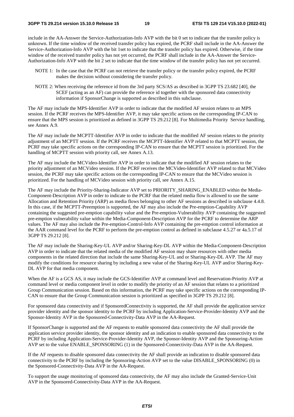include in the AA-Answer the Service-Authorization-Info AVP with the bit 0 set to indicate that the transfer policy is unknown. If the time window of the received transfer policy has expired, the PCRF shall include in the AA-Answer the Service-Authorization-Info AVP with the bit 1set to indicate that the transfer policy has expired. Otherwise, if the time window of the received transfer policy has not yet occurred, the PCRF shall include in the AA-Answer the Service-Authorization-Info AVP with the bit 2 set to indicate that the time window of the transfer policy has not yet occurred.

- NOTE 1: In the case that the PCRF can not retrieve the transfer policy or the transfer policy expired, the PCRF makes the decision without considering the transfer policy.
- NOTE 2: When receiving the reference id from the 3rd party SCS/AS as described in 3GPP TS 23.682 [40], the SCEF (acting as an AF) can provide the reference id together with the sponsored data connectivity information if SponsorChange is supported as described in this subclause.

The AF may include the MPS-Identifier AVP in order to indicate that the modified AF session relates to an MPS session. If the PCRF receives the MPS-Identifier AVP, it may take specific actions on the corresponding IP-CAN to ensure that the MPS session is prioritized as defined in 3GPP TS 29.212 [8]. For Multimedia Priority Service handling, see Annex A.9.

The AF may include the MCPTT-Identifier AVP in order to indicate that the modified AF session relates to the priority adjustment of an MCPTT session. If the PCRF receives the MCPTT-Identifier AVP related to that MCPTT session, the PCRF may take specific actions on the corresponding IP-CAN to ensure that the MCPTT session is prioritized. For the handling of MCPTT session with priority call, see Annex A.13.

The AF may include the MCVideo-Identifier AVP in order to indicate that the modified AF session relates to the priority adjustment of an MCVideo session. If the PCRF receives the MCVideo-Identifier AVP related to that MCVideo session, the PCRF may take specific actions on the corresponding IP-CAN to ensure that the MCVideo session is prioritized. For the handling of MCVideo session with priority call, see Annex A.15.

The AF may include the Priority-Sharing-Indicator AVP set to PRIORITY\_SHARING\_ENABLED within the Media-Component-Description AVP in order to indicate to the PCRF that the related media flow is allowed to use the same Allocation and Retention Priority (ARP) as media flows belonging to other AF sessions as described in subclause 4.4.8. In this case, if the MCPTT-Preemption is supported, the AF may also include the Pre-emption-Capability AVP containing the suggested pre-emption capability value and the Pre-emption-Vulnerability AVP containing the suggested pre-emption vulnerability value within the Media-Component-Description AVP for the PCRF to determine the ARP values. The AF may also include the Pre-emption-Control-Info AVP containing the pre-emption control information at the AAR command level for the PCRF to perform the pre-emption control as defined in subclause 4.5.27 or 4a.5.17 of 3GPP TS 29.212 [8].

The AF may include the Sharing-Key-UL AVP and/or Sharing-Key-DL AVP within the Media-Component-Description AVP in order to indicate that the related media of the modified AF session may share resources with other media components in the related direction that include the same Sharing-Key-UL and or Sharing-Key-DL AVP. The AF may modify the conditions for resource sharing by including a new value of the Sharing-Key-UL AVP and/or Sharing-Key-DL AVP for that media component.

When the AF is a GCS AS, it may include the GCS-Identifier AVP at command level and Reservation-Priority AVP at command level or media component level in order to modify the priority of an AF session that relates to a prioritized Group Communication session. Based on this information, the PCRF may take specific actions on the corresponding IP-CAN to ensure that the Group Communication session is prioritized as specified in 3GPP TS 29.212 [8].

For sponsored data connectivity and if SponsoredConnectivity is supported, the AF shall provide the application service provider identity and the sponsor identity to the PCRF by including Application-Service-Provider-Identity AVP and the Sponsor-Identity AVP in the Sponsored-Connectivity-Data AVP in the AA-Request.

If SponsorChange is supported and the AF requests to enable sponsored data connectivity the AF shall provide the application service provider identity, the sponsor identity and an indication to enable sponsored data connectivity to the PCRF by including Application-Service-Provider-Identity AVP, the Sponsor-Identity AVP and the Sponsoring-Action AVP set to the value ENABLE\_SPONSORING (1) in the Sponsored-Connectivity-Data AVP in the AA-Request.

If the AF requests to disable sponsored data connectivity the AF shall provide an indication to disable sponsored data connectivity to the PCRF by including the Sponsoring-Action AVP set to the value DISABLE\_SPONSORING (0) in the Sponsored-Connectivity-Data AVP in the AA-Request.

To support the usage monitoring of sponsored data connectivity, the AF may also include the Granted-Service-Unit AVP in the Sponsored-Connectivity-Data AVP in the AA-Request.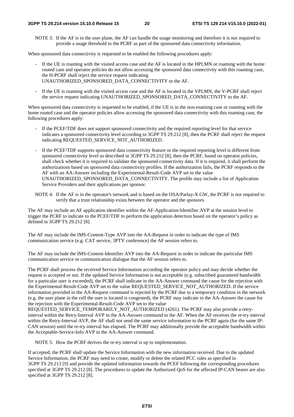NOTE 3: If the AF is in the user plane, the AF can handle the usage monitoring and therefore it is not required to provide a usage threshold to the PCRF as part of the sponsored data connectivity information.

When sponsored data connectivity is requested to be enabled the following procedures apply:

- If the UE is roaming with the visited access case and the AF is located in the HPLMN or roaming with the home routed case and operator policies do not allow accessing the sponsored data connectivity with this roaming case, the H-PCRF shall reject the service request indicating UNAUTHORIZED\_SPONSORED\_DATA\_CONNECTIVITY to the AF.
- If the UE is roaming with the visited access case and the AF is located in the VPLMN, the V-PCRF shall reject the service request indicating UNAUTHORIZED\_SPONSORED\_DATA\_CONNECTIVITY to the AF.

When sponsored data connectivity is requested to be enabled, if the UE is in the non-roaming case or roaming with the home routed case and the operator policies allow accessing the sponsored data connectivity with this roaming case, the following procedures apply:

- If the PCEF/TDF does not support sponsored connectivity and the required reporting level for that service indicates a sponsored connectivity level according to 3GPP TS 29.212 [8], then the PCRF shall reject the request indicating REQUESTED\_SERVICE\_NOT\_AUTHORIZED.
- If the PCEF/TDF supports sponsored data connectivity feature or the required reporting level is different from sponsored connectivity level as described in 3GPP TS 29.212 [8], then the PCRF, based on operator policies, shall check whether it is required to validate the sponsored connectivity data. If it is required, it shall perform the authorizations based on sponsored data connectivity profiles. If the authorization fails, the PCRF responds to the AF with an AA-Answer including the Experimental-Result-Code AVP set to the value UNAUTHORIZED\_SPONSORED\_DATA\_CONNECTIVITY. The profile may include a list of Application Service Providers and their applications per sponsor.
- NOTE 4: If the AF is in the operator's network and is based on the OSA/Parlay-X GW, the PCRF is not required to verify that a trust relationship exists between the operator and the sponsors.

The AF may include an AF application identifier within the AF-Application-Identifier AVP at the session level to trigger the PCRF to indicate to the PCEF/TDF to perform the application detection based on the operator's policy as defined in 3GPP TS 29.212 [8].

The AF may include the IMS-Content-Type AVP into the AA-Request in order to indicate the type of IMS communication service (e.g. CAT service, 3PTY conference) the AF session refers to.

The AF may include the IMS-Content-Identifier AVP into the AA-Request in order to indicate the particular IMS communication service or communication dialogue that the AF session refers to.

The PCRF shall process the received Service Information according the operator policy and may decide whether the request is accepted or not. If the updated Service Information is not acceptable (e.g. subscribed guaranteed bandwidth for a particular user is exceeded), the PCRF shall indicate in the AA-Answer command the cause for the rejection with the Experimental-Result-Code AVP set to the value REQUESTED\_SERVICE\_NOT\_AUTHORIZED. If the service information provided in the AA-Request command is rejected by the PCRF due to a temporary condition in the network (e.g. the user plane in the cell the user is located is congested), the PCRF may indicate in the AA-Answer the cause for the rejection with the Experimental-Result-Code AVP set to the value

REQUESTED\_SERVICE\_TEMPORARILY\_NOT\_AUTHORIZED (4261). The PCRF may also provide a retryinterval within the Retry-Interval AVP in the AA-Answer command to the AF. When the AF receives the re-try interval within the Retry-Interval AVP, the AF shall not send the same service information to the PCRF again (for the same IP-CAN session) until the re-try interval has elapsed. The PCRF may additionally provide the acceptable bandwidth within the Acceptable-Service-Info AVP in the AA-Answer command.

NOTE 5: How the PCRF derives the re-try interval is up to implementation.

If accepted, the PCRF shall update the Service Information with the new information received. Due to the updated Service Information, the PCRF may need to create, modify or delete the related PCC rules as specified in 3GPP TS 29.213 [9] and provide the updated information towards the PCEF following the corresponding procedures specified at 3GPP TS 29.212 [8]. The procedures to update the Authorized QoS for the affected IP-CAN bearer are also specified at 3GPP TS 29.212 [8].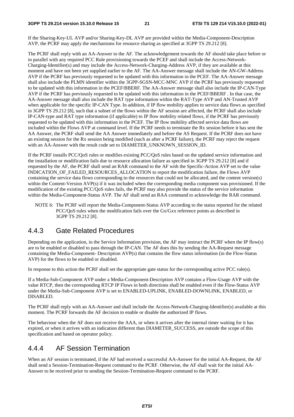If the Sharing-Key-UL AVP and/or Sharing-Key-DL AVP are provided within the Media-Component-Description AVP, the PCRF may apply the mechanisms for resource sharing as specified at 3GPP TS 29.212 [8].

The PCRF shall reply with an AA-Answer to the AF. The acknowledgement towards the AF should take place before or in parallel with any required PCC Rule provisioning towards the PCEF and shall include the Access-Network-Charging-Identifier(s) and may include the Access-Network-Charging-Address AVP, if they are available at this moment and have not been yet supplied earlier to the AF. The AA-Answer message shall include the AN-GW-Address AVP if the PCRF has previously requested to be updated with this information in the PCEF. The AA-Answer message shall also include the PLMN identifier within the 3GPP-SGSN-MCC-MNC AVP if the PCRF has previously requested to be updated with this information in the PCEF/BBERF. The AA-Answer message shall also include the IP-CAN-Type AVP if the PCRF has previously requested to be updated with this information in the PCEF/BBERF . In that case, the AA-Answer message shall also include the RAT type information within the RAT-Type AVP and AN-Trusted AVP when applicable for the specific IP-CAN Type. In addition, if IP flow mobility applies to service data flows as specified in 3GPP TS 29.212 [8], such that a subset of the flows within the AF session are affected, the PCRF shall also include IP-CAN-type and RAT type information (if applicable) to IP flow mobility related flows, if the PCRF has previously requested to be updated with this information in the PCEF. The IP flow mobility affected service data flows are included within the Flows AVP at command level. If the PCRF needs to terminate the Rx session before it has sent the AA Answer, the PCRF shall send the AA Answer immediately and before the AS Request. If the PCRF does not have an existing session for the Rx session being modified (such as after a PCRF failure), the PCRF may reject the request with an AA-Answer with the result code set to DIAMETER\_UNKNOWN\_SESSION\_ID.

If the PCRF installs PCC/QoS rules or modifies existing PCC/QoS rules based on the updated service information and the installation or modification fails due to resource allocation failure as specified in 3GPP TS 29.212 [8] and if requested by the AF, the PCRF shall send an RAR command to the AF with the Specific-Action AVP set to the value INDICATION\_OF\_FAILED\_RESOURCES\_ALLOCATION to report the modification failure, the Flows AVP containing the service data flows corresponding to the resources that could not be allocated, and the content version(s) within the Content-Version AVP(s) if it was included when the corresponding media component was provisioned. If the modification of the existing PCC/QoS rules fails, the PCRF may also provide the status of the service information within the Media-Component-Status AVP. The AF shall send an RAA command to acknowledge the RAR command.

NOTE 6: The PCRF will report the Media-Component-Status AVP according to the status reported for the related PCC/QoS rules when the modification fails over the Gx/Gxx reference points as described in 3GPP TS 29.212 [8].

# 4.4.3 Gate Related Procedures

Depending on the application, in the Service Information provision, the AF may instruct the PCRF when the IP flow(s) are to be enabled or disabled to pass through the IP-CAN. The AF does this by sending the AA-Request message containing the Media-Component- Description AVP(s) that contains the flow status information (in the Flow-Status AVP) for the flows to be enabled or disabled.

In response to this action the PCRF shall set the appropriate gate status for the corresponding active PCC rule(s).

If a Media-Sub-Component AVP under a Media-Component-Description AVP contains a Flow-Usage AVP with the value RTCP, then the corresponding RTCP IP Flows in both directions shall be enabled even if the Flow-Status AVP under the Media-Sub-Component AVP is set to ENABLED-UPLINK, ENABLED-DOWNLINK, ENABLED, or DISABLED.

The PCRF shall reply with an AA-Answer and shall include the Access-Network-Charging-Identifier(s) available at this moment. The PCRF forwards the AF decision to enable or disable the authorized IP flows.

The behaviour when the AF does not receive the AAA, or when it arrives after the internal timer waiting for it has expired, or when it arrives with an indication different than DIAMETER\_SUCCESS, are outside the scope of this specification and based on operator policy.

# 4.4.4 AF Session Termination

When an AF session is terminated, if the AF had received a successful AA-Answer for the initial AA-Request, the AF shall send a Session-Termination-Request command to the PCRF. Otherwise, the AF shall wait for the initial AA-Answer to be received prior to sending the Session-Termination-Request command to the PCRF.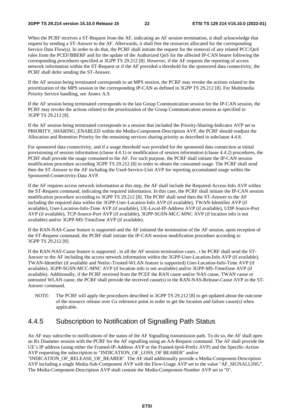When the PCRF receives a ST-Request from the AF, indicating an AF session termination, it shall acknowledge that request by sending a ST-Answer to the AF. Afterwards, it shall free the resources allocated for the corresponding Service Data Flow(s). In order to do that, the PCRF shall initiate the request for the removal of any related PCC/QoS rules from the PCEF/BBERF and for the update of the Authorized QoS for the affected IP-CAN bearer following the corresponding procedures specified at 3GPP TS 29.212 [8]. However, if the AF requests the reporting of access network information within the ST-Request or if the AF provided a threshold for the sponsored data connectivity, the PCRF shall defer sending the ST-Answer.

If the AF session being terminated corresponds to an MPS session, the PCRF may revoke the actions related to the prioritization of the MPS session in the corresponding IP-CAN as defined in 3GPP TS 29.212 [8]. For Multimedia Priority Service handling, see Annex A.9.

If the AF session being terminated corresponds to the last Group Communication session for the IP-CAN session, the PCRF may revoke the actions related to the prioritization of the Group Communication session as specified in 3GPP TS 29.212 [8].

If the AF session being terminated corresponds to a session that included the Priority-Sharing-Indicator AVP set to PRIORITY\_SHARING\_ENABLED within the Media-Component-Description AVP, the PCRF should readjust the Allocation and Retention Priority for the remaining services sharing priority as described in subclause 4.4.8.

For sponsored data connectivity, and if a usage threshold was provided for the sponsored data connection at initial provisioning of session information (clause 4.4.1) or modification of session information (clause 4.4.2) procedures, the PCRF shall provide the usage consumed to the AF. For such purpose, the PCRF shall initiate the IP-CAN session modification procedure according 3GPP TS 29.212 [8] in order to obtain the consumed usage. The PCRF shall send then the ST-Answer to the AF including the Used-Service-Unit AVP for reporting accumulated usage within the Sponsored-Connectivity-Data AVP.

If the AF requires access network information at this step, the AF shall include the Required-Access-Info AVP within the ST-Request command, indicating the required information. In this case, the PCRF shall initiate the IP-CAN session modification procedure according to 3GPP TS 29.212 [8]. The PCRF shall send then the ST-Answer to the AF including the required data within the 3GPP-User-Location-Info AVP (if available), TWAN-Identifier AVP (if available), User-Location-Info-Time AVP (if available), UE-Local-IP-Address AVP (if available), UDP-Source-Port AVP (if available), TCP-Source-Port AVP (if available), 3GPP-SGSN-MCC-MNC AVP (if location info is not available) and/or 3GPP-MS-TimeZone AVP (if available).

If the RAN-NAS-Cause feature is supported and the AF initiated the termination of the AF session, upon reception of the ST-Request command, the PCRF shall initiate the IP-CAN session modification procedure according to 3GPP TS 29.212 [8].

If the RAN-NAS-Cause feature is supported , in all the AF session termination cases , t he PCRF shall send the ST-Answer to the AF including the access network information within the 3GPP-User-Location-Info AVP (if available), TWAN-Identifier (if available and Netloc-Trusted-WLAN feature is supported) User-Location-Info-Time AVP (if available), 3GPP-SGSN-MCC-MNC AVP (if location info is not available) and/or 3GPP-MS-TimeZone AVP (if available). Additionally, if the PCRF received from the PCEF the RAN cause and/or NAS cause, TWAN cause or untrusted WLAN cause, the PCRF shall provide the received cause(s) in the RAN-NAS-Release-Cause AVP in the ST-Answer command.

NOTE: The PCRF will apply the procedures described in 3GPP TS 29.212 [8] to get updated about the outcome of the resource release over Gx reference point in order to get the location and failure cause(s) when applicable.

### 4.4.5 Subscription to Notification of Signalling Path Status

An AF may subscribe to notifications of the status of the AF Signalling transmission path. To do so, the AF shall open an Rx Diameter session with the PCRF for the AF signalling using an AA-Request command. The AF shall provide the UE's IP address (using either the Framed-IP-Address AVP or the Framed-Ipv6-Prefix AVP) and the Specific-Action AVP requesting the subscription to "INDICATION OF LOSS OF BEARER" and/or

"INDICATION\_OF\_RELEASE\_OF\_BEARER". The AF shall additionally provide a Media-Component-Description AVP including a single Media-Sub-Component AVP with the Flow-Usage AVP set to the value "AF\_SIGNALLING". The Media-Component-Description AVP shall contain the Media-Component-Number AVP set to "0".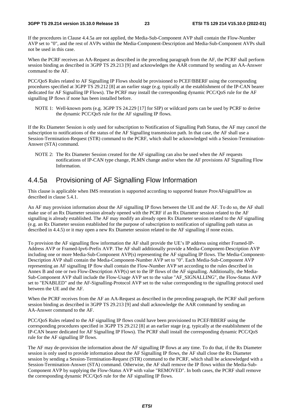If the procedures in Clause 4.4.5a are not applied, the Media-Sub-Component AVP shall contain the Flow-Number AVP set to "0", and the rest of AVPs within the Media-Component-Description and Media-Sub-Component AVPs shall not be used in this case.

When the PCRF receives an AA-Request as described in the preceding paragraph from the AF, the PCRF shall perform session binding as described in 3GPP TS 29.213 [9] and acknowledges the AAR command by sending an AA-Answer command to the AF.

PCC/QoS Rules related to AF Signalling IP Flows should be provisioned to PCEF/BBERF using the corresponding procedures specified at 3GPP TS 29.212 [8] at an earlier stage (e.g. typically at the establishment of the IP-CAN bearer dedicated for AF Signalling IP Flows). The PCRF may install the corresponding dynamic PCC/QoS rule for the AF signalling IP flows if none has been installed before.

NOTE 1: Well-known ports (e.g. 3GPP TS 24.229 [17] for SIP) or wildcard ports can be used by PCRF to derive the dynamic PCC/QoS rule for the AF signalling IP flows.

If the Rx Diameter Session is only used for subscription to Notification of Signalling Path Status, the AF may cancel the subscription to notifications of the status of the AF Signalling transmission path. In that case, the AF shall use a Session-Termination-Request (STR) command to the PCRF, which shall be acknowledged with a Session-Termination-Answer (STA) command.

NOTE 2: The Rx Diameter Session created for the AF signalling can also be used when the AF requests notifications of IP-CAN type change, PLMN change and/or when the AF provisions AF Signalling Flow Information.

# 4.4.5a Provisioning of AF Signalling Flow Information

This clause is applicable when IMS restoration is supported according to supported feature ProvAFsignalFlow as described in clause 5.4.1.

An AF may provision information about the AF signalling IP flows between the UE and the AF. To do so, the AF shall make use of an Rx Diameter session already opened with the PCRF if an Rx Diameter session related to the AF signalling is already established. The AF may modify an already open Rx Diameter session related to the AF signalling (e.g. an Rx Diameter session established for the purpose of subscription to notification of signalling path status as described in 4.4.5) or it may open a new Rx Diameter session related to the AF signalling if none exists.

To provision the AF signalling flow information the AF shall provide the UE's IP address using either Framed-IP-Address AVP or Framed-Ipv6-Prefix AVP. The AF shall additionally provide a Media-Component-Description AVP including one or more Media-Sub-Component AVP(s) representing the AF signalling IP flows. The Media-Component-Description AVP shall contain the Media-Component-Number AVP set to "0". Each Media-Sub-Component AVP representing an AF signalling IP flow shall contain the Flow-Number AVP set according to the rules described in Annex B and one or two Flow-Description AVP(s) set to the IP flows of the AF signalling. Additionally, the Media-Sub-Component AVP shall include the Flow-Usage AVP set to the value "AF\_SIGNALLING", the Flow-Status AVP set to "ENABLED" and the AF-Signalling-Protocol AVP set to the value corresponding to the signalling protocol used between the UE and the AF.

When the PCRF receives from the AF an AA-Request as described in the preceding paragraph, the PCRF shall perform session binding as described in 3GPP TS 29.213 [9] and shall acknowledge the AAR command by sending an AA-Answer command to the AF.

PCC/QoS Rules related to the AF signalling IP flows could have been provisioned to PCEF/BBERF using the corresponding procedures specified in 3GPP TS 29.212 [8] at an earlier stage (e.g. typically at the establishment of the IP-CAN bearer dedicated for AF Signalling IP Flows). The PCRF shall install the corresponding dynamic PCC/QoS rule for the AF signalling IP flows.

The AF may de-provision the information about the AF signalling IP flows at any time. To do that, if the Rx Diameter session is only used to provide information about the AF Signalling IP flows, the AF shall close the Rx Diameter session by sending a Session-Termination-Request (STR) command to the PCRF, which shall be acknowledged with a Session-Termination-Answer (STA) command. Otherwise, the AF shall remove the IP flows within the Media-Sub-Component AVP by supplying the Flow-Status AVP with value "REMOVED". In both cases, the PCRF shall remove the corresponding dynamic PCC/QoS rule for the AF signalling IP flows.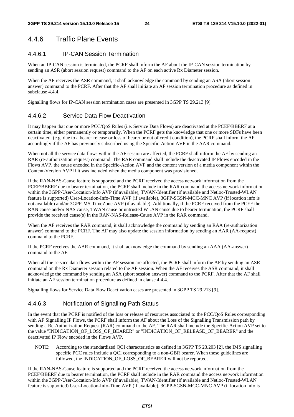# 4.4.6 Traffic Plane Events

### 4.4.6.1 IP-CAN Session Termination

When an IP-CAN session is terminated, the PCRF shall inform the AF about the IP-CAN session termination by sending an ASR (abort session request) command to the AF on each active Rx Diameter session.

When the AF receives the ASR command, it shall acknowledge the command by sending an ASA (abort session answer) command to the PCRF. After that the AF shall initiate an AF session termination procedure as defined in subclause 4.4.4.

Signalling flows for IP-CAN session termination cases are presented in 3GPP TS 29.213 [9].

### 4.4.6.2 Service Data Flow Deactivation

It may happen that one or more PCC/QoS Rules (i.e. Service Data Flows) are deactivated at the PCEF/BBERF at a certain time, either permanently or temporarily. When the PCRF gets the knowledge that one or more SDFs have been deactivated, (e.g. due to a bearer release or loss of bearer or out of credit condition), the PCRF shall inform the AF accordingly if the AF has previously subscribed using the Specific-Action AVP in the AAR command.

When not all the service data flows within the AF session are affected, the PCRF shall inform the AF by sending an RAR (re-authorization request) command. The RAR command shall include the deactivated IP Flows encoded in the Flows AVP, the cause encoded in the Specific-Action AVP and the content version of a media component within the Content-Version AVP if it was included when the media component was provisioned.

If the RAN-NAS-Cause feature is supported and the PCRF received the access network information from the PCEF/BBERF due to bearer termination, the PCRF shall include in the RAR command the access network information within the 3GPP-User-Location-Info AVP (if available), TWAN-Identifier (if available and Netloc-Trusted-WLAN feature is supported) User-Location-Info-Time AVP (if available), 3GPP-SGSN-MCC-MNC AVP (if location info is not available) and/or 3GPP-MS-TimeZone AVP (if available). Additionally, if the PCRF received from the PCEF the RAN cause and/or NAS cause, TWAN cause or untrusted WLAN cause due to bearer termination, the PCRF shall provide the received cause(s) in the RAN-NAS-Release-Cause AVP in the RAR command.

When the AF receives the RAR command, it shall acknowledge the command by sending an RAA (re-authorization answer) command to the PCRF. The AF may also update the session information by sending an AAR (AA-request) command to the PCRF.

If the PCRF receives the AAR command, it shall acknowledge the command by sending an AAA (AA-answer) command to the AF.

When all the service data flows within the AF session are affected, the PCRF shall inform the AF by sending an ASR command on the Rx Diameter session related to the AF session. When the AF receives the ASR command, it shall acknowledge the command by sending an ASA (abort session answer) command to the PCRF. After that the AF shall initiate an AF session termination procedure as defined in clause 4.4.4.

Signalling flows for Service Data Flow Deactivation cases are presented in 3GPP TS 29.213 [9].

### 4.4.6.3 Notification of Signalling Path Status

In the event that the PCRF is notified of the loss or release of resources associated to the PCC/QoS Rules corresponding with AF Signalling IP Flows, the PCRF shall inform the AF about the Loss of the Signalling Transmission path by sending a Re-Authorization Request (RAR) command to the AF. The RAR shall include the Specific-Action AVP set to the value "INDICATION\_OF\_LOSS\_OF\_BEARER" or "INDICATION\_OF\_RELEASE\_OF\_BEARER" and the deactivated IP Flow encoded in the Flows AVP.

NOTE: According to the standardized QCI characteristics as defined in 3GPP TS 23.203 [2], the IMS signalling specific PCC rules include a QCI corresponding to a non-GBR bearer. When these guidelines are followed, the INDICATION\_OF\_LOSS\_OF\_BEARER will not be reported.

If the RAN-NAS-Cause feature is supported and the PCRF received the access network information from the PCEF/BBERF due to bearer termination, the PCRF shall include in the RAR command the access network information within the 3GPP-User-Location-Info AVP (if available), TWAN-Identifier (if available and Netloc-Trusted-WLAN feature is supported) User-Location-Info-Time AVP (if available), 3GPP-SGSN-MCC-MNC AVP (if location info is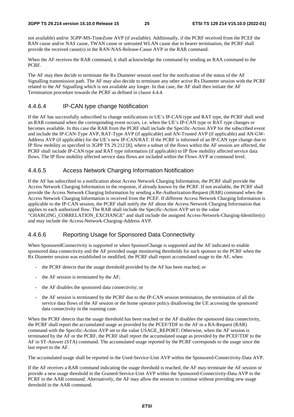not available) and/or 3GPP-MS-TimeZone AVP (if available). Additionally, if the PCRF received from the PCEF the RAN cause and/or NAS cause, TWAN cause or untrusted WLAN cause due to bearer termination, the PCRF shall provide the received cause(s) in the RAN-NAS-Release-Cause AVP in the RAR command.

When the AF receives the RAR command, it shall acknowledge the command by sending an RAA command to the PCRF.

The AF may then decide to terminate the Rx Diameter session used for the notification of the status of the AF Signalling transmission path. The AF may also decide to terminate any other active Rx Diameter session with the PCRF related to the AF Signalling which is not available any longer. In that case, the AF shall then initiate the AF Termination procedure towards the PCRF as defined in clause 4.4.4.

#### 4.4.6.4 IP-CAN type change Notification

If the AF has successfully subscribed to change notifications in UE's IP-CAN type and RAT type, the PCRF shall send an RAR command when the corresponding event occurs, i.e. when the UE's IP-CAN type or RAT type changes or becomes available. In this case the RAR from the PCRF shall include the Specific-Action AVP for the subscribed event and include the IP-CAN-Type AVP, RAT-Type AVP (if applicable) and AN-Trusted AVP (if applicable) and AN-GW-Address AVP (if applicable) for the UE's new IP-CAN/RAT. If the PCRF is informed of an IP-CAN type change due to IP flow mobility as specified in 3GPP TS 29.212 [8], where a subset of the flows within the AF session are affected, the PCRF shall include IP-CAN type and RAT type information (if applicable) to IP flow mobility affected service data flows. The IP flow mobility affected service data flows are included within the Flows AVP at command level.

#### 4.4.6.5 Access Network Charging Information Notification

If the AF has subscribed to a notification about Access Network Charging Information, the PCRF shall provide the Access Network Charging Information in the response, if already known by the PCRF. If not available, the PCRF shall provide the Access Network Charging Information by sending a Re-Authorization-Request (RAR) command when the Access Network Charging Information is received from the PCEF. If different Access Network Charging Information is applicable to the IP-CAN session, the PCRF shall notify the AF about the Access Network Charging Information that applies to each authorized flow. The RAR shall include the Specific-Action AVP set to the value "CHARGING\_CORRELATION\_EXCHANGE" and shall include the assigned Access-Network-Charging-Identifier(s) and may include the Access-Network-Charging-Address AVP.

#### 4.4.6.6 Reporting Usage for Sponsored Data Connectivity

When SponsoredConnectivity is supported or when SponsorChange is supported and the AF indicated to enable sponsored data connectivity and the AF provided usage monitoring thresholds for such sponsor to the PCRF when the Rx Diameter session was established or modified, the PCRF shall report accumulated usage to the AF, when

- the PCRF detects that the usage threshold provided by the AF has been reached; or
- the AF session is terminated by the AF;
- the AF disables the sponsored data connectivity; or
- the AF session is terminated by the PCRF due to the IP-CAN session termination, the termination of all the service data flows of the AF session or the home operator policy disallowing the UE accessing the sponsored data connectivity in the roaming case.

When the PCRF detects that the usage threshold has been reached or the AF disables the sponsored data connectivity, the PCRF shall report the accumulated usage as provided by the PCEF/TDF to the AF in a RA-Request (RAR) command with the Specific-Action AVP set to the value USAGE\_REPORT; Otherwise, when the AF session is terminated by the AF or the PCRF, the PCRF shall report the accumulated usage as provided by the PCEF/TDF to the AF in ST-Answer (STA) command. The accumulated usage reported by the PCRF corresponds to the usage since the last report to the AF.

The accumulated usage shall be reported in the Used-Service-Unit AVP within the Sponsored-Connectivity-Data AVP.

If the AF receives a RAR command indicating the usage threshold is reached, the AF may terminate the AF session or provide a new usage threshold in the Granted-Service-Unit AVP within the Sponsored-Connectivity-Data AVP to the PCRF in the AAR command. Alternatively, the AF may allow the session to continue without providing new usage threshold in the AAR command.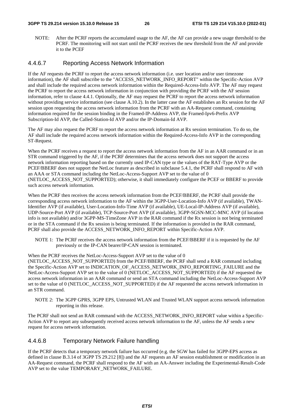NOTE: After the PCRF reports the accumulated usage to the AF, the AF can provide a new usage threshold to the PCRF. The monitoring will not start until the PCRF receives the new threshold from the AF and provide it to the PCEF

#### 4.4.6.7 Reporting Access Network Information

If the AF requests the PCRF to report the access network information (i.e. user location and/or user timezone information), the AF shall subscribe to the "ACCESS\_NETWORK\_INFO\_REPORT" within the Specific-Action AVP and shall include the required access network information within the Required-Access-Info AVP. The AF may request the PCRF to report the access network information in conjunction with providing the PCRF with the AF session information, refer to clause 4.4.1. Optionally, the AF may request the PCRF to report the access network information without providing service information (see clause A.10.2). In the latter case the AF establishes an Rx session for the AF session upon requesting the access network information from the PCRF with an AA-Request command, containing information required for the session binding in the Framed-IP-Address AVP, the Framed-Ipv6-Prefix AVP Subscription-Id AVP, the Called-Station-Id AVP and/or the IP-Domain-Id AVP.

The AF may also request the PCRF to report the access network information at Rx session termination. To do so, the AF shall include the required access network information within the Required-Access-Info AVP in the corresponding ST-Request.

When the PCRF receives a request to report the access network information from the AF in an AAR command or in an STR command triggered by the AF, if the PCRF determines that the access network does not support the access network information reporting based on the currently used IP-CAN type or the values of the RAT-Type AVP or the PCEF/BBERF does not support the NetLoc feature as described in subclause 5.4.1, the PCRF shall respond to AF with an AAA or STA command including the NetLoc-Access-Support AVP set to the value of 0 (NETLOC\_ACCESS\_NOT\_SUPPORTED); otherwise, it shall immediately configure the PCEF or BBERF to provide such access network information.

When the PCRF then receives the access network information from the PCEF/BBERF, the PCRF shall provide the corresponding access network information to the AF within the 3GPP-User-Location-Info AVP (if available), TWAN-Identifier AVP (if available), User-Location-Info-Time AVP (if available), UE-Local-IP-Address AVP (if available), UDP-Source-Port AVP (if available), TCP-Source-Port AVP (if available), 3GPP-SGSN-MCC-MNC AVP (if location info is not available) and/or 3GPP-MS-TimeZone AVP in the RAR command if the Rx session is not being terminated or in the STA command if the Rx session is being terminated. If the information is provided in the RAR command, PCRF shall also provide the ACCESS\_NETWORK\_INFO\_REPORT within Specific-Action AVP.

NOTE 1: The PCRF receives the access network information from the PCEF/BBERF if it is requested by the AF previously or the IP-CAN bearer/IP-CAN session is terminated.

When the PCRF receives the NetLoc-Access-Support AVP set to the value of 0 (NETLOC ACCESS NOT SUPPORTED) from the PCEF/BBERF, the PCRF shall send a RAR command including the Specific-Action AVP set to INDICATION\_OF\_ACCESS\_NETWORK\_INFO\_REPORTING\_FAILURE and the NetLoc-Access-Support AVP set to the value of 0 (NETLOC\_ACCESS\_NOT\_SUPPORTED) if the AF requested the

access network information in an AAR command or send an STA command including the NetLoc-Access-Support AVP set to the value of 0 (NETLOC\_ACCESS\_NOT\_SUPPORTED) if the AF requested the access network information in an STR command.

NOTE 2: The 3GPP GPRS, 3GPP EPS, Untrusted WLAN and Trusted WLAN support access network information reporting in this release.

The PCRF shall not send an RAR command with the ACCESS\_NETWORK\_INFO\_REPORT value within a Specific-Action AVP to report any subsequently received access network information to the AF, unless the AF sends a new request for access network information.

#### 4.4.6.8 Temporary Network Failure handling

If the PCRF detects that a temporary network failure has occurred (e.g. the SGW has failed for 3GPP-EPS access as defined in clause B.3.14 of 3GPP TS 29.212 [8]) and the AF requests an AF session establishment or modification in an AA-Request command, the PCRF shall respond to the AF with an AA-Answer including the Experimental-Result-Code AVP set to the value TEMPORARY\_NETWORK\_FAILURE.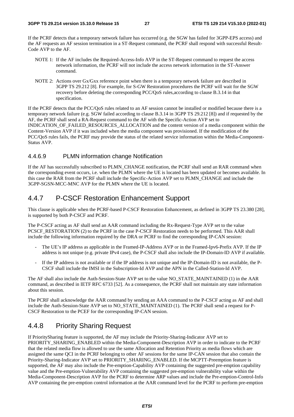If the PCRF detects that a temporary network failure has occurred (e.g. the SGW has failed for 3GPP-EPS access) and the AF requests an AF session termination in a ST-Request command, the PCRF shall respond with successful Result-Code AVP to the AF.

- NOTE 1: If the AF includes the Required-Access-Info AVP in the ST-Request command to request the access network information, the PCRF will not include the access network information in the ST-Answer command.
- NOTE 2: Actions over Gx/Gxx reference point when there is a temporary network failure are described in 3GPP TS 29.212 [8]. For example, for S-GW Restoration procedures the PCRF will wait for the SGW recovery before deleting the corresponding PCC/QoS rules,according to clause B.3.14 in that specification.

If the PCRF detects that the PCC/QoS rules related to an AF session cannot be installed or modified because there is a temporary network failure (e.g. SGW failed according to clause B.3.14 in 3GPP TS 29.212 [8]) and if requested by the AF, the PCRF shall send a RA-Request command to the AF with the Specific-Action AVP set to INDICATION\_OF\_FAILED\_RESOURCES\_ALLOCATION and the content version of a media component within the Content-Version AVP if it was included when the media component was provisioned. If the modification of the PCC/QoS rules fails, the PCRF may provide the status of the related service information within the Media-Component-Status AVP.

#### 4.4.6.9 PLMN information change Notification

If the AF has successfully subscribed to PLMN\_CHANGE notification, the PCRF shall send an RAR command when the corresponding event occurs, i.e. when the PLMN where the UE is located has been updated or becomes available. In this case the RAR from the PCRF shall include the Specific-Action AVP set to PLMN\_CHANGE and include the 3GPP-SGSN-MCC-MNC AVP for the PLMN where the UE is located.

# 4.4.7 P-CSCF Restoration Enhancement Support

This clause is applicable when the PCRF-based P-CSCF Restoration Enhancement, as defined in 3GPP TS 23.380 [28], is supported by both P-CSCF and PCRF.

The P-CSCF acting as AF shall send an AAR command including the Rx-Request-Type AVP set to the value PCSCF\_RESTORATION (2) to the PCRF in the case P-CSCF Restoration needs to be performed. This AAR shall include the following information required by the DRA or PCRF to find the corresponding IP-CAN session:

- The UE's IP address as applicable in the Framed-IP-Address AVP or in the Framed-Ipv6-Prefix AVP. If the IP address is not unique (e.g. private IPv4 case), the P-CSCF shall also include the IP-Domain-ID AVP if available.
- If the IP address is not available or if the IP address is not unique and the IP-Domain-ID is not available, the P-CSCF shall include the IMSI in the Subscription-Id AVP and the APN in the Called-Station-Id AVP.

The AF shall also include the Auth-Session-State AVP set to the value NO\_STATE\_MAINTAINED (1) in the AAR command, as described in IETF RFC 6733 [52]. As a consequence, the PCRF shall not maintain any state information about this session.

The PCRF shall acknowledge the AAR command by sending an AAA command to the P-CSCF acting as AF and shall include the Auth-Session-State AVP set to NO\_STATE\_MAINTAINED (1). The PCRF shall send a request for P-CSCF Restoration to the PCEF for the corresponding IP-CAN session.

# 4.4.8 Priority Sharing Request

If PrioritySharing feature is supported, the AF may include the Priority-Sharing-Indicator AVP set to PRIORITY\_SHARING\_ENABLED within the Media-Component-Description AVP in order to indicate to the PCRF that the related media flow is allowed to use the same Allocation and Retention Priority as media flows which are assigned the same QCI in the PCRF belonging to other AF sessions for the same IP-CAN session that also contain the Priority-Sharing-Indicator AVP set to PRIORITY\_SHARING\_ENABLED. If the MCPTT-Preemption feature is supported, the AF may also include the Pre-emption-Capability AVP containing the suggested pre-emption capability value and the Pre-emption-Vulnerability AVP containing the suggested pre-emption vulnerability value within the Media-Component-Description AVP for the PCRF to determine ARP values and include the Pre-emption-Control-Info AVP containing the pre-emption control information at the AAR command level for the PCRF to perform pre-emption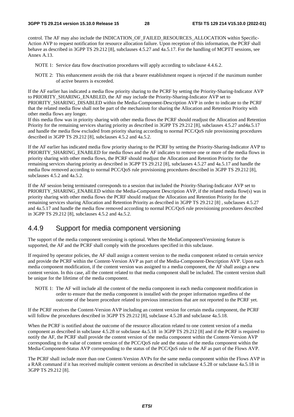control. The AF may also include the INDICATION\_OF\_FAILED\_RESOURCES\_ALLOCATION within Specific-Action AVP to request notification for resource allocation failure. Upon reception of this information, the PCRF shall behave as described in 3GPP TS 29.212 [8], subclauses 4.5.27 and 4a.5.17. For the handling of MCPTT sessions, see Annex A.13.

- NOTE 1: Service data flow deactivation procedures will apply according to subclause 4.4.6.2.
- NOTE 2: This enhancement avoids the risk that a bearer establishment request is rejected if the maximum number of active bearers is exceeded.

If the AF earlier has indicated a media flow priority sharing to the PCRF by setting the Priority-Sharing-Indicator AVP to PRIORITY\_SHARING\_ENABLED, the AF may include the Priority-Sharing-Indicator AVP set to PRIORITY\_SHARING\_DISABLED within the Media-Component-Description AVP in order to indicate to the PCRF that the related media flow shall not be part of the mechanism for sharing the Allocation and Retention Priority with other media flows any longer.

If this media flow was in priority sharing with other media flows the PCRF should readjust the Allocation and Retention Priority for the remaining services sharing priority as described in 3GPP TS 29.212 [8], subclauses 4.5.27 and4a.5.17 and handle the media flow excluded from priority sharing according to normal PCC/QoS rule provisioning procedures described in 3GPP TS 29.212 [8], subclauses 4.5.2 and 4a.5.2.

If the AF earlier has indicated media flow priority sharing to the PCRF by setting the Priority-Sharing-Indicator AVP to PRIORITY\_SHARING\_ENABLED for media flows and the AF indicates to remove one or more of the media flows in priority sharing with other media flows, the PCRF should readjust the Allocation and Retention Priority for the remaining services sharing priority as described in 3GPP TS 29.212 [8], subclauses 4.5.27 and 4a.5.17 and handle the media flow removed according to normal PCC/QoS rule provisioning procedures described in 3GPP TS 29.212 [8], subclauses 4.5.2 and 4a.5.2.

If the AF session being terminated corresponds to a session that included the Priority-Sharing-Indicator AVP set to PRIORITY\_SHARING\_ENABLED within the Media-Component Description AVP, if the related media flow(s) was in priority sharing with other media flows the PCRF should readjust the Allocation and Retention Priority for the remaining services sharing Allocation and Retention Priority as described in 3GPP TS 29.212 [8] , subclauses 4.5.27 and 4a.5.17 and handle the media flow removed according to normal PCC/QoS rule provisioning procedures described in 3GPP TS 29.212 [8], subclauses 4.5.2 and 4a.5.2.

# 4.4.9 Support for media component versioning

The support of the media component versioning is optional. When the MediaComponentVersioning feature is supported, the AF and the PCRF shall comply with the procedures specified in this subclause.

If required by operator policies, the AF shall assign a content version to the media component related to certain service and provide the PCRF within the Content-Version AVP as part of the Media-Component-Description AVP. Upon each media component modification, if the content version was assigned to a media component, the AF shall assign a new content version. In this case, all the content related to that media component shall be included. The content version shall be unique for the lifetime of the media component.

NOTE 1: The AF will include all the content of the media component in each media component modification in order to ensure that the media component is installed with the proper information regardless of the outcome of the bearer procedure related to previous interactions that are not reported to the PCRF yet.

If the PCRF receives the Content-Version AVP including an content version for certain media component, the PCRF will follow the procedures described in 3GPP TS 29.212 [8], subclause 4.5.28 and subclause 4a.5.18.

When the PCRF is notified about the outcome of the resource allocation related to one content version of a media component as described in subclause 4.5.28 or subclause 4a.5.18 in 3GPP TS 29.212 [8] and if the PCRF is required to notify the AF, the PCRF shall provide the content version of the media component within the Content-Version AVP corresponding to the value of content version of the PCC/QoS rule and the status of the media component within the Media-Component-Status AVP corresponding to the status of the PCC/QoS rule to the AF as part of the Flows AVP.

The PCRF shall include more than one Content-Version AVPs for the same media component within the Flows AVP in a RAR command if it has received multiple content versions as described in subclause 4.5.28 or subclause 4a.5.18 in 3GPP TS 29.212 [8].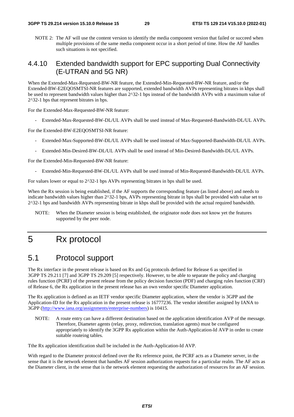NOTE 2: The AF will use the content version to identify the media component version that failed or succeed when multiple provisions of the same media component occur in a short period of time. How the AF handles such situations is not specified.

# 4.4.10 Extended bandwidth support for EPC supporting Dual Connectivity (E-UTRAN and 5G NR)

When the Extended-Max-Requested-BW-NR feature, the Extended-Min-Requested-BW-NR feature, and/or the Extended-BW-E2EQOSMTSI-NR features are supported, extended bandwidth AVPs representing bitrates in kbps shall be used to represent bandwidth values higher than 2^32-1 bps instead of the bandwidth AVPs with a maximum value of 2^32-1 bps that represent bitrates in bps.

For the Extended-Max-Requested-BW-NR feature:

- Extended-Max-Requested-BW-DL/UL AVPs shall be used instead of Max-Requested-Bandwidth-DL/UL AVPs.

For the Extended-BW-E2EQOSMTSI-NR feature:

- Extended-Max-Supported-BW-DL/UL AVPs shall be used instead of Max-Supported-Bandwidth-DL/UL AVPs.
- Extended-Min-Desired-BW-DL/UL AVPs shall be used instead of Min-Desired-Bandwidth-DL/UL AVPs.

For the Extended-Min-Requested-BW-NR feature:

- Extended-Min-Requested-BW-DL/UL AVPs shall be used instead of Min-Requested-Bandwidth-DL/UL AVPs.

For values lower or equal to  $2^{\wedge}32$ -1 bps AVPs representing bitrates in bps shall be used.

When the Rx session is being established, if the AF supports the corresponding feature (as listed above) and needs to indicate bandwidth values higher than 2^32-1 bps, AVPs representing bitrate in bps shall be provided with value set to 2^32-1 bps and bandwidth AVPs representing bitrate in kbps shall be provided with the actual required bandwidth.

NOTE: When the Diameter session is being established, the originator node does not know yet the features supported by the peer node.

# 5 Rx protocol

# 5.1 Protocol support

The Rx interface in the present release is based on Rx and Gq protocols defined for Release 6 as specified in 3GPP TS 29.211 [7] and 3GPP TS 29.209 [5] respectively. However, to be able to separate the policy and charging rules function (PCRF) of the present release from the policy decision function (PDF) and charging rules function (CRF) of Release 6, the Rx application in the present release has an own vendor specific Diameter application.

The Rx application is defined as an IETF vendor specific Diameter application, where the vendor is 3GPP and the Application-ID for the Rx application in the present release is 16777236. The vendor identifier assigned by IANA to 3GPP [\(http://www.iana.org/assignments/enterprise-numbers](http://www.iana.org/assignments/enterprise-numbers)) is 10415.

NOTE: A route entry can have a different destination based on the application identification AVP of the message. Therefore, Diameter agents (relay, proxy, redirection, translation agents) must be configured appropriately to identify the 3GPP Rx application within the Auth-Application-Id AVP in order to create suitable routeing tables.

Tthe Rx application identification shall be included in the Auth-Application-Id AVP.

With regard to the Diameter protocol defined over the Rx reference point, the PCRF acts as a Diameter server, in the sense that it is the network element that handles AF session authorization requests for a particular realm. The AF acts as the Diameter client, in the sense that is the network element requesting the authorization of resources for an AF session.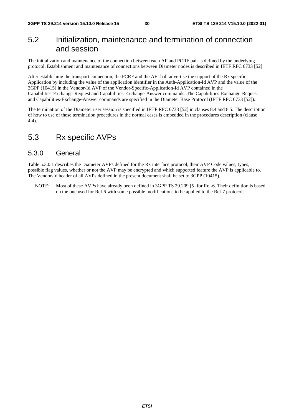# 5.2 Initialization, maintenance and termination of connection and session

The initialization and maintenance of the connection between each AF and PCRF pair is defined by the underlying protocol. Establishment and maintenance of connections between Diameter nodes is described in IETF RFC 6733 [52].

After establishing the transport connection, the PCRF and the AF shall advertise the support of the Rx specific Application by including the value of the application identifier in the Auth-Application-Id AVP and the value of the 3GPP (10415) in the Vendor-Id AVP of the Vendor-Specific-Application-Id AVP contained in the Capabilities-Exchange-Request and Capabilities-Exchange-Answer commands. The Capabilities-Exchange-Request and Capabilities-Exchange-Answer commands are specified in the Diameter Base Protocol (IETF RFC 6733 [52]).

The termination of the Diameter user session is specified in IETF RFC 6733 [52] in clauses 8.4 and 8.5. The description of how to use of these termination procedures in the normal cases is embedded in the procedures description (clause 4.4).

# 5.3 Rx specific AVPs

### 5.3.0 General

Table 5.3.0.1 describes the Diameter AVPs defined for the Rx interface protocol, their AVP Code values, types, possible flag values, whether or not the AVP may be encrypted and which supported feature the AVP is applicable to. The Vendor-Id header of all AVPs defined in the present document shall be set to 3GPP (10415).

NOTE: Most of these AVPs have already been defined in 3GPP TS 29.209 [5] for Rel-6. Their definition is based on the one used for Rel-6 with some possible modifications to be applied to the Rel-7 protocols.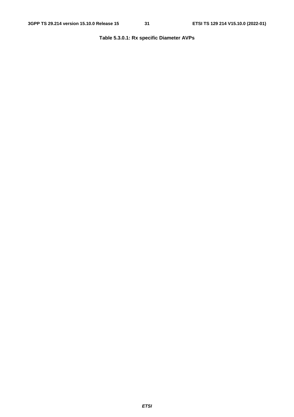### **Table 5.3.0.1: Rx specific Diameter AVPs**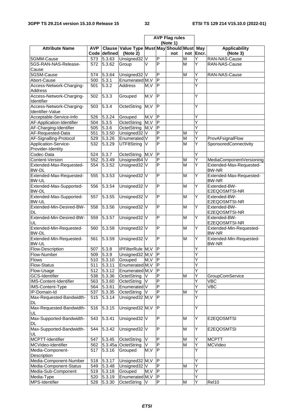|                                              |     |                     |                                                        | <b>AVP Flag rules</b><br>(Note 1) |                         |     |   |           |                                          |
|----------------------------------------------|-----|---------------------|--------------------------------------------------------|-----------------------------------|-------------------------|-----|---|-----------|------------------------------------------|
| <b>Attribute Name</b>                        | AVP | Code defined        | Clause Value Type Must May Should Must May<br>(Note 2) |                                   |                         | not |   | not Encr. | <b>Applicability</b><br>(Note 3)         |
| 5GMM-Cause                                   |     | 573 5.3.63          | Unsigned32                                             | V                                 | $\overline{P}$          |     | M | Y         | RAN-NAS-Cause                            |
| 5GS-RAN-NAS-Release-                         | 572 | 5.3.62              | Group                                                  | $\vee$                            | P                       |     | M | Y         | RAN-NAS-Cause                            |
| Cause                                        |     |                     |                                                        |                                   |                         |     |   |           |                                          |
| 5GSM-Cause                                   | 574 | 5.3.64              | Unsigned32 V                                           |                                   | P                       |     | M | Y         | RAN-NAS-Cause                            |
| Abort-Cause                                  | 500 | 5.3.1               | Enumerated M, V                                        |                                   | $\overline{\mathsf{P}}$ |     |   | Ý         |                                          |
| Access-Network-Charging-<br>Address          | 501 | 5.3.2               | <b>Address</b>                                         | M, V                              | $\mathsf{P}$            |     |   | Ý         |                                          |
| Access-Network-Charging-<br>Identifier       | 502 | 5.3.3               | Grouped                                                | M, V                              | $\overline{\mathsf{P}}$ |     |   | Y         |                                          |
| Access-Network-Charging-<br>Identifier-Value | 503 | 5.3.4               | OctetString                                            | M, V                              | $\overline{\mathsf{P}}$ |     |   | Ý         |                                          |
| Acceptable-Service-Info                      | 526 | 5.3.24              | Grouped                                                | M, V                              | $\mathsf{P}$            |     |   | Y         |                                          |
| AF-Application-Identifier                    | 504 | 5.3.5               | OctetString                                            | M, V                              | $\overline{\mathsf{P}}$ |     |   | Ý         |                                          |
| AF-Charging-Identifier                       | 505 | 5.3.6               | OctetString                                            | M, V                              | $\mathsf{P}$            |     |   | Ÿ         |                                          |
|                                              |     |                     |                                                        |                                   | $\overline{P}$          |     |   | Ý         |                                          |
| AF-Requested-Data                            | 551 | 5.3.50              | Unsigned32                                             | V                                 |                         |     | M |           |                                          |
| AF-Signalling-Protocol                       | 529 | $\overline{5.3.26}$ | Enumerated V                                           |                                   | P                       |     | M | Y         | ProvAFsignalFlow                         |
| Application-Service-<br>Provider-Identity    | 532 | 5.3.29              | UTF8String                                             | V                                 | $\overline{P}$          |     | M | Y         | SponsoredConnectivity                    |
| Codec-Data                                   | 524 | 5.3.7               | OctetString                                            | $\overline{M,V}$                  | $\overline{P}$          |     |   | Ý         |                                          |
| Content-Version                              | 552 | 5.3.49              | Unsigned64 V                                           |                                   | $\overline{P}$          |     | M | Ý         | MediaComponentVersioning                 |
| Extended-Max-Requested-<br><b>BW-DL</b>      | 554 | 5.3.52              | Unsigned32 V                                           |                                   | P                       |     | M | Y         | Extended-Max-Requested-<br><b>BW-NR</b>  |
| Extended-Max-Requested-<br><b>BW-UL</b>      | 555 | 5.3.53              | Unsigned32 V                                           |                                   | P                       |     | M | Y         | Extended-Max-Requested-<br><b>BW-NR</b>  |
| Extended-Max-Supported-<br><b>BW-DL</b>      | 556 | 5.3.54              | Unsigned32 V                                           |                                   | P                       |     | M | Y         | Extended-BW-                             |
| Extended-Max-Supported-                      | 557 | 5.3.55              | Unsigned32 V                                           |                                   | P                       |     | M | Y         | E2EQOSMTSI-NR<br>Extended-BW-            |
| <b>BW-UL</b><br>Extended-Min-Desired-BW-     | 558 | 5.3.56              | Unsigned32 V                                           |                                   | $\overline{P}$          |     | M | Y         | E2EQOSMTSI-NR<br>Extended-BW-            |
| <b>DL</b><br>Extended-Min-Desired-BW-        | 559 | 5.3.57              | Unsigned32 V                                           |                                   | $\overline{P}$          |     | M | Y         | E2EQOSMTSI-NR<br>Extended-BW-            |
| UL<br>Extended-Min-Requested-                | 560 | 5.3.58              | Unsigned32 V                                           |                                   | $\overline{P}$          |     | M | Y         | E2EQOSMTSI-NR<br>Extended-Min-Requested- |
| <b>BW-DL</b><br>Extended-Min-Requested-      | 561 | 5.3.59              | Unsigned32 V                                           |                                   | P                       |     | M | Υ         | BW-NR<br>Extended-Min-Requested-         |
| <b>BW-UL</b><br>Flow-Description             |     | 507 5.3.8           | IPFilterRule M, V                                      |                                   | ĪΡ                      |     |   | Y         | <b>BW-NR</b>                             |
|                                              |     |                     |                                                        |                                   | IP                      |     |   |           |                                          |
| Flow-Number                                  |     | 509 5.3.9           | Unsigned32 M, V                                        |                                   |                         |     |   | Υ         |                                          |
| <b>Flows</b>                                 |     | 510 5.3.10          | Grouped                                                | M, V                              | $\overline{\mathsf{P}}$ |     |   | Y         |                                          |
| Flow-Status                                  | 511 | 5.3.11              | Enumerated M, V                                        |                                   | IP.                     |     |   | Ý         |                                          |
| Flow-Usage                                   | 512 | 5.3.12              | Enumerated M, V                                        |                                   | IP                      |     |   | Ý         |                                          |
| <b>GCS-Identifier</b>                        |     | 538 5.3.36          | OctetString                                            | IV                                | P                       |     | M | Y         | GroupComService                          |
| IMS-Content-Identifier                       | 563 | 5.3.60              | OctetString                                            | V                                 | $\overline{P}$          |     |   | Ý         | <b>VBC</b>                               |
| IMS-Content-Type                             | 564 | 5.3.61              | Enumerated V                                           |                                   | $\overline{P}$          |     |   | Y         | <b>VBC</b>                               |
| IP-Domain-Id                                 | 537 | 5.3.35              | OctetString                                            | V                                 | $\overline{P}$          |     | M | Y         |                                          |
| Max-Requested-Bandwidth-<br>DL               | 515 | 5.3.14              | Unsigned32 M, V                                        |                                   | $\mathsf{P}$            |     |   | Ý         |                                          |
| Max-Requested-Bandwidth-<br>UL               | 516 | 5.3.15              | Unsigned32 M, V                                        |                                   | P                       |     |   | Υ         |                                          |
| Max-Supported-Bandwidth-<br>DL               | 543 | 5.3.41              | Unsigned32 V                                           |                                   | $\overline{P}$          |     | M | Y         | E2EQOSMTSI                               |
| Max-Supported-Bandwidth-<br>UL.              | 544 | 5.3.42              | Unsigned32 V                                           |                                   | $\overline{P}$          |     | M | Υ         | E2EQOSMTSI                               |
| MCPTT-Identifier                             |     | 547 5.3.45          | OctetString                                            | V                                 | $\sf P$                 |     | M | Y         | <b>MCPTT</b>                             |
| MCVideo-Identifier                           |     |                     | 562 5.3.45a OctetString                                | V                                 | P                       |     | M | Y         | <b>MCVideo</b>                           |
| Media-Component-                             |     | 517 5.3.16          | Grouped                                                | M, V                              | $\overline{\mathsf{P}}$ |     |   | Ý         |                                          |
| Description                                  |     |                     |                                                        |                                   |                         |     |   |           |                                          |
| Media-Component-Number                       | 518 | 5.3.17              | Unsigned32 M, V                                        |                                   | $\mathsf P$             |     |   | Y         |                                          |
| Media-Component-Status                       | 549 | 5.3.48              | Unsigned32 V                                           |                                   | $\mathsf P$             |     | M | Υ         |                                          |
| Media-Sub-Component                          | 519 | $\overline{5.3.18}$ | Grouped                                                | M, V                              | $\overline{\mathsf{P}}$ |     |   | Ϋ         |                                          |
| Media-Type                                   | 520 | 5.3.19              | Enumerated M, V                                        |                                   | $\overline{\mathsf{P}}$ |     |   | Y         |                                          |
| MPS-Identifier                               | 528 | 5.3.30              | OctetString                                            | V                                 | $\overline{P}$          |     | M | Y         | Rel10                                    |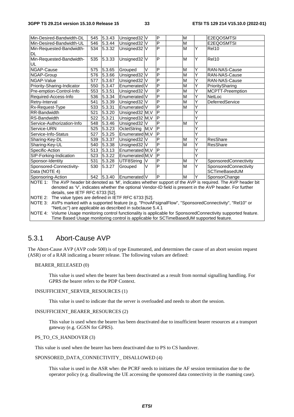| Min-Desired-Bandwidth-DL                                                                                                                                                                                                                                        | 545 | 5.3.43          | Unsigned32 V            |    | P                       |  | M                       |   | E2EQOSMTSI                             |
|-----------------------------------------------------------------------------------------------------------------------------------------------------------------------------------------------------------------------------------------------------------------|-----|-----------------|-------------------------|----|-------------------------|--|-------------------------|---|----------------------------------------|
| Min-Desired-Bandwidth-UL                                                                                                                                                                                                                                        | 546 | $\sqrt{5.3.44}$ | Unsigned32 V            |    | P                       |  | M                       |   | E2EQOSMTSI                             |
| Min-Requested-Bandwidth-<br>DL                                                                                                                                                                                                                                  | 534 | 5.3.32          | Unsigned32 V            |    | P                       |  | M                       | Y | Rel10                                  |
| Min-Requested-Bandwidth-<br>UL                                                                                                                                                                                                                                  | 535 | 5.3.33          | Unsigned32 V            |    | P                       |  | M                       | Y | Rel10                                  |
| NGAP-Cause                                                                                                                                                                                                                                                      | 575 | 5.3.65          | Grouped                 | V  | P                       |  | M                       | Y | RAN-NAS-Cause                          |
| NGAP-Group                                                                                                                                                                                                                                                      | 576 | 5.3.66          | Unsigned32 <sub>V</sub> |    | P                       |  | M                       | Ý | RAN-NAS-Cause                          |
| NGAP-Value                                                                                                                                                                                                                                                      | 577 | 5.3.67          | Unsigned32 V            |    | P                       |  | M                       | Ý | RAN-NAS-Cause                          |
| Priority-Sharing-Indicator                                                                                                                                                                                                                                      | 550 | 5.3.47          | Enumerated V            |    | P                       |  | $\overline{\mathsf{M}}$ | Ý | PrioritySharing                        |
| Pre-emption-Control-Info                                                                                                                                                                                                                                        | 553 | 5.3.51          | Unsigned32 V            |    | P                       |  | $\overline{\mathsf{M}}$ | Ý | MCPTT-Preemption                       |
| Required-Access-Info                                                                                                                                                                                                                                            | 536 | 5.3.34          | Enumerated V            |    | P                       |  | M                       | Y | NetLoc                                 |
| Retry-Interval                                                                                                                                                                                                                                                  | 541 | 5.3.39          | Unsigned32 V            |    | P                       |  | $\overline{\mathsf{M}}$ | Y | DeferredService                        |
| Rx-Request-Type                                                                                                                                                                                                                                                 | 533 | 5.3.31          | Enumerated V            |    | P                       |  | M                       | Ý |                                        |
| RR-Bandwidth                                                                                                                                                                                                                                                    | 521 | 5.3.20          | Unsigned32 M, V         |    | P                       |  |                         |   |                                        |
| RS-Bandwidth                                                                                                                                                                                                                                                    | 522 | 5.3.21          | Unsigned32 M, V         |    | P                       |  |                         | Ý |                                        |
| Service-Authorization-Info                                                                                                                                                                                                                                      | 548 | 5.3.46          | Unsigned32 <sub>V</sub> |    | P                       |  | M                       | Y |                                        |
| Service-URN                                                                                                                                                                                                                                                     | 525 | 5.3.23          | OctetString M, V        |    | $\overline{P}$          |  |                         | Ý |                                        |
| Service-Info-Status                                                                                                                                                                                                                                             | 527 | 5.3.25          | Enumerated M, V         |    | P                       |  |                         | Ý |                                        |
| Sharing-Key-DL                                                                                                                                                                                                                                                  | 539 | 5.3.37          | Unsigned32 V            |    | P                       |  | M                       | Ý | <b>ResShare</b>                        |
| Sharing-Key-UL                                                                                                                                                                                                                                                  | 540 | 5.3.38          | Unsigned32 V            |    | $\overline{P}$          |  | M                       | Υ | <b>ResShare</b>                        |
| Specific-Action                                                                                                                                                                                                                                                 | 513 | 5.3.13          | Enumerated M, V         |    | $\overline{P}$          |  |                         |   |                                        |
| SIP-Forking-Indication                                                                                                                                                                                                                                          | 523 | 5.3.22          | Enumerated M, V         |    | $\overline{\mathsf{P}}$ |  |                         | Y |                                        |
| Sponsor-Identity                                                                                                                                                                                                                                                | 531 | 5.3.28          | UTF8String              | IV | P                       |  | M                       | Υ | SponsoredConnectivity                  |
| Sponsored-Connectivity-<br>Data (NOTE 4)                                                                                                                                                                                                                        | 530 | 5.3.27          | Grouped                 | V  | P                       |  | M                       | Y | SponsoredConnectivity<br>SCTimeBasedUM |
| Sponsoring-Action                                                                                                                                                                                                                                               | 542 | 5.3.40          | Enumerated V            |    | P                       |  | M                       | Υ | SponsorChange                          |
| NOTE 1: The AVP header bit denoted as 'M', indicates whether support of the AVP is required. The AVP header bit<br>denoted as 'V', indicates whether the optional Vendor-ID field is present in the AVP header. For further<br>details, see IETF RFC 6733 [52]. |     |                 |                         |    |                         |  |                         |   |                                        |

NOTE 2: The value types are defined in IETF RFC 6733 [52].

NOTE 3: AVPs marked with a supported feature (e.g. "ProvAFsignalFlow", "SponsoredConnectivity", "Rel10" or "NetLoc") are applicable as described in subclause 5.4.1

NOTE 4: Volume Usage monitoring control functionality is applicable for SponsoredConnectivity supported feature. Time Based Usage monitoring control is applicable for SCTimeBasedUM supported feature.

### 5.3.1 Abort-Cause AVP

The Abort-Cause AVP (AVP code 500) is of type Enumerated, and determines the cause of an abort session request (ASR) or of a RAR indicating a bearer release. The following values are defined:

#### BEARER\_RELEASED (0)

 This value is used when the bearer has been deactivated as a result from normal signalling handling. For GPRS the bearer refers to the PDP Context.

#### INSUFFICIENT\_SERVER\_RESOURCES (1)

This value is used to indicate that the server is overloaded and needs to abort the session.

#### INSUFFICIENT\_BEARER\_RESOURCES (2)

 This value is used when the bearer has been deactivated due to insufficient bearer resources at a transport gateway (e.g. GGSN for GPRS).

#### PS TO CS HANDOVER (3)

This value is used when the bearer has been deactivated due to PS to CS handover.

#### SPONSORED\_DATA\_CONNECTIVITY\_ DISALLOWED (4)

 This value is used in the ASR when the PCRF needs to initiates the AF session termination due to the operator policy (e.g. disallowing the UE accessing the sponsored data connectivity in the roaming case).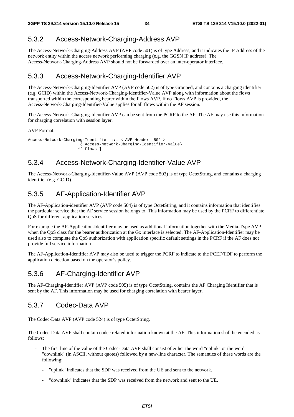# 5.3.2 Access-Network-Charging-Address AVP

The Access-Network-Charging-Address AVP (AVP code 501) is of type Address, and it indicates the IP Address of the network entity within the access network performing charging (e.g. the GGSN IP address). The Access-Network-Charging-Address AVP should not be forwarded over an inter-operator interface.

# 5.3.3 Access-Network-Charging-Identifier AVP

The Access-Network-Charging-Identifier AVP (AVP code 502) is of type Grouped, and contains a charging identifier (e.g. GCID) within the Access-Network-Charging-Identifier-Value AVP along with information about the flows transported within the corresponding bearer within the Flows AVP. If no Flows AVP is provided, the Access-Network-Charging-Identifier-Value applies for all flows within the AF session.

The Access-Network-Charging-Identifier AVP can be sent from the PCRF to the AF. The AF may use this information for charging correlation with session layer.

AVP Format:

```
Access-Network-Charging-Identifier ::= < AVP Header: 502 > 
            { Access-Network-Charging-Identifier-Value} 
          *[ Flows 1
```
### 5.3.4 Access-Network-Charging-Identifier-Value AVP

The Access-Network-Charging-Identifier-Value AVP (AVP code 503) is of type OctetString, and contains a charging identifier (e.g. GCID).

# 5.3.5 AF-Application-Identifier AVP

The AF-Application-identifier AVP (AVP code 504) is of type OctetString, and it contains information that identifies the particular service that the AF service session belongs to. This information may be used by the PCRF to differentiate QoS for different application services.

For example the AF-Application-Identifier may be used as additional information together with the Media-Type AVP when the QoS class for the bearer authorization at the Gx interface is selected. The AF-Application-Identifier may be used also to complete the QoS authorization with application specific default settings in the PCRF if the AF does not provide full service information.

The AF-Application-Identifier AVP may also be used to trigger the PCRF to indicate to the PCEF/TDF to perform the application detection based on the operator's policy.

### 5.3.6 AF-Charging-Identifier AVP

The AF-Charging-Identifier AVP (AVP code 505) is of type OctetString, contains the AF Charging Identifier that is sent by the AF. This information may be used for charging correlation with bearer layer.

### 5.3.7 Codec-Data AVP

The Codec-Data AVP (AVP code 524) is of type OctetString.

The Codec-Data AVP shall contain codec related information known at the AF. This information shall be encoded as follows:

- The first line of the value of the Codec-Data AVP shall consist of either the word "uplink" or the word "downlink" (in ASCII, without quotes) followed by a new-line character. The semantics of these words are the following:
	- "uplink" indicates that the SDP was received from the UE and sent to the network.
	- "downlink" indicates that the SDP was received from the network and sent to the UE.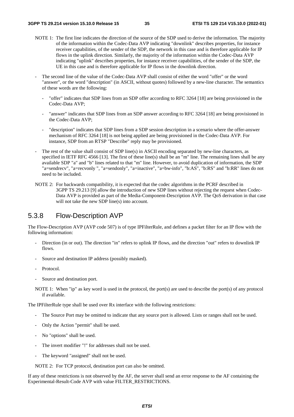- NOTE 1: The first line indicates the direction of the source of the SDP used to derive the information. The majority of the information within the Codec-Data AVP indicating "downlink" describes properties, for instance receiver capabilities, of the sender of the SDP, the network in this case and is therefore applicable for IP flows in the uplink direction. Similarly, the majority of the information within the Codec-Data AVP indicating "uplink" describes properties, for instance receiver capabilities, of the sender of the SDP, the UE in this case and is therefore applicable for IP flows in the downlink direction.
- The second line of the value of the Codec-Data AVP shall consist of either the word "offer" or the word "answer", or the word "description" (in ASCII, without quotes) followed by a new-line character. The semantics of these words are the following:
	- "offer" indicates that SDP lines from an SDP offer according to RFC 3264 [18] are being provisioned in the Codec-Data AVP;
	- "answer" indicates that SDP lines from an SDP answer according to RFC 3264 [18] are being provisioned in the Codec-Data AVP;
	- "description" indicates that SDP lines from a SDP session description in a scenario where the offer-answer mechanism of RFC 3264 [18] is not being applied are being provisioned in the Codec-Data AVP. For instance, SDP from an RTSP "Describe" reply may be provisioned.
- The rest of the value shall consist of SDP line(s) in ASCII encoding separated by new-line characters, as specified in IETF RFC 4566 [13]. The first of these line(s) shall be an "m" line. The remaining lines shall be any available SDP "a" and "b" lines related to that "m" line. However, to avoid duplication of information, the SDP "a=sendrecv", "a=recvonly ", "a=sendonly", "a=inactive", "a=bw-info", "b:AS", "b:RS" and "b:RR" lines do not need to be included.
- NOTE 2: For backwards compatibility, it is expected that the codec algorithms in the PCRF described in 3GPP TS 29.213 [9] allow the introduction of new SDP lines without rejecting the request when Codec-Data AVP is provided as part of the Media-Component-Description AVP. The QoS derivation in that case will not take the new SDP line(s) into account.

# 5.3.8 Flow-Description AVP

The Flow-Description AVP (AVP code 507) is of type IPFilterRule, and defines a packet filter for an IP flow with the following information:

- Direction (in or out). The direction "in" refers to uplink IP flows, and the direction "out" refers to downlink IP flows.
- Source and destination IP address (possibly masked).
- Protocol.
- Source and destination port.

NOTE 1: When "ip" as key word is used in the protocol, the port(s) are used to describe the port(s) of any protocol if available.

The IPFilterRule type shall be used over Rx interface with the following restrictions:

- The Source Port may be omitted to indicate that any source port is allowed. Lists or ranges shall not be used.
- Only the Action "permit" shall be used.
- No "options" shall be used.
- The invert modifier "!" for addresses shall not be used.
- The keyword "assigned" shall not be used.

NOTE 2: For TCP protocol, destination port can also be omitted.

If any of these restrictions is not observed by the AF, the server shall send an error response to the AF containing the Experimental-Result-Code AVP with value FILTER\_RESTRICTIONS.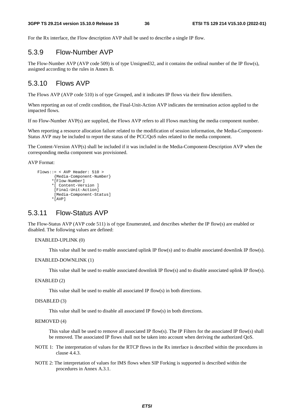For the Rx interface, the Flow description AVP shall be used to describe a single IP flow.

# 5.3.9 Flow-Number AVP

The Flow-Number AVP (AVP code 509) is of type Unsigned32, and it contains the ordinal number of the IP flow(s), assigned according to the rules in Annex B.

### 5.3.10 Flows AVP

The Flows AVP (AVP code 510) is of type Grouped, and it indicates IP flows via their flow identifiers.

When reporting an out of credit condition, the Final-Unit-Action AVP indicates the termination action applied to the impacted flows.

If no Flow-Number AVP(s) are supplied, the Flows AVP refers to all Flows matching the media component number.

When reporting a resource allocation failure related to the modification of session information, the Media-Component-Status AVP may be included to report the status of the PCC/QoS rules related to the media component.

The Content-Version AVP(s) shall be included if it was included in the Media-Component-Description AVP when the corresponding media component was provisioned.

AVP Format:

```
 Flows::= < AVP Header: 510 > 
        {Media-Component-Number} 
        *[Flow-Number] 
       *[ Content-Version ] 
        [Final-Unit-Action] 
         [Media-Component-Status] 
       *[AVP]
```
## 5.3.11 Flow-Status AVP

The Flow-Status AVP (AVP code 511) is of type Enumerated, and describes whether the IP flow(s) are enabled or disabled. The following values are defined:

#### ENABLED-UPLINK (0)

This value shall be used to enable associated uplink IP flow(s) and to disable associated downlink IP flow(s).

```
ENABLED-DOWNLINK (1)
```
This value shall be used to enable associated downlink IP flow(s) and to disable associated uplink IP flow(s).

ENABLED (2)

This value shall be used to enable all associated IP flow(s) in both directions.

DISABLED (3)

This value shall be used to disable all associated IP flow(s) in both directions.

#### REMOVED (4)

 This value shall be used to remove all associated IP flow(s). The IP Filters for the associated IP flow(s) shall be removed. The associated IP flows shall not be taken into account when deriving the authorized QoS.

- NOTE 1: The interpretation of values for the RTCP flows in the Rx interface is described within the procedures in clause 4.4.3.
- NOTE 2: The interpretation of values for IMS flows when SIP Forking is supported is described within the procedures in Annex A.3.1.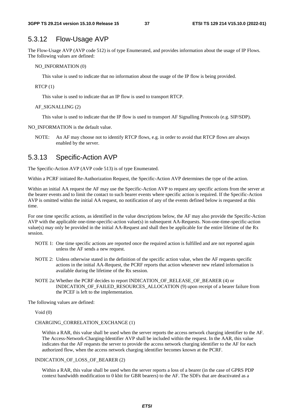### 5.3.12 Flow-Usage AVP

The Flow-Usage AVP (AVP code 512) is of type Enumerated, and provides information about the usage of IP Flows. The following values are defined:

NO\_INFORMATION (0)

This value is used to indicate that no information about the usage of the IP flow is being provided.

#### RTCP (1)

This value is used to indicate that an IP flow is used to transport RTCP.

#### AF\_SIGNALLING (2)

This value is used to indicate that the IP flow is used to transport AF Signalling Protocols (e.g. SIP/SDP).

NO\_INFORMATION is the default value.

NOTE: An AF may choose not to identify RTCP flows, e.g. in order to avoid that RTCP flows are always enabled by the server.

### 5.3.13 Specific-Action AVP

The Specific-Action AVP (AVP code 513) is of type Enumerated.

Within a PCRF initiated Re-Authorization Request, the Specific-Action AVP determines the type of the action.

Within an initial AA request the AF may use the Specific-Action AVP to request any specific actions from the server at the bearer events and to limit the contact to such bearer events where specific action is required. If the Specific-Action AVP is omitted within the initial AA request, no notification of any of the events defined below is requested at this time.

For one time specific actions, as identified in the value descriptions below, the AF may also provide the Specific-Action AVP with the applicable one-time-specific-action value(s) in subsequent AA-Requests. Non-one-time-specific-action value(s) may only be provided in the initial AA-Request and shall then be applicable for the entire lifetime of the Rx session.

- NOTE 1: One time specific actions are reported once the required action is fulfilled and are not reported again unless the AF sends a new request.
- NOTE 2: Unless otherwise stated in the definition of the specific action value, when the AF requests specific actions in the initial AA-Request, the PCRF reports that action whenever new related information is available during the lifetime of the Rx session.
- NOTE 2a: Whether the PCRF decides to report INDICATION OF RELEASE OF BEARER (4) or INDICATION\_OF\_FAILED\_RESOURCES\_ALLOCATION (9) upon receipt of a bearer failure from the PCEF is left to the implementation.

The following values are defined:

#### Void (0)

#### CHARGING\_CORRELATION\_EXCHANGE (1)

Within a RAR, this value shall be used when the server reports the access network charging identifier to the AF. The Access-Network-Charging-Identifier AVP shall be included within the request. In the AAR, this value indicates that the AF requests the server to provide the access network charging identifier to the AF for each authorized flow, when the access network charging identifier becomes known at the PCRF.

#### INDICATION\_OF\_LOSS\_OF\_BEARER (2)

 Within a RAR, this value shall be used when the server reports a loss of a bearer (in the case of GPRS PDP context bandwidth modification to 0 kbit for GBR bearers) to the AF. The SDFs that are deactivated as a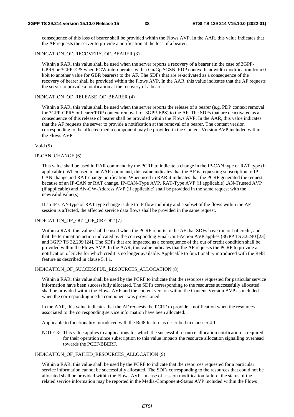consequence of this loss of bearer shall be provided within the Flows AVP. In the AAR, this value indicates that the AF requests the server to provide a notification at the loss of a bearer.

#### INDICATION OF RECOVERY OF BEARER (3)

 Within a RAR, this value shall be used when the server reports a recovery of a bearer (in the case of 3GPP-GPRS or 3GPP-EPS when PGW interoperates with a Gn/Gp SGSN, PDP context bandwidth modification from 0 kbit to another value for GBR bearers) to the AF. The SDFs that are re-activated as a consequence of the recovery of bearer shall be provided within the Flows AVP. In the AAR, this value indicates that the AF requests the server to provide a notification at the recovery of a bearer.

#### INDICATION OF RELEASE OF BEARER (4)

Within a RAR, this value shall be used when the server reports the release of a bearer (e.g. PDP context removal for 3GPP-GPRS or bearer/PDP context removal for 3GPP-EPS) to the AF. The SDFs that are deactivated as a consequence of this release of bearer shall be provided within the Flows AVP. In the AAR, this value indicates that the AF requests the server to provide a notification at the removal of a bearer. The content version corresponding to the affected media component may be provided in the Content-Version AVP included within the Flows AVP.

#### Void (5)

#### IP-CAN\_CHANGE (6)

This value shall be used in RAR command by the PCRF to indicate a change in the IP-CAN type or RAT type (if applicable). When used in an AAR command, this value indicates that the AF is requesting subscription to IP-CAN change and RAT change notification. When used in RAR it indicates that the PCRF generated the request because of an IP-CAN or RAT change. IP-CAN-Type AVP, RAT-Type AVP (if applicable) ,AN-Trusted AVP (if applicable) and AN-GW-Address AVP (if applicable) shall be provided in the same request with the new/valid value(s).

If an IP-CAN type or RAT type change is due to IP flow mobility and a subset of the flows within the AF session is affected, the affected service data flows shall be provided in the same request.

#### INDICATION OF OUT OF CREDIT (7)

 Within a RAR, this value shall be used when the PCRF reports to the AF that SDFs have run out of credit, and that the termination action indicated by the corresponding Final-Unit-Action AVP applies (3GPP TS 32.240 [23] and 3GPP TS 32.299 [24]. The SDFs that are impacted as a consequence of the out of credit condition shall be provided within the Flows AVP. In the AAR, this value indicates that the AF requests the PCRF to provide a notification of SDFs for which credit is no longer available. Applicable to functionality introduced with the Rel8 feature as described in clause 5.4.1.

#### INDICATION\_OF\_SUCCESSFUL\_RESOURCES\_ALLOCATION (8)

Within a RAR, this value shall be used by the PCRF to indicate that the resources requested for particular service information have been successfully allocated. The SDFs corresponding to the resources successfully allocated shall be provided within the Flows AVP and the content version within the Content-Version AVP as included when the corresponding media component was provisioned.

In the AAR, this value indicates that the AF requests the PCRF to provide a notification when the resources associated to the corresponding service information have been allocated.

Applicable to functionality introduced with the Rel8 feature as described in clause 5.4.1.

NOTE 3: This value applies to applications for which the successful resource allocation notification is required for their operation since subscription to this value impacts the resource allocation signalling overhead towards the PCEF/BBERF.

#### INDICATION\_OF\_FAILED\_RESOURCES\_ALLOCATION (9)

 Within a RAR, this value shall be used by the PCRF to indicate that the resources requested for a particular service information cannot be successfully allocated. The SDFs corresponding to the resources that could not be allocated shall be provided within the Flows AVP. In case of session modification failure, the status of the related service information may be reported in the Media-Component-Status AVP included within the Flows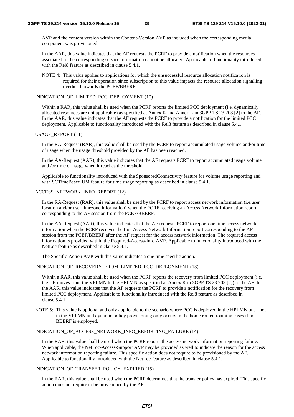AVP and the content version within the Content-Version AVP as included when the corresponding media component was provisioned.

In the AAR, this value indicates that the AF requests the PCRF to provide a notification when the resources associated to the corresponding service information cannot be allocated. Applicable to functionality introduced with the Rel8 feature as described in clause 5.4.1.

NOTE 4: This value applies to applications for which the unsuccessful resource allocation notification is required for their operation since subscription to this value impacts the resource allocation signalling overhead towards the PCEF/BBERF.

### INDICATION OF LIMITED PCC DEPLOYMENT (10)

Within a RAR, this value shall be used when the PCRF reports the limited PCC deployment (i.e. dynamically allocated resources are not applicable) as specified at Annex K and Annex L in 3GPP TS 23.203 [2] to the AF. In the AAR, this value indicates that the AF requests the PCRF to provide a notification for the limited PCC deployment. Applicable to functionality introduced with the Rel8 feature as described in clause 5.4.1.

#### USAGE\_REPORT (11)

In the RA-Request (RAR), this value shall be used by the PCRF to report accumulated usage volume and/or time of usage when the usage threshold provided by the AF has been reached.

 In the AA-Request (AAR), this value indicates that the AF requests PCRF to report accumulated usage volume and /or time of usage when it reaches the threshold.

Applicable to functionality introduced with the SponsoredConnectivity feature for volume usage reporting and with SCTimeBased UM feature for time usage reporting as described in clause 5.4.1.

#### ACCESS\_NETWORK\_INFO\_REPORT (12)

In the RA-Request (RAR), this value shall be used by the PCRF to report access network information (i.e.user location and/or user timezone information) when the PCRF receiving an Access Network Information report corresponding to the AF session from the PCEF/BBERF.

In the AA-Request (AAR), this value indicates that the AF requests PCRF to report one time access network information when the PCRF receives the first Access Network Information report corresponding to the AF session from the PCEF/BBERF after the AF request for the access network information. The required access information is provided within the Required-Access-Info AVP. Applicable to functionality introduced with the NetLoc feature as described in clause 5.4.1.

The Specific-Action AVP with this value indicates a one time specific action.

#### INDICATION\_OF\_RECOVERY\_FROM\_LIMITED\_PCC\_DEPLOYMENT (13)

Within a RAR, this value shall be used when the PCRF reports the recovery from limited PCC deployment (i.e. the UE moves from the VPLMN to the HPLMN as specified at Annex K in 3GPP TS 23.203 [2]) to the AF. In the AAR, this value indicates that the AF requests the PCRF to provide a notification for the recovery from limited PCC deployment. Applicable to functionality introduced with the Rel8 feature as described in clause 5.4.1.

NOTE 5: This value is optional and only applicable to the scenario where PCC is deployed in the HPLMN but not in the VPLMN and dynamic policy provisioning only occurs in the home routed roaming cases if no BBERF is employed.

### INDICATION\_OF\_ACCESS\_NETWORK\_INFO\_REPORTING\_FAILURE (14)

In the RAR, this value shall be used when the PCRF reports the access network information reporting failure. When applicable, the NetLoc-Access-Support AVP may be provided as well to indicate the reason for the access network information reporting failure. This specific action does not require to be provisioned by the AF. Applicable to functionality introduced with the NetLoc feature as described in clause 5.4.1.

### INDICATION\_OF\_TRANSFER\_POLICY\_EXPIRED (15)

In the RAR, this value shall be used when the PCRF determines that the transfer policy has expired. This specific action does not require to be provisioned by the AF.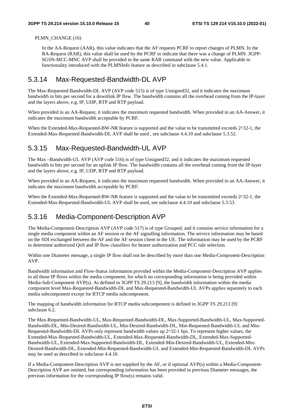### PLMN\_CHANGE (16)

In the AA-Request (AAR), this value indicates that the AF requests PCRF to report changes of PLMN. In the RA-Request (RAR), this value shall be used by the PCRF to indicate that there was a change of PLMN. 3GPP-SGSN-MCC-MNC AVP shall be provided in the same RAR command with the new value. Applicable to functionality introduced with the PLMNInfo feature as described in subclause 5.4.1.

# 5.3.14 Max-Requested-Bandwidth-DL AVP

The Max-Requested-Bandwidth-DL AVP (AVP code 515) is of type Unsigned32, and it indicates the maximum bandwidth in bits per second for a downlink IP flow. The bandwidth contains all the overhead coming from the IP-layer and the layers above, e.g. IP, UDP, RTP and RTP payload.

When provided in an AA-Request, it indicates the maximum requested bandwidth. When provided in an AA-Answer, it indicates the maximum bandwidth acceptable by PCRF.

When the Extended-Max-Requested-BW-NR feature is supported and the value to be transmitted exceeds  $2^{\wedge}32-1$ , the Extended-Max-Requested-Bandwidth-DL AVP shall be used , see subclause 4.4.10 and subclause 5.3.52.

# 5.3.15 Max-Requested-Bandwidth-UL AVP

The Max –Bandwidth-UL AVP (AVP code 516) is of type Unsigned32, and it indicates the maximum requested bandwidth in bits per second for an uplink IP flow. The bandwidth contains all the overhead coming from the IP-layer and the layers above, e.g. IP, UDP, RTP and RTP payload.

When provided in an AA-Request, it indicates the maximum requested bandwidth. When provided in an AA-Answer, it indicates the maximum bandwidth acceptable by PCRF.

When the Extended-Max-Requested-BW-NR feature is supported and the value to be transmitted exceeds  $2^{\wedge}32$ -1, the Extended-Max-Requested-Bandwidth-UL AVP shall be used, see subclause 4.4.10 and subclause 5.3.53.

# 5.3.16 Media-Component-Description AVP

The Media-Component-Description AVP (AVP code 517) is of type Grouped, and it contains service information for a single media component within an AF session or the AF signalling information. The service information may be based on the SDI exchanged between the AF and the AF session client in the UE. The information may be used by the PCRF to determine authorized QoS and IP flow classifiers for bearer authorization and PCC rule selection.

Within one Diameter message, a single IP flow shall not be described by more than one Media-Component-Description AVP.

Bandwidth information and Flow-Status information provided within the Media-Component-Description AVP applies to all those IP flows within the media component, for which no corresponding information is being provided within Media-Sub-Component AVP(s). As defined in 3GPP TS 29.213 [9], the bandwidth information within the media component level Max-Requested-Bandwidth-DL and Max-Requested-Bandwidth-UL AVPs applies separately to each media subcomponent except for RTCP media subcomponent.

The mapping of bandwidth information for RTCP media subcomponent is defined in 3GPP TS 29.213 [9] subclause 6.2.

The Max-Requested-Bandwidth-UL, Max-Requested-Bandwidth-DL, Max-Supported-Bandwidth-UL, Max-Supported-Bandwidth-DL, Min-Desired-Bandwidth-UL, Min-Desired-Bandwidth-DL, Min-Requested-Bandwidth-UL and Min-Requested-Bandwidth-DL AVPs only represent bandwidth values up 2^32-1 bps. To represent higher values, the Extended-Max-Requested-Bandwidth-UL, Extended-Max-Requested-Bandwidth-DL, Extended-Max-Supported-Bandwidth-UL, Extended-Max-Supported-Bandwidth-DL, Extended-Min-Desired-Bandwidth-UL, Extended-Min-Desired-Bandwidth-DL, Extended-Min-Requested-Bandwidth-UL and Extended-Min-Requested-Bandwidth-DL AVPs may be used as described in subclause 4.4.10.

If a Media-Component-Description AVP is not supplied by the AF, or if optional AVP(s) within a Media-Component-Description AVP are omitted, but corresponding information has been provided in previous Diameter messages, the previous information for the corresponding IP flow(s) remains valid.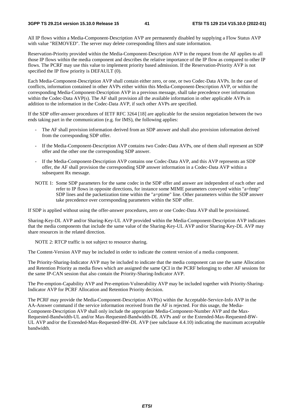All IP flows within a Media-Component-Description AVP are permanently disabled by supplying a Flow Status AVP with value "REMOVED". The server may delete corresponding filters and state information.

Reservation-Priority provided within the Media-Component-Description AVP in the request from the AF applies to all those IP flows within the media component and describes the relative importance of the IP flow as compared to other IP flows. The PCRF may use this value to implement priority based admission. If the Reservation-Priority AVP is not specified the IP flow priority is DEFAULT (0).

Each Media-Component-Description AVP shall contain either zero, or one, or two Codec-Data AVPs. In the case of conflicts, information contained in other AVPs either within this Media-Component-Description AVP, or within the corresponding Media-Component-Description AVP in a previous message, shall take precedence over information within the Codec-Data AVP(s). The AF shall provision all the available information in other applicable AVPs in addition to the information in the Codec-Data AVP, if such other AVPs are specified.

If the SDP offer-answer procedures of IETF RFC 3264 [18] are applicable for the session negotiation between the two ends taking part in the communication (e.g. for IMS), the following applies:

- The AF shall provision information derived from an SDP answer and shall also provision information derived from the corresponding SDP offer.
- If the Media-Component-Description AVP contains two Codec-Data AVPs, one of them shall represent an SDP offer and the other one the corresponding SDP answer.
- If the Media-Component-Description AVP contains one Codec-Data AVP, and this AVP represents an SDP offer, the AF shall provision the corresponding SDP answer information in a Codec-Data AVP within a subsequent Rx message.
- NOTE 1: Some SDP parameters for the same codec in the SDP offer and answer are independent of each other and refer to IP flows in opposite directions, for instance some MIME parameters conveyed within "a=fmtp" SDP lines and the packetization time within the "a=ptime" line. Other parameters within the SDP answer take precedence over corresponding parameters within the SDP offer.

If SDP is applied without using the offer-answer procedures, zero or one Codec-Data AVP shall be provisioned.

Sharing-Key-DL AVP and/or Sharing-Key-UL AVP provided within the Media-Component-Description AVP indicates that the media components that include the same value of the Sharing-Key-UL AVP and/or Sharing-Key-DL AVP may share resources in the related direction.

NOTE 2: RTCP traffic is not subject to resource sharing.

The Content-Version AVP may be included in order to indicate the content version of a media component.

The Priority-Sharing-Indicator AVP may be included to indicate that the media component can use the same Allocation and Retention Priority as media flows which are assigned the same QCI in the PCRF belonging to other AF sessions for the same IP-CAN session that also contain the Priority-Sharing-Indicator AVP.

The Pre-emption-Capability AVP and Pre-emption-Vulnerability AVP may be included together with Priority-Sharing-Indicator AVP for PCRF Allocation and Retention Priority decision.

The PCRF may provide the Media-Component-Description AVP(s) within the Acceptable-Service-Info AVP in the AA-Answer command if the service information received from the AF is rejected. For this usage, the Media-Component-Description AVP shall only include the appropriate Media-Component-Number AVP and the Max-Requested-Bandwidth-UL and/or Max-Requested-Bandwidth-DL AVPs and/ or the Extended-Max-Requested-BW-UL AVP and/or the Extended-Max-Requested-BW-DL AVP (see subclause 4.4.10) indicating the maximum acceptable bandwidth.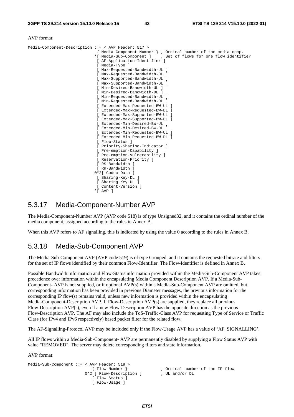#### AVP format:

| $Media-Component-Description: :- < AVP$ Header: 517 >           |
|-----------------------------------------------------------------|
| { Media-Component-Number } ; Ordinal number of the media comp.  |
| *[ Media-Sub-Component ] ; Set of flows for one flow identifier |
| [ AF-Application-Identifier ]                                   |
| [ Media-Type ]                                                  |
| [ Max-Requested-Bandwidth-UL ]                                  |
| [ Max-Requested-Bandwidth-DL ]                                  |
| [ Max-Supported-Bandwidth-UL ]                                  |
| [ Max-Supported-Bandwidth-DL ]                                  |
| [ Min-Desired-Bandwidth-UL ]                                    |
| [ Min-Desired-Bandwidth-DL ]                                    |
| [ Min-Requested-Bandwidth-UL ]                                  |
| [ Min-Requested-Bandwidth-DL ]                                  |
| [ Extended-Max-Requested-BW-UL ]                                |
| [ Extended-Max-Requested-BW-DL ]                                |
| [ Extended-Max-Supported-BW-UL ]                                |
| [ Extended-Max-Supported-BW-DL ]                                |
| [ Extended-Min-Desired-BW-UL ]                                  |
| [ Extended-Min-Desired-BW-DL ]                                  |
| [ Extended-Min-Requested-BW-UL ]                                |
| [ Extended-Min-Requested-BW-DL ]                                |
| [ Flow-Status ]                                                 |
| [ Priority-Sharing-Indicator ]                                  |
| [ Pre-emption-Capability ]                                      |
| [ Pre-emption-Vulnerability ]                                   |
| [ Reservation-Priority ]                                        |
| [ RS-Bandwidth ]                                                |
| [ RR-Bandwidth ]                                                |
| 0*2[ Codec-Data ]                                               |
| [ Sharing-Key-DL ]                                              |
| Sharing-Key-UL ]                                                |
| [ Content-Version ]                                             |
| $*$ [ AVP ]                                                     |

## 5.3.17 Media-Component-Number AVP

The Media-Component-Number AVP (AVP code 518) is of type Unsigned32, and it contains the ordinal number of the media component, assigned according to the rules in Annex B.

When this AVP refers to AF signalling, this is indicated by using the value 0 according to the rules in Annex B.

### 5.3.18 Media-Sub-Component AVP

The Media-Sub-Component AVP (AVP code 519) is of type Grouped, and it contains the requested bitrate and filters for the set of IP flows identified by their common Flow-Identifier. The Flow-Identifier is defined in Annex B.

Possible Bandwidth information and Flow-Status information provided within the Media-Sub-Component AVP takes precedence over information within the encapsulating Media Component Description AVP. If a Media-Sub-Component- AVP is not supplied, or if optional AVP(s) within a Media-Sub-Component AVP are omitted, but corresponding information has been provided in previous Diameter messages, the previous information for the corresponding IP flow(s) remains valid, unless new information is provided within the encapsulating Media-Component-Description AVP. If Flow-Description AVP(s) are supplied, they replace all previous Flow-Description AVP(s), even if a new Flow-Description AVP has the opposite direction as the previous Flow-Description AVP. The AF may also include the ToS-Traffic-Class AVP for requesting Type of Service or Traffic Class (for IPv4 and IPv6 respectively) based packet filter for the related flow.

The AF-Signalling-Protocol AVP may be included only if the Flow-Usage AVP has a value of 'AF\_SIGNALLING'.

All IP flows within a Media-Sub-Component- AVP are permanently disabled by supplying a Flow Status AVP with value "REMOVED". The server may delete corresponding filters and state information.

AVP format:

```
Media-Sub-Component ::= < AVP Header: 519 > 
                           { Flow-Number } ; Ordinal number of the IP flow 
                       0*2 [ Flow-Description ] \qquad ; UL and/or DL
                           [ Flow-Status ] 
                           [ Flow-Usage ]
```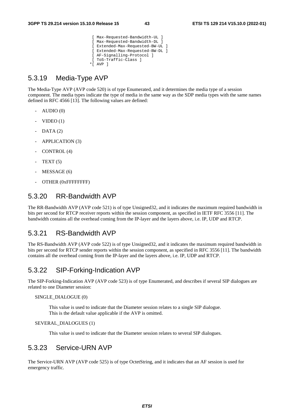```
 [ Max-Requested-Bandwidth-UL ] 
 [ Max-Requested-Bandwidth-DL ] 
 [ Extended-Max-Requested-BW-UL ] 
 [ Extended-Max-Requested-BW-DL ] 
 [ AF-Signalling-Protocol ] 
  [ ToS-Traffic-Class ] 
 *[ AVP ]
```
### 5.3.19 Media-Type AVP

The Media-Type AVP (AVP code 520) is of type Enumerated, and it determines the media type of a session component. The media types indicate the type of media in the same way as the SDP media types with the same names defined in RFC 4566 [13]. The following values are defined:

- $AUDIO(0)$
- $VIDEO(1)$
- $DATA (2)$
- APPLICATION (3)
- CONTROL (4)
- $TEXT(5)$
- MESSAGE (6)
- OTHER (0xFFFFFFFFF)

### 5.3.20 RR-Bandwidth AVP

The RR-Bandwidth AVP (AVP code 521) is of type Unsigned32, and it indicates the maximum required bandwidth in bits per second for RTCP receiver reports within the session component, as specified in IETF RFC 3556 [11]. The bandwidth contains all the overhead coming from the IP-layer and the layers above, i.e. IP, UDP and RTCP.

### 5.3.21 RS-Bandwidth AVP

The RS-Bandwidth AVP (AVP code 522) is of type Unsigned32, and it indicates the maximum required bandwidth in bits per second for RTCP sender reports within the session component, as specified in RFC 3556 [11]. The bandwidth contains all the overhead coming from the IP-layer and the layers above, i.e. IP, UDP and RTCP.

### 5.3.22 SIP-Forking-Indication AVP

The SIP-Forking-Indication AVP (AVP code 523) is of type Enumerated, and describes if several SIP dialogues are related to one Diameter session:

#### SINGLE\_DIALOGUE (0)

 This value is used to indicate that the Diameter session relates to a single SIP dialogue. This is the default value applicable if the AVP is omitted.

#### SEVERAL\_DIALOGUES (1)

This value is used to indicate that the Diameter session relates to several SIP dialogues.

## 5.3.23 Service-URN AVP

The Service-URN AVP (AVP code 525) is of type OctetString, and it indicates that an AF session is used for emergency traffic.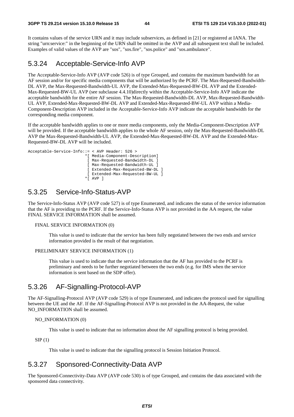It contains values of the service URN and it may include subservices, as defined in [21] or registered at IANA. The string "urn:service:" in the beginning of the URN shall be omitted in the AVP and all subsequent text shall be included. Examples of valid values of the AVP are "sos", "sos.fire", "sos.police" and "sos.ambulance".

### 5.3.24 Acceptable-Service-Info AVP

The Acceptable-Service-Info AVP (AVP code 526) is of type Grouped, and contains the maximum bandwidth for an AF session and/or for specific media components that will be authorized by the PCRF. The Max-Requested-Bandwidth-DL AVP, the Max-Requested-Bandwidth-UL AVP, the Extended-Max-Requested-BW-DL AVP and the Extended-Max-Requested-BW-UL AVP (see subclause 4.4.10)directly within the Acceptable-Service-Info AVP indicate the acceptable bandwidth for the entire AF session. The Max-Requested-Bandwidth-DL AVP, Max-Requested-Bandwidth-UL AVP, Extended-Max-Requested-BW-DL AVP and Extended-Max-Requested-BW-UL AVP within a Media-Component-Description AVP included in the Acceptable-Service-Info AVP indicate the acceptable bandwidth for the corresponding media component.

If the acceptable bandwidth applies to one or more media components, only the Media-Component-Description AVP will be provided. If the acceptable bandwidth applies to the whole AF session, only the Max-Requested-Bandwidth-DL AVP the Max-Requested-Bandwidth-UL AVP, the Extended-Max-Requested-BW-DL AVP and the Extended-Max-Requested-BW-DL AVP will be included.



### 5.3.25 Service-Info-Status-AVP

The Service-Info-Status AVP (AVP code 527) is of type Enumerated, and indicates the status of the service information that the AF is providing to the PCRF. If the Service-Info-Status AVP is not provided in the AA request, the value FINAL SERVICE INFORMATION shall be assumed.

#### FINAL SERVICE INFORMATION (0)

 This value is used to indicate that the service has been fully negotiated between the two ends and service information provided is the result of that negotiation.

#### PRELIMINARY SERVICE INFORMATION (1)

 This value is used to indicate that the service information that the AF has provided to the PCRF is preliminary and needs to be further negotiated between the two ends (e.g. for IMS when the service information is sent based on the SDP offer).

### 5.3.26 AF-Signalling-Protocol-AVP

The AF-Signalling-Protocol AVP (AVP code 529) is of type Enumerated, and indicates the protocol used for signalling between the UE and the AF. If the AF-Signalling-Protocol AVP is not provided in the AA-Request, the value NO\_INFORMATION shall be assumed.

#### NO\_INFORMATION (0)

This value is used to indicate that no information about the AF signalling protocol is being provided.

 $SIP(1)$ 

This value is used to indicate that the signalling protocol is Session Initiation Protocol.

### 5.3.27 Sponsored-Connectivity-Data AVP

The Sponsored-Connectivity-Data AVP (AVP code 530) is of type Grouped, and contains the data associated with the sponsored data connectivity.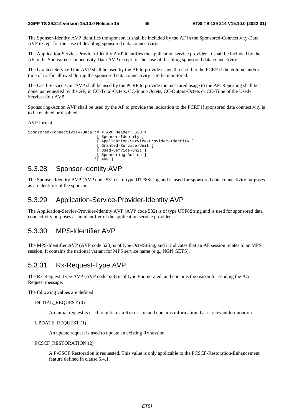The Sponsor-Identity AVP identifies the sponsor. It shall be included by the AF in the Sponsored-Connectivity-Data AVP except for the case of disabling sponsored data connectivity.

The Application-Service-Provider-Identity AVP identifies the application service provider. It shall be included by the AF in the Sponsored-Connectivity-Data AVP except for the case of disabling sponsored data connectivity.

The Granted-Service-Unit AVP shall be used by the AF to provide usage threshold to the PCRF if the volume and/or time of traffic allowed during the sponsored data connectivity is to be monitored.

The Used-Service-Unit AVP shall be used by the PCRF to provide the measured usage to the AF. Reporting shall be done, as requested by the AF, in CC-Total-Octets, CC-Input-Octets, CC-Output-Octets or CC-Time of the Used-Service-Unit AVP.

Sponsoring-Action AVP shall be used by the AF to provide the indication to the PCRF if sponsored data connectivity is to be enabled or disabled.

AVP format:

```
Sponsored-Connectivity-Data::= < AVP Header: 530 > 
                                [ Sponsor-Identity ] 
                                [ Application-Service-Provider-Identity ] 
                                [ Granted-Service-Unit ] 
                                [ Used-Service-Unit ] 
                                [ Sponsoring-Action ] 
                               *[ AVP ]
```
### 5.3.28 Sponsor-Identity AVP

The Sponsor-Identity AVP (AVP code 531) is of type UTF8String and is used for sponsored data connectivity purposes as an identifier of the sponsor.

### 5.3.29 Application-Service-Provider-Identity AVP

The Application-Service-Provider-Identity AVP (AVP code 532) is of type UTF8String and is used for sponsored data connectivity purposes as an identifier of the application service provider.

### 5.3.30 MPS-Identifier AVP

The MPS-Identifier AVP (AVP code 528) is of type OctetString, and it indicates that an AF session relates to an MPS session. It contains the national variant for MPS service name (e.g., NGN GETS).

### 5.3.31 Rx-Request-Type AVP

The Rx-Request-Type AVP (AVP code 533) is of type Enumerated, and contains the reason for sending the AA-Request message.

The following values are defined:

#### INITIAL\_REQUEST (0)

An initial request is used to initiate an Rx session and contains information that is relevant to initiation.

UPDATE\_REQUEST (1)

An update request is used to update an existing Rx session.

#### PCSCF\_RESTORATION (2)

 A P-CSCF Restoration is requested. This value is only applicable to the PCSCF-Restoration-Enhancement feature defined in clause 5.4.1.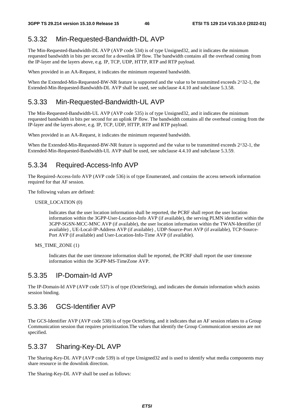# 5.3.32 Min-Requested-Bandwidth-DL AVP

The Min-Requested-Bandwidth-DL AVP (AVP code 534) is of type Unsigned32, and it indicates the minimum requested bandwidth in bits per second for a downlink IP flow. The bandwidth contains all the overhead coming from the IP-layer and the layers above, e.g. IP, TCP, UDP, HTTP, RTP and RTP payload.

When provided in an AA-Request, it indicates the minimum requested bandwidth.

When the Extended-Min-Requested-BW-NR feature is supported and the value to be transmitted exceeds  $2^{\wedge}32$ -1, the Extended-Min-Requested-Bandwidth-DL AVP shall be used, see subclause 4.4.10 and subclause 5.3.58.

# 5.3.33 Min-Requested-Bandwidth-UL AVP

The Min-Requested-Bandwidth-UL AVP (AVP code 535) is of type Unsigned32, and it indicates the minimum requested bandwidth in bits per second for an uplink IP flow. The bandwidth contains all the overhead coming from the IP-layer and the layers above, e.g. IP, TCP, UDP, HTTP, RTP and RTP payload.

When provided in an AA-Request, it indicates the minimum requested bandwidth.

When the Extended-Min-Requested-BW-NR feature is supported and the value to be transmitted exceeds 2^32-1, the Extended-Min-Requested-Bandwidth-UL AVP shall be used, see subclause 4.4.10 and subclause 5.3.59.

# 5.3.34 Required-Access-Info AVP

The Required-Access-Info AVP (AVP code 536) is of type Enumerated, and contains the access network information required for that AF session.

The following values are defined:

USER\_LOCATION (0)

 Indicates that the user location information shall be reported, the PCRF shall report the user location information within the 3GPP-User-Location-Info AVP (if available), the serving PLMN identifier within the 3GPP-SGSN-MCC-MNC AVP (if available), the user location information within the TWAN-Identifier (if available) , UE-Local-IP-Address AVP (if available) , UDP-Source-Port AVP (if available), TCP-Source-Port AVP (if available) and User-Location-Info-Time AVP (if available).

MS\_TIME\_ZONE (1)

 Indicates that the user timezone information shall be reported, the PCRF shall report the user timezone information within the 3GPP-MS-TimeZone AVP.

# 5.3.35 IP-Domain-Id AVP

The IP-Domain-Id AVP (AVP code 537) is of type (OctetString), and indicates the domain information which assists session binding.

# 5.3.36 GCS-Identifier AVP

The GCS-Identifier AVP (AVP code 538) is of type OctetString, and it indicates that an AF session relates to a Group Communication session that requires prioritization.The values that identify the Group Communication session are not specified.

# 5.3.37 Sharing-Key-DL AVP

The Sharing-Key-DL AVP (AVP code 539) is of type Unsigned32 and is used to identify what media components may share resource in the downlink direction.

The Sharing-Key-DL AVP shall be used as follows: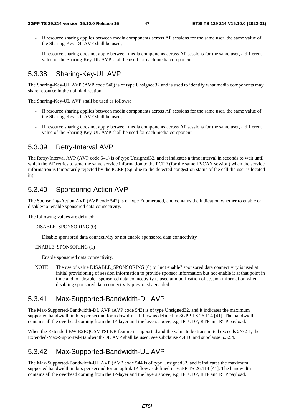- If resource sharing applies between media components across AF sessions for the same user, the same value of the Sharing-Key-DL AVP shall be used;
- If resource sharing does not apply between media components across AF sessions for the same user, a different value of the Sharing-Key-DL AVP shall be used for each media component.

# 5.3.38 Sharing-Key-UL AVP

The Sharing-Key-UL AVP (AVP code 540) is of type Unsigned32 and is used to identify what media components may share resource in the uplink direction.

The Sharing-Key-UL AVP shall be used as follows:

- If resource sharing applies between media components across AF sessions for the same user, the same value of the Sharing-Key-UL AVP shall be used;
- If resource sharing does not apply between media components across AF sessions for the same user, a different value of the Sharing-Key-UL AVP shall be used for each media component.

### 5.3.39 Retry-Interval AVP

The Retry-Interval AVP (AVP code 541) is of type Unsigned32, and it indicates a time interval in seconds to wait until which the AF retries to send the same service information to the PCRF (for the same IP-CAN session) when the service information is temporarily rejected by the PCRF (e.g. due to the detected congestion status of the cell the user is located in).

### 5.3.40 Sponsoring-Action AVP

The Sponsoring-Action AVP (AVP code 542) is of type Enumerated, and contains the indication whether to enable or disable/not enable sponsored data connectivity.

The following values are defined:

#### DISABLE\_SPONSORING (0)

Disable sponsored data connectivity or not enable sponsored data connectivity

#### ENABLE\_SPONSORING (1)

Enable sponsored data connectivity.

NOTE: The use of value DISABLE\_SPONSORING (0) to "not enable" sponsored data connectivity is used at initial provisioning of session information to provide sponsor information but not enable it at that point in time and to "disable" sponsored data connectivity is used at modification of session information when disabling sponsored data connectivity previously enabled.

# 5.3.41 Max-Supported-Bandwidth-DL AVP

The Max-Supported-Bandwidth-DL AVP (AVP code 543) is of type Unsigned32, and it indicates the maximum supported bandwidth in bits per second for a downlink IP flow as defined in 3GPP TS 26.114 [41]. The bandwidth contains all the overhead coming from the IP-layer and the layers above, e.g. IP, UDP, RTP and RTP payload.

When the Extended-BW-E2EQOSMTSI-NR feature is supported and the value to be transmitted exceeds  $2^{\wedge}32$ -1, the Extended-Max-Supported-Bandwidth-DL AVP shall be used, see subclause 4.4.10 and subclause 5.3.54.

# 5.3.42 Max-Supported-Bandwidth-UL AVP

The Max-Supported-Bandwidth-UL AVP (AVP code 544 is of type Unsigned32, and it indicates the maximum supported bandwidth in bits per second for an uplink IP flow as defined in 3GPP TS 26.114 [41]. The bandwidth contains all the overhead coming from the IP-layer and the layers above, e.g. IP, UDP, RTP and RTP payload.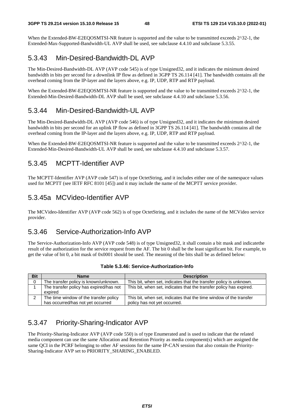When the Extended-BW-E2EQOSMTSI-NR feature is supported and the value to be transmitted exceeds 2^32-1, the Extended-Max-Supported-Bandwidth-UL AVP shall be used, see subclause 4.4.10 and subclause 5.3.55.

# 5.3.43 Min-Desired-Bandwidth-DL AVP

The Min-Desired-Bandwidth-DL AVP (AVP code 545) is of type Unsigned32, and it indicates the minimum desired bandwidth in bits per second for a downlink IP flow as defined in 3GPP TS 26.114 [41]. The bandwidth contains all the overhead coming from the IP-layer and the layers above, e.g. IP, UDP, RTP and RTP payload.

When the Extended-BW-E2EOOSMTSI-NR feature is supported and the value to be transmitted exceeds  $2^{\wedge}32$ -1, the Extended-Min-Desired-Bandwidth-DL AVP shall be used, see subclause 4.4.10 and subclause 5.3.56.

# 5.3.44 Min-Desired-Bandwidth-UL AVP

The Min-Desired-Bandwidth-DL AVP (AVP code 546) is of type Unsigned32, and it indicates the minimum desired bandwidth in bits per second for an uplink IP flow as defined in 3GPP TS 26.114 [41]. The bandwidth contains all the overhead coming from the IP-layer and the layers above, e.g. IP, UDP, RTP and RTP payload.

When the Extended-BW-E2EQOSMTSI-NR feature is supported and the value to be transmitted exceeds  $2^{\wedge}32$ -1, the Extended-Min-Desired-Bandwidth-UL AVP shall be used, see subclause 4.4.10 and subclause 5.3.57.

# 5.3.45 MCPTT-Identifier AVP

The MCPTT-Identifier AVP (AVP code 547) is of type OctetString, and it includes either one of the namespace values used for MCPTT (see IETF RFC 8101 [45]) and it may include the name of the MCPTT service provider.

# 5.3.45a MCVideo-Identifier AVP

The MCVideo-Identifier AVP (AVP code 562) is of type OctetString, and it includes the name of the MCVideo service provider.

# 5.3.46 Service-Authorization-Info AVP

The Service-Authorization-Info AVP (AVP code 548) is of type Unsigned32, it shall contain a bit mask and indicatethe result of the authorization for the service request from the AF. The bit 0 shall be the least significant bit. For example, to get the value of bit 0, a bit mask of 0x0001 should be used. The meaning of the bits shall be as defined below:

| <b>Bit</b> | <b>Name</b>                                                                 | <b>Description</b>                                                                                 |
|------------|-----------------------------------------------------------------------------|----------------------------------------------------------------------------------------------------|
| 0          | The transfer policy is known/unknown.                                       | This bit, when set, indicates that the transfer policy is unknown.                                 |
|            | The transfer policy has expired/has not<br>expired                          | This bit, when set, indicates that the transfer policy has expired.                                |
|            | The time window of the transfer policy<br>has occurred/has not yet occurred | This bit, when set, indicates that the time window of the transfer<br>policy has not yet occurred. |

#### **Table 5.3.46: Service-Authorization-Info**

# 5.3.47 Priority-Sharing-Indicator AVP

The Priority-Sharing-Indicator AVP (AVP code 550) is of type Enumerated and is used to indicate that the related media component can use the same Allocation and Retention Priority as media component(s) which are assigned the same QCI in the PCRF belonging to other AF sessions for the same IP-CAN session that also contain the Priority-Sharing-Indicator AVP set to PRIORITY\_SHARING\_ENABLED.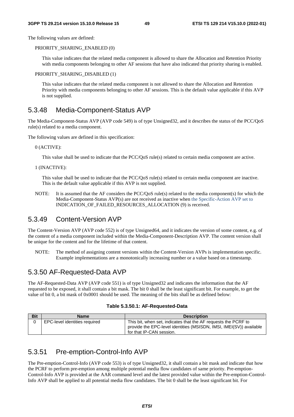The following values are defined:

PRIORITY\_SHARING\_ENABLED (0)

 This value indicates that the related media component is allowed to share the Allocation and Retention Priority with media components belonging to other AF sessions that have also indicated that priority sharing is enabled.

#### PRIORITY\_SHARING\_DISABLED (1)

This value indicates that the related media component is not allowed to share the Allocation and Retention Priority with media components belonging to other AF sessions. This is the default value applicable if this AVP is not supplied.

### 5.3.48 Media-Component-Status AVP

The Media-Component-Status AVP (AVP code 549) is of type Unsigned32, and it describes the status of the PCC/QoS rule(s) related to a media component.

The following values are defined in this specification:

0 (ACTIVE):

This value shall be used to indicate that the PCC/QoS rule(s) related to certain media component are active.

1 (INACTIVE):

 This value shall be used to indicate that the PCC/QoS rule(s) related to certain media component are inactive. This is the default value applicable if this AVP is not supplied.

NOTE: It is assumed that the AF considers the PCC/QoS rule(s) related to the media component(s) for which the Media-Component-Status AVP(s) are not received as inactive when the Specific-Action AVP set to INDICATION\_OF\_FAILED\_RESOURCES\_ALLOCATION (9) is received.

### 5.3.49 Content-Version AVP

The Content-Version AVP (AVP code 552) is of type Unsigned64, and it indicates the version of some content, e.g. of the content of a media component included within the Media-Component-Description AVP. The content version shall be unique for the content and for the lifetime of that content.

NOTE: The method of assigning content versions within the Content-Version AVPs is implementation specific. Example implementations are a monotonically increasing number or a value based on a timestamp.

# 5.3.50 AF-Requested-Data AVP

The AF-Requested-Data AVP (AVP code 551) is of type Unsigned32 and indicates the information that the AF requested to be exposed, it shall contain a bit mask. The bit 0 shall be the least significant bit. For example, to get the value of bit 0, a bit mask of 0x0001 should be used. The meaning of the bits shall be as defined below:

|  |  |  | Table 5.3.50.1: AF-Requested-Data |
|--|--|--|-----------------------------------|
|--|--|--|-----------------------------------|

| <b>Bit</b> | Name                          | <b>Description</b>                                                                                                                                                |
|------------|-------------------------------|-------------------------------------------------------------------------------------------------------------------------------------------------------------------|
|            | EPC-level identities required | This bit, when set, indicates that the AF requests the PCRF to<br>provide the EPC-level identities (MSISDN, IMSI, IMEI(SV)) available<br>for that IP-CAN session. |

### 5.3.51 Pre-emption-Control-Info AVP

The Pre-emption-Control-Info (AVP code 553) is of type Unsigned32, it shall contain a bit mask and indicate that how the PCRF to perform pre-emption among multiple potential media flow candidates of same priority. Pre-emption-Control-Info AVP is provided at the AAR command level and the latest provided value within the Pre-emption-Control-Info AVP shall be applied to all potential media flow candidates. The bit 0 shall be the least significant bit. For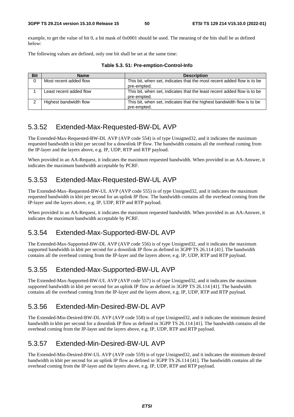example, to get the value of bit 0, a bit mask of 0x0001 should be used. The meaning of the bits shall be as defined below:

The following values are defined, only one bit shall be set at the same time:

| <b>Bit</b> | <b>Name</b>             | <b>Description</b>                                                                     |
|------------|-------------------------|----------------------------------------------------------------------------------------|
| 0          | Most recent added flow  | This bit, when set, indicates that the most recent added flow is to be<br>pre-empted.  |
|            | Least recent added flow | This bit, when set, indicates that the least recent added flow is to be<br>pre-empted. |
|            | Highest bandwidth flow  | This bit, when set, indicates that the highest bandwidth flow is to be<br>pre-empted.  |

**Table 5.3. 51: Pre-emption-Control-Info** 

# 5.3.52 Extended-Max-Requested-BW-DL AVP

The Extended-Max-Requested-BW-DL AVP (AVP code 554) is of type Unsigned32, and it indicates the maximum requested bandwidth in kbit per second for a downlink IP flow. The bandwidth contains all the overhead coming from the IP-layer and the layers above, e.g. IP, UDP, RTP and RTP payload.

When provided in an AA-Request, it indicates the maximum requested bandwidth. When provided in an AA-Answer, it indicates the maximum bandwidth acceptable by PCRF.

# 5.3.53 Extended-Max-Requested-BW-UL AVP

The Extended-Max–Requested-BW-UL AVP (AVP code 555) is of type Unsigned32, and it indicates the maximum requested bandwidth in kbit per second for an uplink IP flow. The bandwidth contains all the overhead coming from the IP-layer and the layers above, e.g. IP, UDP, RTP and RTP payload.

When provided in an AA-Request, it indicates the maximum requested bandwidth. When provided in an AA-Answer, it indicates the maximum bandwidth acceptable by PCRF.

# 5.3.54 Extended-Max-Supported-BW-DL AVP

The Extended-Max-Supported-BW-DL AVP (AVP code 556) is of type Unsigned32, and it indicates the maximum supported bandwidth in kbit per second for a downlink IP flow as defined in 3GPP TS 26.114 [41]. The bandwidth contains all the overhead coming from the IP-layer and the layers above, e.g. IP, UDP, RTP and RTP payload.

# 5.3.55 Extended-Max-Supported-BW-UL AVP

The Extended-Max-Supported-BW-UL AVP (AVP code 557) is of type Unsigned32, and it indicates the maximum supported bandwidth in kbit per second for an uplink IP flow as defined in 3GPP TS 26.114 [41]. The bandwidth contains all the overhead coming from the IP-layer and the layers above, e.g. IP, UDP, RTP and RTP payload.

# 5.3.56 Extended-Min-Desired-BW-DL AVP

The Extended-Min-Desired-BW-DL AVP (AVP code 558) is of type Unsigned32, and it indicates the minimum desired bandwidth in kbit per second for a downlink IP flow as defined in 3GPP TS 26.114 [41]. The bandwidth contains all the overhead coming from the IP-layer and the layers above, e.g. IP, UDP, RTP and RTP payload.

# 5.3.57 Extended-Min-Desired-BW-UL AVP

The Extended-Min-Desired-BW-UL AVP (AVP code 559) is of type Unsigned32, and it indicates the minimum desired bandwidth in kbit per second for an uplink IP flow as defined in 3GPP TS 26.114 [41]. The bandwidth contains all the overhead coming from the IP-layer and the layers above, e.g. IP, UDP, RTP and RTP payload.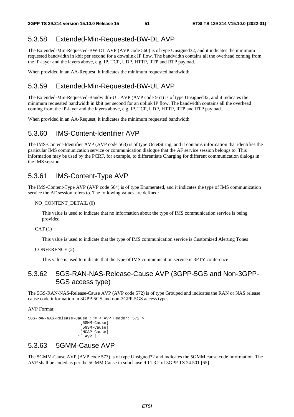# 5.3.58 Extended-Min-Requested-BW-DL AVP

The Extended-Min-Requested-BW-DL AVP (AVP code 560) is of type Unsigned32, and it indicates the minimum requested bandwidth in kbit per second for a downlink IP flow. The bandwidth contains all the overhead coming from the IP-layer and the layers above, e.g. IP, TCP, UDP, HTTP, RTP and RTP payload.

When provided in an AA-Request, it indicates the minimum requested bandwidth.

# 5.3.59 Extended-Min-Requested-BW-UL AVP

The Extended-Min-Requested-Bandwidth-UL AVP (AVP code 561) is of type Unsigned32, and it indicates the minimum requested bandwidth in kbit per second for an uplink IP flow. The bandwidth contains all the overhead coming from the IP-layer and the layers above, e.g. IP, TCP, UDP, HTTP, RTP and RTP payload.

When provided in an AA-Request, it indicates the minimum requested bandwidth.

# 5.3.60 IMS-Content-Identifier AVP

The IMS-Content-Identifier AVP (AVP code 563) is of type OctetString, and it contains information that identifies the particular IMS communication service or communication dialogue that the AF service session belongs to. This information may be used by the PCRF, for example, to differentiate Charging for different communication dialogs in the IMS session.

# 5.3.61 IMS-Content-Type AVP

The IMS-Content-Type AVP (AVP code 564) is of type Enumerated, and it indicates the type of IMS communication service the AF session refers to. The following values are defined:

#### NO\_CONTENT\_DETAIL (0)

 This value is used to indicate that no information about the type of IMS communication service is being provided

 $CAT(1)$ 

This value is used to indicate that the type of IMS communication service is Customized Alerting Tones

#### CONFERENCE (2)

This value is used to indicate that the type of IMS communication service is 3PTY conference

# 5.3.62 5GS-RAN-NAS-Release-Cause AVP (3GPP-5GS and Non-3GPP-5GS access type)

The 5GS-RAN-NAS-Release-Cause AVP (AVP code 572) is of type Grouped and indicates the RAN or NAS release cause code information in 3GPP-5GS and non-3GPP-5GS access types.

AVP Format:

```
5GS-RAN-NAS-Release-Cause ::= < AVP Header: 572 > 
                          [5GMM-Cause] 
                          [5GSM-Cause] 
                         [NGAP-Cause] 
                         *[ AVP ]
```
# 5.3.63 5GMM-Cause AVP

The 5GMM-Cause AVP (AVP code 573) is of type Unsigned32 and indicates the 5GMM cause code information. The AVP shall be coded as per the 5GMM Cause in subclause 9.11.3.2 of 3GPP TS 24.501 [65].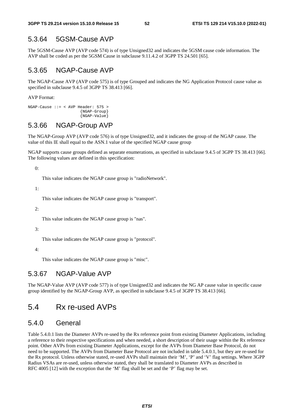### 5.3.64 5GSM-Cause AVP

The 5GSM-Cause AVP (AVP code 574) is of type Unsigned32 and indicates the 5GSM cause code information. The AVP shall be coded as per the 5GSM Cause in subclause 9.11.4.2 of 3GPP TS 24.501 [65].

### 5.3.65 NGAP-Cause AVP

The NGAP-Cause AVP (AVP code 575) is of type Grouped and indicates the NG Application Protocol cause value as specified in subclause 9.4.5 of 3GPP TS 38.413 [66].

AVP Format:

```
NGAP-Cause ::= < AVP Header: 575 >
                          {NGAP-Group} 
                          {NGAP-Value}
```
### 5.3.66 NGAP-Group AVP

The NGAP-Group AVP (AVP code 576) is of type Unsigned32, and it indicates the group of the NGAP cause. The value of this IE shall equal to the ASN.1 value of the specified NGAP cause group

NGAP supports cause groups defined as separate enumerations, as specified in subclause 9.4.5 of 3GPP TS 38.413 [66]. The following values are defined in this specification:

 $\theta$ :

This value indicates the NGAP cause group is "radioNetwork".

1:

This value indicates the NGAP cause group is "transport".

2:

This value indicates the NGAP cause group is "nas".

#### 3:

This value indicates the NGAP cause group is "protocol".

4:

This value indicates the NGAP cause group is "misc".

### 5.3.67 NGAP-Value AVP

The NGAP-Value AVP (AVP code 577) is of type Unsigned32 and indicates the NG AP cause value in specific cause group identified by the NGAP-Group AVP, as specified in subclause 9.4.5 of 3GPP TS 38.413 [66].

# 5.4 Rx re-used AVPs

# 5.4.0 General

Table 5.4.0.1 lists the Diameter AVPs re-used by the Rx reference point from existing Diameter Applications, including a reference to their respective specifications and when needed, a short description of their usage within the Rx reference point. Other AVPs from existing Diameter Applications, except for the AVPs from Diameter Base Protocol, do not need to be supported. The AVPs from Diameter Base Protocol are not included in table 5.4.0.1, but they are re-used for the Rx protocol. Unless otherwise stated, re-used AVPs shall maintain their 'M', 'P' and 'V' flag settings. Where 3GPP Radius VSAs are re-used, unless otherwise stated, they shall be translated to Diameter AVPs as described in RFC 4005 [12] with the exception that the 'M' flag shall be set and the 'P' flag may be set.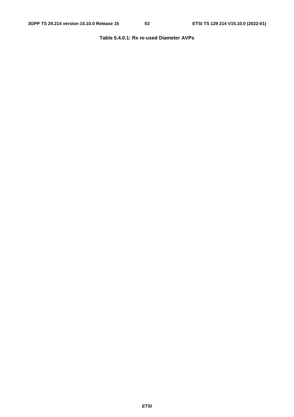### **Table 5.4.0.1: Rx re-used Diameter AVPs**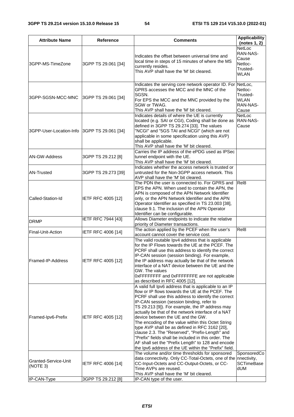| <b>Attribute Name</b>                                  | Reference                 | <b>Comments</b>                                                                                                                                                                                                                                                                                                                                                                                                                                                                                                                                                                                                                                                                               | <b>Applicability</b><br>(notes $1, 2$ )                                  |
|--------------------------------------------------------|---------------------------|-----------------------------------------------------------------------------------------------------------------------------------------------------------------------------------------------------------------------------------------------------------------------------------------------------------------------------------------------------------------------------------------------------------------------------------------------------------------------------------------------------------------------------------------------------------------------------------------------------------------------------------------------------------------------------------------------|--------------------------------------------------------------------------|
| 3GPP-MS-TimeZone<br>3GPP TS 29.061 [34]                |                           | Indicates the offset between universal time and<br>local time in steps of 15 minutes of where the MS<br>currently resides.<br>This AVP shall have the 'M' bit cleared.                                                                                                                                                                                                                                                                                                                                                                                                                                                                                                                        | <b>NetLoc</b><br>RAN-NAS-<br>Cause<br>Netloc-<br>Trusted-<br><b>WLAN</b> |
| 3GPP TS 29.061 [34]<br>3GPP-SGSN-MCC-MNC               |                           | Indicates the serving core network operator ID. For NetLoc,<br>GPRS accesses the MCC and the MNC of the<br>SGSN.<br>For EPS the MCC and the MNC provided by the<br>SGW or TWAG.<br>This AVP shall have the 'M' bit cleared.                                                                                                                                                                                                                                                                                                                                                                                                                                                                   | Netloc-<br>Trusted-<br><b>WLAN</b><br>RAN-NAS-<br>Cause                  |
| 3GPP-User-Location-Info 3GPP TS 29.061 [34]            |                           | Indicates details of where the UE is currently<br>located (e.g. SAI or CGI), Coding shall be done as<br>defined in 3GPP TS 29.274 [33]. The values<br>"NCGI" and "5GS TAI and NCGI" (which are not<br>applicable in some specification using this AVP)<br>shall be applicable.<br>This AVP shall have the 'M' bit cleared.                                                                                                                                                                                                                                                                                                                                                                    | NetLoc<br>RAN-NAS-<br>Cause                                              |
| AN-GW-Address                                          | 3GPP TS 29.212 [8]        | Carries the IP address of the ePDG used as IPSec<br>tunnel endpoint with the UE.<br>This AVP shall have the 'M' bit cleared.                                                                                                                                                                                                                                                                                                                                                                                                                                                                                                                                                                  |                                                                          |
| <b>AN-Trusted</b>                                      | 3GPP TS 29.273 [39]       | Indicates whether the access network is trusted or<br>untrusted for the Non-3GPP access network. This<br>AVP shall have the 'M' bit cleared.                                                                                                                                                                                                                                                                                                                                                                                                                                                                                                                                                  |                                                                          |
| Called-Station-Id                                      | <b>IETF RFC 4005 [12]</b> | The PDN the user is connected to. For GPRS and<br>EPS the APN. When used to contain the APN, the<br>APN is composed of the APN Network Identifier<br>only, or the APN Network Identifier and the APN<br>Operator Identifier as specified in TS 23.003 [38],<br>clause 9.1. The inclusion of the APN Operator<br>Identifier can be configurable.                                                                                                                                                                                                                                                                                                                                               | Rel <sub>8</sub>                                                         |
| <b>DRMP</b>                                            | <b>IETF RFC 7944 [43]</b> | Allows Diameter endpoints to indicate the relative<br>priority of Diameter transactions.                                                                                                                                                                                                                                                                                                                                                                                                                                                                                                                                                                                                      |                                                                          |
| Final-Unit-Action                                      | IETF RFC 4006 [14]        | The action applied by the PCEF when the user's<br>account cannot cover the service cost.                                                                                                                                                                                                                                                                                                                                                                                                                                                                                                                                                                                                      | Rel <sub>8</sub>                                                         |
| Framed-IP-Address                                      | <b>IETF RFC 4005 [12]</b> | The valid routable Ipv4 address that is applicable<br>for the IP Flows towards the UE at the PCEF. The<br>PCRF shall use this address to identify the correct<br>IP-CAN session (session binding). For example,<br>the IP address may actually be that of the network<br>interface of a NAT device between the UE and the<br>GW. The values<br>0xFFFFFFFF and 0xFFFFFFFE are not applicable<br>as described in RFC 4005 [12].                                                                                                                                                                                                                                                                 |                                                                          |
| Framed-Ipv6-Prefix<br>IETF RFC 4005 [12]               |                           | A valid full lpv6 address that is applicable to an IP<br>flow or IP flows towards the UE at the PCEF. The<br>PCRF shall use this address to identify the correct<br>IP-CAN session (session binding, refer to<br>TS 29.213 [9]). For example, the IP address may<br>actually be that of the network interface of a NAT<br>device between the UE and the GW.<br>The encoding of the value within this Octet String<br>type AVP shall be as defined in RFC 3162 [20],<br>clause 2.3. The "Reserved", "Prefix-Length" and<br>"Prefix" fields shall be included in this order. The<br>AF shall set the "Prefix Length" to 128 and encode<br>the Ipv6 address of the UE within the "Prefix" field. |                                                                          |
| Granted-Service-Unit<br>IETF RFC 4006 [14]<br>(NOTE 3) |                           | The volume and/or time thresholds for sponsored<br>data connectivity. Only CC-Total-Octets, one of the<br>CC-Input-Octets and CC-Output-Octets, or CC-<br>Time AVPs are reused.<br>This AVP shall have the 'M' bit cleared.                                                                                                                                                                                                                                                                                                                                                                                                                                                                   | SponsoredCo<br>nnectivity,<br><b>SCTimeBase</b><br>dUM                   |
| IP-CAN-Type                                            | 3GPP TS 29.212 [8]        | IP-CAN type of the user.                                                                                                                                                                                                                                                                                                                                                                                                                                                                                                                                                                                                                                                                      |                                                                          |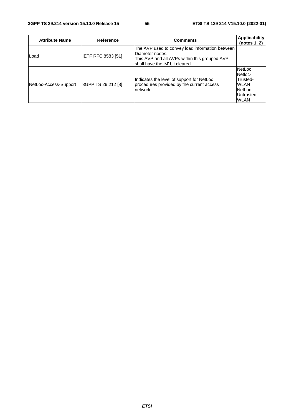| <b>Attribute Name</b> | Reference          | <b>Comments</b>                                                                                                                                        | <b>Applicability</b><br>(notes 1, 2)                                                        |
|-----------------------|--------------------|--------------------------------------------------------------------------------------------------------------------------------------------------------|---------------------------------------------------------------------------------------------|
| lLoad                 | IETF RFC 8583 [51] | The AVP used to convey load information between<br>Diameter nodes.<br>This AVP and all AVPs within this grouped AVP<br>shall have the 'M' bit cleared. |                                                                                             |
| NetLoc-Access-Support | 3GPP TS 29.212 [8] | Indicates the level of support for NetLoc<br>procedures provided by the current access<br>network.                                                     | <b>NetLoc</b><br>Netloc-<br>Trusted-<br><b>WLAN</b><br>NetLoc-<br>Untrusted-<br><b>WLAN</b> |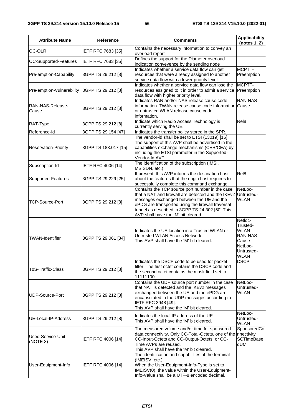| <b>Attribute Name</b><br><b>Reference</b>           |                           | <b>Comments</b>                                                                                                                                                                                                                                                                                    | <b>Applicability</b><br>(notes 1, 2)                                                            |
|-----------------------------------------------------|---------------------------|----------------------------------------------------------------------------------------------------------------------------------------------------------------------------------------------------------------------------------------------------------------------------------------------------|-------------------------------------------------------------------------------------------------|
| OC-OLR<br><b>IETF RFC 7683 [35]</b>                 |                           | Contains the necessary information to convey an<br>overload report                                                                                                                                                                                                                                 |                                                                                                 |
| OC-Supported-Features                               | IETF RFC 7683 [35]        | Defines the support for the Diameter overload<br>indication conveyence by the sending node                                                                                                                                                                                                         |                                                                                                 |
| Pre-emption-Capability                              | 3GPP TS 29.212 [8]        | Indicates whether a service data flow can get<br>resources that were already assigned to another<br>service data flow with a lower priority level.                                                                                                                                                 | MCPTT-<br>Preemption                                                                            |
| Pre-emption-Vulnerability                           | 3GPP TS 29.212 [8]        | Indicates whether a service data flow can lose the<br>resources assigned to it in order to admit a service<br>data flow with higher priority level.                                                                                                                                                | MCPTT-<br>Preemption                                                                            |
| RAN-NAS-Release-<br>Cause                           | 3GPP TS 29.212 [8]        | Indicates RAN and/or NAS release cause code<br>information. TWAN release cause code information Cause<br>or untrusted WLAN release cause code<br>information.                                                                                                                                      | RAN-NAS-                                                                                        |
| RAT-Type                                            | 3GPP TS 29.212 [8]        | Indicate which Radio Access Technology is<br>currently serving the UE.                                                                                                                                                                                                                             | Rel <sub>8</sub>                                                                                |
| Reference-Id                                        | 3GPP TS 29.154 [47]       | Indicates the transfer policy stored in the SPR.                                                                                                                                                                                                                                                   |                                                                                                 |
| 3GPP TS 183.017 [15]<br><b>Reservation-Priority</b> |                           | The vendor-id shall be set to ETSI (13019) [15].<br>The support of this AVP shall be advertised in the<br>capabilities exchange mechanisms (CER/CEA) by<br>including the ETSI parameter in the Supported-<br>Vendor-Id AVP.                                                                        |                                                                                                 |
| Subscription-Id                                     | <b>IETF RFC 4006 [14]</b> | The identification of the subscription (IMSI,<br>MSISDN, etc.)                                                                                                                                                                                                                                     |                                                                                                 |
| 3GPP TS 29.229 [25]<br>Supported-Features           |                           | If present, this AVP informs the destination host<br>about the features that the origin host requires to<br>successfully complete this command exchange.                                                                                                                                           | Rel <sub>8</sub>                                                                                |
| <b>TCP-Source-Port</b><br>3GPP TS 29.212 [8]        |                           | Contains the TCP source port number in the case<br>that a NAT and firewall are detected and the IKEv2<br>messages exchanged between the UE and the<br>ePDG are transported using the firewall traversal<br>tunnel as described in 3GPP TS 24.302 [50]. This<br>AVP shall have the 'M' bit cleared. | NetLoc-<br>Untrusted-<br><b>WLAN</b>                                                            |
| <b>TWAN-Identifier</b><br>3GPP TS 29.061 [34]       |                           | Indicates the UE location in a Trusted WLAN or<br>Untrusted WLAN Access Network.<br>This AVP shall have the 'M' bit cleared.                                                                                                                                                                       | Netloc-<br>Trusted-<br><b>WLAN</b><br>RAN-NAS-<br>Cause<br>NetLoc-<br>Untrusted-<br><b>WLAN</b> |
| <b>ToS-Traffic-Class</b><br>3GPP TS 29.212 [8]      |                           | Indicates the DSCP code to be used for packet<br>filter. The first octet contains the DSCP code and<br>the second octet contains the mask field set to<br>11111100.                                                                                                                                | <b>DSCP</b>                                                                                     |
| UDP-Source-Port<br>3GPP TS 29.212 [8]               |                           | Contains the UDP source port number in the case<br>that NAT is detected and the IKEv2 messages<br>exchanged between the UE and the ePDG are<br>encapsulated in the UDP messages according to<br>IETF RFC 3948 [49].<br>This AVP shall have the 'M' bit cleared.                                    | NetLoc-<br>Untrusted-<br>WLAN                                                                   |
| UE-Local-IP-Address                                 | 3GPP TS 29.212 [8]        | Indicates the local IP address of the UE.<br>This AVP shall have the 'M' bit cleared.                                                                                                                                                                                                              | NetLoc-<br>Untrusted-<br><b>WLAN</b>                                                            |
| Used-Service-Unit<br>IETF RFC 4006 [14]<br>(NOTE 3) |                           | The measured volume and/or time for sponsored<br>data connectivity. Only CC-Total-Octets, one of the<br>CC-Input-Octets and CC-Output-Octets, or CC-<br>Time AVPs are reused.<br>This AVP shall have the 'M' bit cleared.                                                                          | SponsoredCo<br>nnectivity<br><b>SCTimeBase</b><br>dUM                                           |
| IETF RFC 4006 [14]<br>User-Equipment-Info           |                           | The identification and capabilities of the terminal<br>(IMEISV, etc.)<br>When the User-Equipment-Info-Type is set to<br>IMEISV(0), the value within the User-Equipment-<br>Info-Value shall be a UTF-8 encoded decimal.                                                                            |                                                                                                 |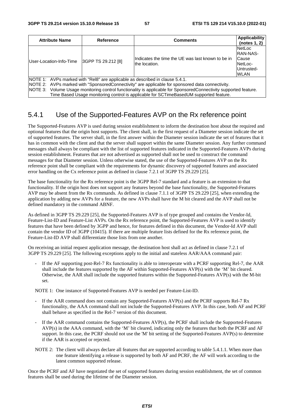| <b>Attribute Name</b>                                                                                                                                                                                                                                                                                                                                                                          | Reference | <b>Comments</b>                                                     | <b>Applicability</b><br>(notes 1, 2)                                        |  |  |
|------------------------------------------------------------------------------------------------------------------------------------------------------------------------------------------------------------------------------------------------------------------------------------------------------------------------------------------------------------------------------------------------|-----------|---------------------------------------------------------------------|-----------------------------------------------------------------------------|--|--|
| 3GPP TS 29.212 [8]<br>User-Location-Info-Time                                                                                                                                                                                                                                                                                                                                                  |           | Indicates the time the UE was last known to be in<br>lthe location. | <b>NetLoc</b><br>IRAN-NAS-<br>Cause<br>NetLoc-<br>Untrusted-<br><b>WLAN</b> |  |  |
| NOTE 1: AVPs marked with "Rel8" are applicable as described in clause 5.4.1.<br>NOTE 2: AVPs marked with "SponsoredConnectivity" are applicable for sponsored data connectivity.<br>NOTE 3: Volume Usage monitoring control functionality is applicable for SponsoredConnectivity supported feature.<br>Time Based Usage monitoring control is applicable for SCTimeBasedUM supported feature. |           |                                                                     |                                                                             |  |  |

# 5.4.1 Use of the Supported-Features AVP on the Rx reference point

The Supported-Features AVP is used during session establishment to inform the destination host about the required and optional features that the origin host supports. The client shall, in the first request of a Diameter session indicate the set of supported features. The server shall, in the first answer within the Diameter session indicate the set of features that it has in common with the client and that the server shall support within the same Diameter session. Any further command messages shall always be compliant with the list of supported features indicated in the Supported-Features AVPs during session establishment. Features that are not advertised as supported shall not be used to construct the command messages for that Diameter session. Unless otherwise stated, the use of the Supported-Features AVP on the Rx reference point shall be compliant with the requirements for dynamic discovery of supported features and associated error handling on the Cx reference point as defined in clause 7.2.1 of 3GPP TS 29.229 [25].

The base functionality for the Rx reference point is the 3GPP Rel-7 standard and a feature is an extension to that functionality. If the origin host does not support any features beyond the base functionality, the Supported-Features AVP may be absent from the Rx commands. As defined in clause 7.1.1 of 3GPP TS 29.229 [25], when extending the application by adding new AVPs for a feature, the new AVPs shall have the M bit cleared and the AVP shall not be defined mandatory in the command ABNF.

As defined in 3GPP TS 29.229 [25], the Supported-Features AVP is of type grouped and contains the Vendor-Id, Feature-List-ID and Feature-List AVPs. On the Rx reference point, the Supported-Features AVP is used to identify features that have been defined by 3GPP and hence, for features defined in this document, the Vendor-Id AVP shall contain the vendor ID of 3GPP (10415). If there are multiple feature lists defined for the Rx reference point, the Feature-List-ID AVP shall differentiate those lists from one another.

On receiving an initial request application message, the destination host shall act as defined in clause 7.2.1 of 3GPP TS 29.229 [25]. The following exceptions apply to the initial and stateless AAR/AAA command pair:

If the AF supporting post-Rel-7 Rx functionality is able to interoperate with a PCRF supporting Rel-7, the AAR shall include the features supported by the AF within Supported-Features AVP(s) with the 'M' bit cleared. Otherwise, the AAR shall include the supported features within the Supported-Features AVP(s) with the M-bit set.

NOTE 1: One instance of Supported-Features AVP is needed per Feature-List-ID.

- If the AAR command does not contain any Supported-Features AVP(s) and the PCRF supports Rel-7 Rx functionality, the AAA command shall not include the Supported-Features AVP. In this case, both AF and PCRF shall behave as specified in the Rel-7 version of this document.
- If the AAR command contains the Supported-Features AVP(s), the PCRF shall include the Supported-Features AVP(s) in the AAA command, with the 'M' bit cleared, indicating only the features that both the PCRF and AF support. In this case, the PCRF should not use the 'M' bit setting of the Supported-Features AVP(s) to determine if the AAR is accepted or rejected.
- NOTE 2: The client will always declare all features that are supported according to table 5.4.1.1. When more than one feature identifying a release is supported by both AF and PCRF, the AF will work according to the latest common supported release.

Once the PCRF and AF have negotiated the set of supported features during session establishment, the set of common features shall be used during the lifetime of the Diameter session.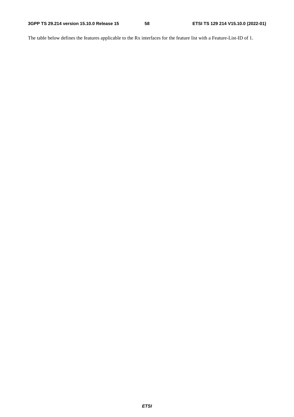The table below defines the features applicable to the Rx interfaces for the feature list with a Feature-List-ID of 1.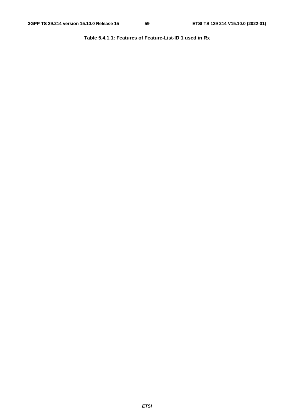**Table 5.4.1.1: Features of Feature-List-ID 1 used in Rx**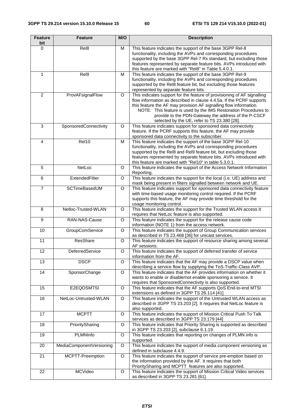| <b>Feature</b><br>bit | <b>Feature</b>           | M/O     | <b>Description</b>                                                                                                                                                                                                                                                                                                                                                                              |
|-----------------------|--------------------------|---------|-------------------------------------------------------------------------------------------------------------------------------------------------------------------------------------------------------------------------------------------------------------------------------------------------------------------------------------------------------------------------------------------------|
| $\Omega$              | Rel <sub>8</sub>         | M       | This feature indicates the support of the base 3GPP Rel-8<br>functionality, including the AVPs and corresponding procedures<br>supported by the base 3GPP Rel-7 Rx standard, but excluding those<br>features represented by separate feature bits. AVPs introduced with<br>this feature are marked with "Rel8" in Table 5.4.0.1.                                                                |
| $\mathbf{1}$          | Rel9                     | M       | This feature indicates the support of the base 3GPP Rel-9<br>functionality, including the AVPs and corresponding procedures<br>supported by the ReI8 feature bit, but excluding those features<br>represented by separate feature bits.                                                                                                                                                         |
| $\overline{2}$        | ProvAFsignalFlow         | O       | This indicates support for the feature of provisioning of AF signalling<br>flow information as described in clause 4.4.5a. If the PCRF supports<br>this feature the AF may provision AF signalling flow information.<br>NOTE: This feature is used by the IMS Restoration Procedures to<br>provide to the PDN-Gateway the address of the P-CSCF<br>selected by the UE, refer to TS 23.380 [28]. |
| $\mathbf{3}$          | SponsoredConnectivity    | O       | This feature indicates support for sponsored data connectivity<br>feature. If the PCRF supports this feature, the AF may provide<br>sponsored data connectivity to the subscriber.                                                                                                                                                                                                              |
| $\overline{4}$        | Rel10                    | M       | This feature indicates the support of the base 3GPP Rel-10<br>functionality, including the AVPs and corresponding procedures<br>supported by the ReI8 and ReI9 feature bit, but excluding those<br>features represented by separate feature bits. AVPs introduced with<br>this feature are marked with "Rel10" in table 5.3.0.1.                                                                |
| 5                     | NetLoc                   | O       | This feature indicates the support of the Access Network Information<br>Reporting.                                                                                                                                                                                                                                                                                                              |
| $\,6$                 | ExtendedFilter           | O       | This feature indicates the support for the local (i.e. UE) address and<br>mask being present in filters signalled between network and UE.                                                                                                                                                                                                                                                       |
| $\overline{7}$        | SCTimeBasedUM            | O       | This feature indicates support for sponsored data connectivity feature<br>with time-based usage monitoring control required. If the PCRF<br>supports this feature, the AF may provide time threshold for the<br>usage monitoring control.                                                                                                                                                       |
| 8                     | Netloc-Trusted-WLAN      | O       | This feature indicates the support for the Trusted WLAN access. It<br>requires that NetLoc feature is also supported.                                                                                                                                                                                                                                                                           |
| $\overline{9}$        | RAN-NAS-Cause            | $\circ$ | This feature indicates the support for the release cause code<br>information (NOTE 1) from the access network.                                                                                                                                                                                                                                                                                  |
| 10                    | <b>GroupComService</b>   | O       | This feature indicates the support of Group Communication services<br>as described in TS 23.468 [36] for unicast services.                                                                                                                                                                                                                                                                      |
| 11                    | ResShare                 | O       | This feature indicates the support of resource sharing among several<br>AF sessions.                                                                                                                                                                                                                                                                                                            |
| 12                    | DeferredService          | O       | This feature indicates the support of deferred transfer of service<br>information from the AF.                                                                                                                                                                                                                                                                                                  |
| 13                    | <b>DSCP</b>              | $\circ$ | This feature indicates that the AF may provide a DSCP value when<br>describing a service flow by supplying the ToS-Traffic-Class AVP.                                                                                                                                                                                                                                                           |
| $\overline{14}$       | SponsorChange            | $\circ$ | This feature indicates that the AF provides information on whether it<br>wants to enable or disable/not enable sponsoring a service. It<br>requires that SponsoredConnectivity is also supported.                                                                                                                                                                                               |
| 15                    | E2EQOSMTSI               | O       | This feature indicates that the AF supports QoS End-to-end MTSI<br>extensions as defined in 3GPP TS 26.114 [41]                                                                                                                                                                                                                                                                                 |
| 16                    | NetLoc-Untrusted-WLAN    | $\circ$ | This feature indicates the support of the Untrusted WLAN access as<br>described in 3GPP TS 23.203 [2]. It requires that NetLoc feature is<br>also supported.                                                                                                                                                                                                                                    |
| 17                    | <b>MCPTT</b>             | $\circ$ | This feature indicates the support of Mission Critical Push To Talk<br>services as described in 3GPP TS 23.179 [44]                                                                                                                                                                                                                                                                             |
| 18                    | PrioritySharing          | O       | This feature indicates that Priority Sharing is supported as described<br>in 3GPP TS 23.203 [2], subclause 6.1.19.                                                                                                                                                                                                                                                                              |
| 19                    | PLMNInfo                 | O       | This feature indicates that reporting on changes of PLMN info is<br>supported.                                                                                                                                                                                                                                                                                                                  |
| 20                    | MediaComponentVersioning | O       | This feature indicates the support of media component versioning as<br>defined in subclause 4.4.9.                                                                                                                                                                                                                                                                                              |
| 21                    | MCPTT-Preemption         | O       | This feature indicates the support of service pre-emption based on<br>the information provided by the AF. It requires that both<br>PrioritySharing and MCPTT features are also supported.                                                                                                                                                                                                       |
| 22                    | MCVideo                  | O       | This feature indicates the support of Mission Critical Video services<br>as described in 3GPP TS 23.281 [61].                                                                                                                                                                                                                                                                                   |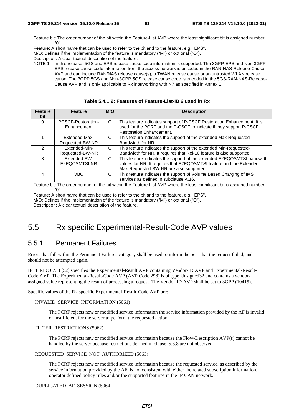Feature bit: The order number of the bit within the Feature-List AVP where the least significant bit is assigned number "0". Feature: A short name that can be used to refer to the bit and to the feature, e.g. "EPS". M/O: Defines if the implementation of the feature is mandatory ("M") or optional ("O"). Description: A clear textual description of the feature. NOTE 1: In this release, 5GS and EPS release cause code information is supported. The 3GPP-EPS and Non-3GPP EPS release cause code information from the access network is encoded in the RAN-NAS-Release-Cause AVP and can include RAN/NAS release cause(s), a TWAN release cause or an untrusted WLAN release cause. The 3GPP 5GS and Non-3GPP 5GS release cause code is encoded in the 5GS-RAN-NAS-Release-

Cause AVP and is only applicable to Rx interworking with N7 as specified in Annex E.

| <b>Feature</b><br>bit                                                                                                   | <b>Feature</b>                    | M/O | <b>Description</b>                                                                                                                                                                         |  |  |
|-------------------------------------------------------------------------------------------------------------------------|-----------------------------------|-----|--------------------------------------------------------------------------------------------------------------------------------------------------------------------------------------------|--|--|
| 0                                                                                                                       | PCSCF-Restoration-<br>Enhancement | O   | This feature indicates support of P-CSCF Restoration Enhancement. It is<br>used for the PCRF and the P-CSCF to indicate if they support P-CSCF<br><b>Restoration Enhancement.</b>          |  |  |
|                                                                                                                         | Extended-Max-<br>Requested-BW-NR  | O   | This feature indicates the support of the extended Max-Requested-<br>Bandwidth for NR.                                                                                                     |  |  |
| 2                                                                                                                       | Extended-Min-<br>Requested-BW-NR  | O   | This feature indicates the support of the extended Min-Requested-<br>Bandwidth for NR. It requires that Rel-10 feature is also supported.                                                  |  |  |
| 3                                                                                                                       | Extended-BW-<br>E2EQOSMTSI-NR     | O   | This feature indicates the support of the extended E2EQOSMTSI bandwidth<br>values for NR. It requires that E2EQOSMTSI feature and the Extended-<br>Max-Requested-BW-NR are also supported. |  |  |
| 4                                                                                                                       | <b>VBC</b>                        | O   | This feature indicates the support of Volume Based Charging of IMS<br>services as defined in subclause A.16.                                                                               |  |  |
| Feature bit: The order number of the bit within the Feature-List AVP where the least significant bit is assigned number |                                   |     |                                                                                                                                                                                            |  |  |
| "በ".                                                                                                                    |                                   |     |                                                                                                                                                                                            |  |  |
| Feature: A short name that can be used to refer to the bit and to the feature, e.g. "EPS".                              |                                   |     |                                                                                                                                                                                            |  |  |

**Table 5.4.1.2: Features of Feature-List-ID 2 used in Rx** 

M/O: Defines if the implementation of the feature is mandatory ("M") or optional ("O").

Description: A clear textual description of the feature.

# 5.5 Rx specific Experimental-Result-Code AVP values

# 5.5.1 Permanent Failures

Errors that fall within the Permanent Failures category shall be used to inform the peer that the request failed, and should not be attempted again.

IETF RFC 6733 [52] specifies the Experimental-Result AVP containing Vendor-ID AVP and Experimental-Result-Code AVP. The Experimental-Result-Code AVP (AVP Code 298) is of type Unsigned32 and contains a vendorassigned value representing the result of processing a request. The Vendor-ID AVP shall be set to 3GPP (10415).

Specific values of the Rx specific Experimental-Result-Code AVP are:

#### INVALID\_SERVICE\_INFORMATION (5061)

 The PCRF rejects new or modified service information the service information provided by the AF is invalid or insufficient for the server to perform the requested action.

#### FILTER\_RESTRICTIONS (5062)

 The PCRF rejects new or modified service information because the Flow-Description AVP(s) cannot be handled by the server because restrictions defined in clause 5.3.8 are not observed.

#### REQUESTED\_SERVICE\_NOT\_AUTHORIZED (5063)

 The PCRF rejects new or modified service information because the requested service, as described by the service information provided by the AF, is not consistent with either the related subscription information, operator defined policy rules and/or the supported features in the IP-CAN network.

#### DUPLICATED\_AF\_SESSION (5064)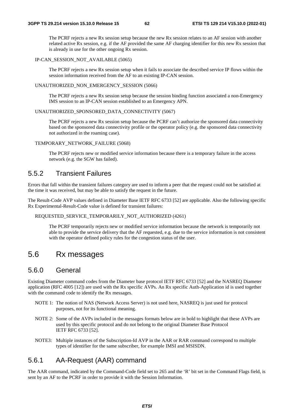The PCRF rejects a new Rx session setup because the new Rx session relates to an AF session with another related active Rx session, e.g. if the AF provided the same AF charging identifier for this new Rx session that is already in use for the other ongoing Rx session.

#### IP-CAN\_SESSION\_NOT\_AVAILABLE (5065)

 The PCRF rejects a new Rx session setup when it fails to associate the described service IP flows within the session information received from the AF to an existing IP-CAN session.

#### UNAUTHORIZED\_NON\_EMERGENCY\_SESSION (5066)

 The PCRF rejects a new Rx session setup because the session binding function associated a non-Emergency IMS session to an IP-CAN session established to an Emergency APN.

#### UNAUTHORIZED\_SPONSORED\_DATA\_CONNECTIVITY (5067)

 The PCRF rejects a new Rx session setup because the PCRF can't authorize the sponsored data connectivity based on the sponsored data connectivity profile or the operator policy (e.g. the sponsored data connectivity not authorized in the roaming case).

#### TEMPORARY\_NETWORK\_FAILURE (5068)

 The PCRF rejects new or modified service information because there is a temporary failure in the access network (e.g. the SGW has failed).

## 5.5.2 Transient Failures

Errors that fall within the transient failures category are used to inform a peer that the request could not be satisfied at the time it was received, but may be able to satisfy the request in the future.

The Result-Code AVP values defined in Diameter Base IETF RFC 6733 [52] are applicable. Also the following specific Rx Experimental-Result-Code value is defined for transient failures:

#### REQUESTED\_SERVICE\_TEMPORARILY\_NOT\_AUTHORIZED (4261)

 The PCRF temporarily rejects new or modified service information because the network is temporarily not able to provide the service delivery that the AF requested, e.g. due to the service information is not consistent with the operator defined policy rules for the congestion status of the user.

# 5.6 Rx messages

### 5.6.0 General

Existing Diameter command codes from the Diameter base protocol IETF RFC 6733 [52] and the NASREQ Diameter application (RFC 4005 [12]) are used with the Rx specific AVPs. An Rx specific Auth-Application id is used together with the command code to identify the Rx messages.

- NOTE 1: The notion of NAS (Network Access Server) is not used here, NASREQ is just used for protocol purposes, not for its functional meaning.
- NOTE 2: Some of the AVPs included in the messages formats below are in bold to highlight that these AVPs are used by this specific protocol and do not belong to the original Diameter Base Protocol IETF RFC 6733 [52].
- NOTE3: Multiple instances of the Subscription-Id AVP in the AAR or RAR command correspond to multiple types of identifier for the same subscriber, for example IMSI and MSISDN.

# 5.6.1 AA-Request (AAR) command

The AAR command, indicated by the Command-Code field set to 265 and the 'R' bit set in the Command Flags field, is sent by an AF to the PCRF in order to provide it with the Session Information.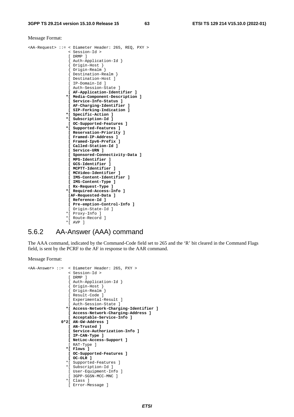#### Message Format:

|           | <aa-request> ::= &lt; Diameter Header: 265, REQ, PXY &gt;</aa-request> |
|-----------|------------------------------------------------------------------------|
|           | < Session-Id >                                                         |
|           | [DRMP]                                                                 |
|           | { Auth-Application-Id }                                                |
|           | { Origin-Host }                                                        |
|           | { Origin-Realm }                                                       |
|           | { Destination-Realm }                                                  |
|           | [ Destination-Host ]                                                   |
|           | [ IP-Domain-Id ]                                                       |
|           | [ Auth-Session-State ]                                                 |
|           | [ AF-Application-Identifier ]                                          |
|           | *[ Media-Component-Description ]                                       |
|           | [ Service-Info-Status ]                                                |
|           | [ AF-Charging-Identifier ]                                             |
|           | [ SIP-Forking-Indication ]                                             |
|           | *[ Specific-Action ]                                                   |
|           | *[ Subscription-Id ]                                                   |
|           | [ OC-Supported-Features ]                                              |
|           | *[ Supported-Features ]                                                |
|           | [ Reservation-Priority ]                                               |
|           | [ Framed-IP-Address ]                                                  |
|           | [ Framed-Ipv6-Prefix ]                                                 |
|           | [ Called-Station-Id ]                                                  |
|           | [ Service-URN ]                                                        |
|           | [ Sponsored-Connectivity-Data ]                                        |
|           | [ MPS-Identifier ]                                                     |
|           | [ GCS-Identifier ]                                                     |
|           | [ MCPTT-Identifier ]                                                   |
|           | [ MCVideo-Identifier ]                                                 |
|           | [ IMS-Content-Identifier ]                                             |
|           | [ IMS-Content-Type ]                                                   |
|           | [ Rx-Request-Type ]                                                    |
|           | *[ Required-Access-Info ]                                              |
|           | [AF-Requested-Data ]                                                   |
|           | [ Reference-Id ]                                                       |
|           | [ Pre-emption-Control-Info ]                                           |
|           | [ Origin-State-Id ]                                                    |
|           | *[ Proxy-Info ]                                                        |
|           | *[ Route-Record ]                                                      |
| $\star$ [ | AVP 1                                                                  |

# 5.6.2 AA-Answer (AAA) command

The AAA command, indicated by the Command-Code field set to 265 and the 'R' bit cleared in the Command Flags field, is sent by the PCRF to the AF in response to the AAR command.

```
<AA-Answer> ::= < Diameter Header: 265, PXY > 
                  < Session-Id > 
                  [ DRMP ] 
 { Auth-Application-Id } 
 { Origin-Host } 
                  { Origin-Realm } 
                  [ Result-Code ] 
                  [ Experimental-Result ] 
                  [ Auth-Session-State ] 
                 *[ Access-Network-Charging-Identifier ] 
                  [ Access-Network-Charging-Address ] 
                  [ Acceptable-Service-Info ] 
               0*2[ AN-GW-Address ] 
                  [ AN-Trusted ] 
                  [ Service-Authorization-Info ] 
                  [ IP-CAN-Type ] 
                  [ NetLoc-Access-Support ] 
                  [ RAT-Type ] 
                 *[ Flows ] 
                  [ OC-Supported-Features ] 
                  [ OC-OLR ] 
                 *[ Supported-Features ] 
                 *[ Subscription-Id ] 
                  [ User-Equipment-Info ] 
                  [ 3GPP-SGSN-MCC-MNC ] 
                 *[ Class ] 
                  [ Error-Message ]
```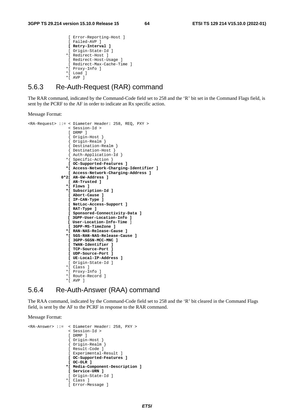```
 [ Error-Reporting-Host ] 
  [ Failed-AVP ] 
 [ Retry-Interval ] 
  [ Origin-State-Id ] 
 *[ Redirect-Host ] 
 [ Redirect-Host-Usage ] 
  [ Redirect-Max-Cache-Time ] 
 *[ Proxy-Info ] 
 *[ Load ] 
 *[ AVP ]
```
### 5.6.3 Re-Auth-Request (RAR) command

The RAR command, indicated by the Command-Code field set to 258 and the 'R' bit set in the Command Flags field, is sent by the PCRF to the AF in order to indicate an Rx specific action.

Message Format:

```
<RA-Request> ::= < Diameter Header: 258, REQ, PXY > 
                    < Session-Id > 
                    [ DRMP ] 
                    { Origin-Host } 
                    { Origin-Realm } 
                    { Destination-Realm } 
                     { Destination-Host } 
                     { Auth-Application-Id } 
                   *{ Specific-Action }
                    [ OC-Supported-Features ] 
                   *[ Access-Network-Charging-Identifier ] 
                    [ Access-Network-Charging-Address ] 
                0*2[ AN-GW-Address ] 
                   [ AN-Trusted ] 
                   *[ Flows ] 
                   *[ Subscription-Id ] 
                   [ Abort-Cause ] 
                    [ IP-CAN-Type ] 
                    [ NetLoc-Access-Support ] 
                    [ RAT-Type ] 
                   [ Sponsored-Connectivity-Data ] 
                   [ 3GPP-User-Location-Info ] 
                   [ User-Location-Info-Time ]
                    [ 3GPP-MS-TimeZone ] 
                   *[ RAN-NAS-Release-Cause ] 
                   *[ 5GS-RAN-NAS-Release-Cause ] 
                   [ 3GPP-SGSN-MCC-MNC ] 
                    [ TWAN-Identifier ] 
                    [ TCP-Source-Port ] 
                    [ UDP-Source-Port ] 
                    [ UE-Local-IP-Address ] 
                   [ Origin-State-Id ] 
                   *[ Class ] 
                   *[ Proxy-Info ] 
                   *[ Route-Record ] 
                   *[ AVP ]
```
### 5.6.4 Re-Auth-Answer (RAA) command

The RAA command, indicated by the Command-Code field set to 258 and the 'R' bit cleared in the Command Flags field, is sent by the AF to the PCRF in response to the RAR command.

```
<RA-Answer> ::= < Diameter Header: 258, PXY > 
                    < Session-Id > 
                    [ DRMP ] 
                    { Origin-Host } 
                    { Origin-Realm } 
                    [ Result-Code ] 
                    [ Experimental-Result ] 
                   [ OC-Supported-Features ] 
                   [ OC-OLR ] 
                   *[ Media-Component-Description ] 
                   [ Service-URN ] 
                   [ Origin-State-Id ]
                   *[ Class ]
                   [ Error-Message ]
```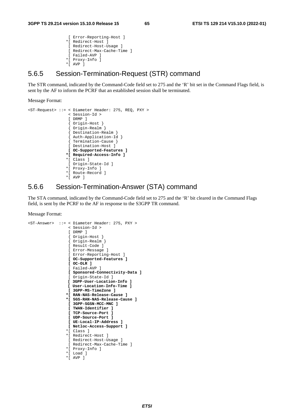```
 [ Error-Reporting-Host ] 
 *[ Redirect-Host ] 
 [ Redirect-Host-Usage ] 
 [ Redirect-Max-Cache-Time ] 
  [ Failed-AVP ] 
 *[ Proxy-Info ] 
*[ AVP ]
```
### 5.6.5 Session-Termination-Request (STR) command

The STR command, indicated by the Command-Code field set to 275 and the 'R' bit set in the Command Flags field, is sent by the AF to inform the PCRF that an established session shall be terminated.

Message Format:

```
<ST-Request> ::= < Diameter Header: 275, REQ, PXY > 
                  < Session-Id > 
                  [ DRMP ] 
                  { Origin-Host } 
                  { Origin-Realm } 
                  { Destination-Realm } 
 { Auth-Application-Id } 
 { Termination-Cause } 
                  [ Destination-Host ] 
                  [ OC-Supported-Features ] 
                 *[ Required-Access-Info ]
                 *[ Class ] 
                  [ Origin-State-Id ] 
                 *[ Proxy-Info ] 
                 *[ Route-Record ] 
                 *[ AVP ]
```
### 5.6.6 Session-Termination-Answer (STA) command

The STA command, indicated by the Command-Code field set to 275 and the 'R' bit cleared in the Command Flags field, is sent by the PCRF to the AF in response to the S3GPP TR command.

```
<ST-Answer> ::= < Diameter Header: 275, PXY > 
                   < Session-Id > 
                   [ DRMP ] 
 { Origin-Host } 
 { Origin-Realm } 
                   [ Result-Code ] 
                   [ Error-Message ] 
                   [ Error-Reporting-Host ] 
                  [ OC-Supported-Features ] 
                   [ OC-OLR ] 
                  [ Failed-AVP ] 
                  [ Sponsored-Connectivity-Data ] 
                 [ Origin-State-Id ]
                  [ 3GPP-User-Location-Info ] 
                  [ User-Location-Info-Time ] 
                  [ 3GPP-MS-TimeZone ] 
                  *[ RAN-NAS-Release-Cause ] 
                  *[ 5GS-RAN-NAS-Release-Cause ] 
                  [ 3GPP-SGSN-MCC-MNC ] 
                   [ TWAN-Identifier ] 
                  [ TCP-Source-Port ] 
                  [ UDP-Source-Port ] 
                  [ UE-Local-IP-Address ] 
                  [ Netloc-Access-Support ] 
                  *[ Class ] 
                  *[ Redirect-Host ] 
                  [ Redirect-Host-Usage ] 
                   [ Redirect-Max-Cache-Time ] 
                 *[ Proxy-Info ] 
                  *[ Load ] 
                  *[ AVP ]
```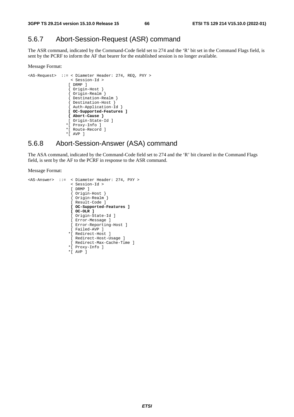# 5.6.7 Abort-Session-Request (ASR) command

The ASR command, indicated by the Command-Code field set to 274 and the 'R' bit set in the Command Flags field, is sent by the PCRF to inform the AF that bearer for the established session is no longer available.

#### Message Format:

```
<AS-Request> ::= < Diameter Header: 274, REQ, PXY > 
                < Session-Id > 
               [ DRMP ] 
               { Origin-Host } 
               { Origin-Realm } 
 { Destination-Realm } 
 { Destination-Host } 
 { Auth-Application-Id } 
 [ OC-Supported-Features ] 
 { Abort-Cause } 
               [ Origin-State-Id ]
              *[ Proxy-Info ] 
              *[ Route-Record ] 
              *[ AVP ]
```
### 5.6.8 Abort-Session-Answer (ASA) command

The ASA command, indicated by the Command-Code field set to 274 and the 'R' bit cleared in the Command Flags field, is sent by the AF to the PCRF in response to the ASR command.

```
<AS-Answer> ::= < Diameter Header: 274, PXY > 
                     < Session-Id > 
                     [ DRMP ] 
                     { Origin-Host } 
                     { Origin-Realm } 
                     [ Result-Code ] 
                     [ OC-Supported-Features ] 
                    [ OC-OLR ] 
                     [ Origin-State-Id ] 
                     [ Error-Message ] 
                     [ Error-Reporting-Host ] 
                     [ Failed-AVP ] 
                    *[ Redirect-Host ] 
                     [ Redirect-Host-Usage ] 
                     [ Redirect-Max-Cache-Time ] 
                    *[ Proxy-Info ] 
                    *[ AVP ]
```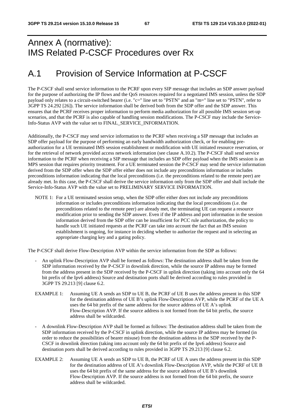# Annex A (normative): IMS Related P-CSCF Procedures over Rx

# A.1 Provision of Service Information at P-CSCF

The P-CSCF shall send service information to the PCRF upon every SIP message that includes an SDP answer payload for the purpose of authorizing the IP flows and the QoS resources required for a negotiated IMS session, unless the SDP payload only relates to a circuit-switched bearer (i.e. "c=" line set to "PSTN" and an "m=" line set to "PSTN", refer to 3GPP TS 24.292 [26]). The service information shall be derived both from the SDP offer and the SDP answer. This ensures that the PCRF receives proper information to perform media authorization for all possible IMS session set-up scenarios, and that the PCRF is also capable of handling session modifications. The P-CSCF may include the Service-Info-Status AVP with the value set to FINAL\_SERVICE\_INFORMATION.

Additionally, the P-CSCF may send service information to the PCRF when receiving a SIP message that includes an SDP offer payload for the purpose of performing an early bandwidth authorization check, or for enabling preauthorization for a UE terminated IMS session establishment or modification with UE initiated resource reservation, or for the retrieval of network provided access network information (see clause A.10.2). The P-CSCF shall send service information to the PCRF when receiving a SIP message that includes an SDP offer payload when the IMS session is an MPS session that requires priority treatment. For a UE terminated session the P-CSCF may send the service information derived from the SDP offer when the SDP offer either does not include any preconditions information or includes preconditions information indicating that the local preconditions (i.e. the preconditions related to the remote peer) are already met. In this case, the P-CSCF shall derive the service information only from the SDP offer and shall include the Service-Info-Status AVP with the value set to PRELIMINARY SERVICE INFORMATION.

NOTE 1: For a UE terminated session setup, when the SDP offer either does not include any preconditions information or includes preconditions information indicating that the local preconditions (i.e. the preconditions related to the remote peer) are already met, the terminating UE can request a resource modification prior to sending the SDP answer. Even if the IP address and port information in the session information derived from the SDP offer can be insufficient for PCC rule authorization, the policy to handle such UE initiated requests at the PCRF can take into account the fact that an IMS session establishment is ongoing, for instance in deciding whether to authorize the request and in selecting an appropriate charging key and a gating policy.

The P-CSCF shall derive Flow-Description AVP within the service information from the SDP as follows:

- An uplink Flow-Description AVP shall be formed as follows: The destination address shall be taken from the SDP information received by the P-CSCF in downlink direction, while the source IP address may be formed from the address present in the SDP received by the P-CSCF in uplink direction (taking into account only the 64 bit prefix of the Ipv6 address) Source and destination ports shall be derived according to rules provided in 3GPP TS 29.213 [9] clause 6.2.
- EXAMPLE 1: Assuming UE A sends an SDP to UE B, the PCRF of UE B uses the address present in this SDP for the destination address of UE B's uplink Flow-Description AVP, while the PCRF of the UE A uses the 64 bit prefix of the same address for the source address of UE A's uplink Flow-Description AVP. If the source address is not formed from the 64 bit prefix, the source address shall be wildcarded.
- A downlink Flow-Description AVP shall be formed as follows: The destination address shall be taken from the SDP information received by the P-CSCF in uplink direction, while the source IP address may be formed (in order to reduce the possibilities of bearer misuse) from the destination address in the SDP received by the P-CSCF in downlink direction (taking into account only the 64 bit prefix of the Ipv6 address) Source and destination ports shall be derived according to rules provided in 3GPP TS 29.213 [9] clause 6.2.
- EXAMPLE 2: Assuming UE A sends an SDP to UE B, the PCRF of UE A uses the address present in this SDP for the destination address of UE A's downlink Flow-Description AVP, while the PCRF of UE B uses the 64 bit prefix of the same address for the source address of UE B's downlink Flow-Description AVP. If the source address is not formed from the 64 bit prefix, the source address shall be wildcarded.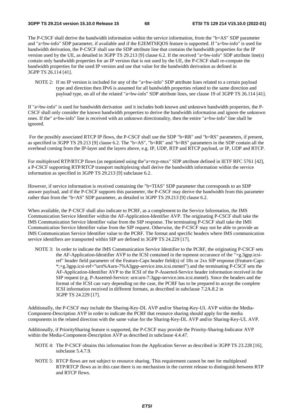The P-CSCF shall derive the bandwidth information within the service information, from the "b=AS" SDP parameter and "a=bw-info" SDP parameter, if available and if the E2EMTSIQOS feature is supported. If "a=bw-info" is used for bandwidth derivation, the P-CSCF shall use the SDP attribute line that contains the bandwidth properties for the IP version used by the UE, as detailed in 3GPP TS 29.213 [9] clause 6.2. If the received "a=bw-info" SDP attribute line(s) contain only bandwidth properties for an IP version that is not used by the UE, the P-CSCF shall re-compute the bandwidth properties for the used IP version and use that value for the bandwidth derivation as defined in 3GPP TS 26.114 [41].

NOTE 2: If no IP version is included for any of the "a=bw-info" SDP attribute lines related to a certain payload type and direction then IPv6 is assumed for all bandwidth properties related to the same direction and payload type, on all of the related "a=bw-info" SDP attribute lines, see clause 19 of 3GPP TS 26.114 [41].

If "a=bw-info" is used for bandwidth derivation and it includes both known and unknown bandwidth properties, the P-CSCF shall only consider the known bandwidth properties to derive the bandwidth information and ignore the unknown ones. If the" a=bw-info" line is received with an unknown directionality, then the entire "a=bw-info" line shall be ignored.

For the possibly associated RTCP IP flows, the P-CSCF shall use the SDP "b=RR" and "b=RS" parameters, if present, as specified in 3GPP TS 29.213 [9] clause 6.2. The "b=AS", "b=RR" and "b=RS" parameters in the SDP contain all the overhead coming from the IP-layer and the layers above, e.g. IP, UDP, RTP and RTCP payload, or IP, UDP and RTCP.

For multiplexed RTP/RTCP flows (as negotiated using the"a=rtcp-mux" SDP attribute defined in IETF RFC 5761 [42], a P-CSCF supporting RTP/RTCP transport multiplexing shall derive the bandwidth information within the service information as specified in 3GPP TS 29.213 [9] subclause 6.2.

However, if service information is received containing the "b=TIAS" SDP parameter that corresponds to an SDP answer payload, and if the P-CSCF supports this parameter, the P-CSCF may derive the bandwidth from this parameter rather than from the "b=AS" SDP parameter, as detailed in 3GPP TS 29.213 [9] clause 6.2.

When available, the P-CSCF shall also indicate to PCRF, as a complement to the Service Information, the IMS Communication Service Identifier within the AF-Application-Identifier AVP. The originating P-CSCF shall take the IMS Communication Service Identifier value from the SIP response. The terminating P-CSCF shall take the IMS Communication Service Identifier value from the SIP request. Otherwise, the P-CSCF may not be able to provide an IMS Communication Service Identifier value to the PCRF. The format and specific headers where IMS communication service identifiers are transported within SIP are defined in 3GPP TS 24.229 [17].

NOTE 3: In order to indicate the IMS Communication Service Identifier to the PCRF, the originating P-CSCF sets the AF-Application-Identifier AVP to the ICSI contained in the topmost occurance of the "+g.3gpp.icsiref" header field parameter of the Feature-Caps header field(s) of 18x or 2xx SIP response (Feature-Caps: \*;+g.3gpp.icsi-ref="urn%Aurn-7%A3gpp-service.ims.icsi.mmtel") and the terminating P-CSCF sets the AF-Application-Identifier AVP to the ICSI of the P-Asserted-Service header information received in the SIP request (e.g. P-Asserted-Service: urn:urn-7:3gpp-service.ims.icsi.mmtel). Since the headers and the format of the ICSI can vary depending on the case, the PCRF has to be prepared to accept the complete ICSI information received in different formats, as described in subclause 7.2A.8.2 in 3GPP TS 24.229 [17].

Additionally, the P-CSCF may include the Sharing-Key-DL AVP and/or Sharing-Key-UL AVP within the Media-Component-Description AVP in order to indicate the PCRF that resource sharing should apply for the media components in the related direction with the same value for the Sharing-Key-DL AVP and/or Sharing-Key-UL AVP.

Additionally, if PrioritySharing feature is supported, the P-CSCF may provide the Priority-Sharing-Indicator AVP within the Media-Component-Description AVP as described in subclause 4.4.47.

- NOTE 4: The P-CSCF obtains this information from the Application Server as described in 3GPP TS 23.228 [16], subclause 5.4.7.9.
- NOTE 5: RTCP flows are not subject to resource sharing. This requirement cannot be met for multiplexed RTP/RTCP flows as in this case there is no mechanism in the current release to distinguish between RTP and RTCP flows.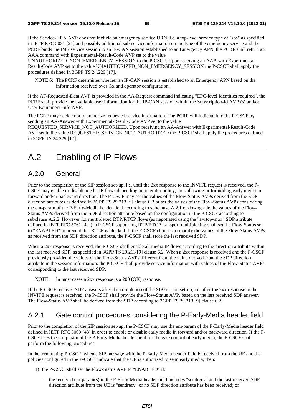If the Service-URN AVP does not include an emergency service URN, i.e. a top-level service type of "sos" as specified in IETF RFC 5031 [21] and possibly additional sub-service information on the type of the emergency service and the PCRF binds the IMS service session to an IP-CAN session established to an Emergency APN, the PCRF shall return an AAA command with Experimental-Result-Code AVP set to the value

UNAUTHORIZED\_NON\_EMERGENCY\_SESSION to the P-CSCF. Upon receiving an AAA with Experimental-Result-Code AVP set to the value UNAUTHORIZED\_NON\_EMERGENCY\_SESSION the P-CSCF shall apply the procedures defined in 3GPP TS 24.229 [17].

NOTE 6: The PCRF determines whether an IP-CAN session is established to an Emergency APN based on the information received over Gx and operator configuration.

If the AF-Requested-Data AVP is provided in the AA-Request command indicating "EPC-level Identities required", the PCRF shall provide the available user information for the IP-CAN session within the Subscription-Id AVP (s) and/or User-Equipment-Info AVP.

The PCRF may decide not to authorize requested service information. The PCRF will indicate it to the P-CSCF by sending an AA-Answer with Experimental-Result-Code AVP set to the value

REQUESTED\_SERVICE\_NOT\_AUTHORIZED. Upon receiving an AA-Answer with Experimental-Result-Code AVP set to the value REQUESTED\_SERVICE\_NOT\_AUTHORIZED the P-CSCF shall apply the procedures defined in 3GPP TS 24.229 [17].

# A.2 Enabling of IP Flows

# A.2.0 General

Prior to the completion of the SIP session set-up, i.e. until the 2xx response to the INVITE request is received, the P-CSCF may enable or disable media IP flows depending on operator policy, thus allowing or forbidding early media in forward and/or backward direction. The P-CSCF may set the values of the Flow-Status AVPs derived from the SDP direction attributes as defined in 3GPP TS 29.213 [9] clause 6.2 or set the values of the Flow-Status AVPs considering the em-param of the P-Early-Media header field according to subclause A.2.1 or downgrade the values of the Flow-Status AVPs derived from the SDP direction attribute based on the configuration in the P-CSCF according to subclause A.2.2. However for multiplexed RTP/RTCP flows (as negotiated using the "a=rtcp-mux" SDP attribute defined in IETF RFC 5761 [42]), a P-CSCF supporting RTP/RTCP transport multiplexing shall set the Flow-Status set to "ENABLED" to prevent that RTCP is blocked. If the P-CSCF chooses to modify the values of the Flow-Status AVPs as received from the SDP direction attribute, the P-CSCF shall store the last received SDP.

When a 2xx response is received, the P-CSCF shall enable all media IP flows according to the direction attribute within the last received SDP, as specified in 3GPP TS 29.213 [9] clause 6.2. When a 2xx response is received and the P-CSCF previously provided the values of the Flow-Status AVPs different from the value derived from the SDP direction attribute in the session information, the P-CSCF shall provide service information with values of the Flow-Status AVPs corresponding to the last received SDP.

NOTE: In most cases a 2xx response is a 200 (OK) response.

If the P-CSCF receives SDP answers after the completion of the SIP session set-up, i.e. after the 2xx response to the INVITE request is received, the P-CSCF shall provide the Flow-Status AVP, based on the last received SDP answer. The Flow-Status AVP shall be derived from the SDP according to 3GPP TS 29.213 [9] clause 6.2.

# A.2.1 Gate control procedures considering the P-Early-Media header field

Prior to the completion of the SIP session set-up, the P-CSCF may use the em-param of the P-Early-Media header field defined in IETF RFC 5009 [48] in order to enable or disable early media in forward and/or backward direction. If the P-CSCF uses the em-param of the P-Early-Media header field for the gate control of early media, the P-CSCF shall perform the following procedures.

In the terminating P-CSCF, when a SIP message with the P-Early-Media header field is received from the UE and the policies configured in the P-CSCF indicate that the UE is authorized to send early media, then:

- 1) the P-CSCF shall set the Flow-Status AVP to "ENABLED" if:
	- the received em-param(s) in the P-Early-Media header field includes "sendrecv" and the last received SDP direction attribute from the UE is "sendrecv" or no SDP direction attribute has been received; or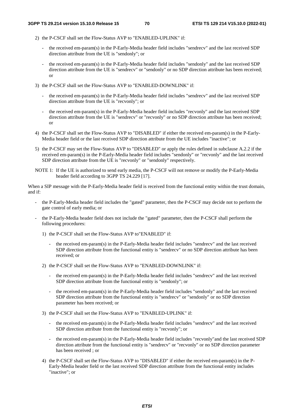- 2) the P-CSCF shall set the Flow-Status AVP to "ENABLED-UPLINK" if:
	- the received em-param(s) in the P-Early-Media header field includes "sendrecv" and the last received SDP direction attribute from the UE is "sendonly"; or
	- the received em-param(s) in the P-Early-Media header field includes "sendonly" and the last received SDP direction attribute from the UE is "sendrecv" or "sendonly" or no SDP direction attribute has been received; or
- 3) the P-CSCF shall set the Flow-Status AVP to "ENABLED-DOWNLINK" if:
	- the received em-param(s) in the P-Early-Media header field includes "sendrecv" and the last received SDP direction attribute from the UE is "recvonly"; or
	- the received em-param(s) in the P-Early-Media header field includes "recvonly" and the last received SDP direction attribute from the UE is "sendrecv" or "recvonly" or no SDP direction attribute has been received; or
- 4) the P-CSCF shall set the Flow-Status AVP to "DISABLED" if either the received em-param(s) in the P-Early-Media header field or the last received SDP direction attribute from the UE includes "inactive"; or
- 5) the P-CSCF may set the Flow-Status AVP to "DISABLED" or apply the rules defined in subclause A.2.2 if the received em-param(s) in the P-Early-Media header field includes "sendonly" or "recvonly" and the last received SDP direction attribute from the UE is "recvonly" or "sendonly" respectively.
- NOTE 1: If the UE is authorized to send early media, the P-CSCF will not remove or modify the P-Early-Media header field according to 3GPP TS 24.229 [17].

When a SIP message with the P-Early-Media header field is received from the functional entity within the trust domain, and if:

- the P-Early-Media header field includes the "gated" parameter, then the P-CSCF may decide not to perform the gate control of early media; or
- the P-Early-Media header field does not include the "gated" parameter, then the P-CSCF shall perform the following procedures:
	- 1) the P-CSCF shall set the Flow-Status AVP to"ENABLED" if:
		- the received em-param(s) in the P-Early-Media header field includes "sendrecv" and the last received SDP direction attribute from the functional entity is "sendrecv" or no SDP direction attribute has been received; or
	- 2) the P-CSCF shall set the Flow-Status AVP to "ENABLED-DOWNLINK" if:
		- the received em-param(s) in the P-Early-Media header field includes "sendrecv" and the last received SDP direction attribute from the functional entity is "sendonly"; or
		- the received em-param(s) in the P-Early-Media header field includes "sendonly" and the last received SDP direction attribute from the functional entity is "sendrecv" or "sendonly" or no SDP direction parameter has been received; or
	- 3) the P-CSCF shall set the Flow-Status AVP to "ENABLED-UPLINK" if:
		- the received em-param(s) in the P-Early-Media header field includes "sendrecv" and the last received SDP direction attribute from the functional entity is "recvonly"; or
		- the received em-param(s) in the P-Early-Media header field includes "recvonly"and the last received SDP direction attribute from the functional entity is "sendrecv" or "recvonly" or no SDP direction parameter has been received ; or
	- 4) the P-CSCF shall set the Flow-Status AVP to "DISABLED" if either the received em-param(s) in the P-Early-Media header field or the last received SDP direction attribute from the functional entity includes "inactive"; or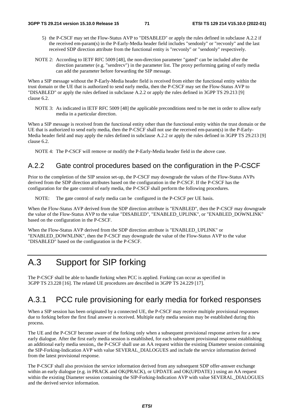- 5) the P-CSCF may set the Flow-Status AVP to "DISABLED" or apply the rules defined in subclause A.2.2 if the received em-param(s) in the P-Early-Media header field includes "sendonly" or "recvonly" and the last received SDP direction attribute from the functional entity is "recvonly" or "sendonly" respectively.
- NOTE 2: According to IETF RFC 5009 [48], the non-direction parameter "gated" can be included after the direction parameter (e.g. "sendrecv") in the parameter list. The proxy performing gating of early media can add the parameter before forwarding the SIP message.

When a SIP message without the P-Early-Media header field is received from either the functional entity within the trust domain or the UE that is authorized to send early media, then the P-CSCF may set the Flow-Status AVP to "DISABLED" or apply the rules defined in subclause A.2.2 or apply the rules defined in 3GPP TS 29.213 [9] clause 6.2.

NOTE 3: As indicated in IETF RFC 5009 [48] the applicable preconditions need to be met in order to allow early media in a particular direction.

When a SIP message is received from the functional entity other than the functional entity within the trust domain or the UE that is authorized to send early media, then the P-CSCF shall not use the received em-param(s) in the P-Early-Media header field and may apply the rules defined in subclause A.2.2 or apply the rules defined in 3GPP TS 29.213 [9] clause 6.2.

NOTE 4: The P-CSCF will remove or modify the P-Early-Media header field in the above case.

### A.2.2 Gate control procedures based on the configuration in the P-CSCF

Prior to the completion of the SIP session set-up, the P-CSCF may downgrade the values of the Flow-Status AVPs derived from the SDP direction attributes based on the configuration in the P-CSCF. If the P-CSCF has the configuration for the gate control of early media, the P-CSCF shall perform the following procedures.

NOTE: The gate control of early media can be configured in the P-CSCF per UE basis.

When the Flow-Status AVP derived from the SDP direction attribute is "ENABLED", then the P-CSCF may downgrade the value of the Flow-Status AVP to the value "DISABLED", "ENABLED\_UPLINK", or "ENABLED\_DOWNLINK" based on the configuration in the P-CSCF.

When the Flow-Status AVP derived from the SDP direction attribute is "ENABLED\_UPLINK" or "ENABLED\_DOWNLINK", then the P-CSCF may downgrade the value of the Flow-Status AVP to the value "DISABLED" based on the configuration in the P-CSCF.

# A.3 Support for SIP forking

The P-CSCF shall be able to handle forking when PCC is applied. Forking can occur as specified in 3GPP TS 23.228 [16]. The related UE procedures are described in 3GPP TS 24.229 [17].

# A.3.1 PCC rule provisioning for early media for forked responses

When a SIP session has been originated by a connected UE, the P-CSCF may receive multiple provisional responses due to forking before the first final answer is received. Multiple early media session may be established during this process.

The UE and the P-CSCF become aware of the forking only when a subsequent provisional response arrives for a new early dialogue. After the first early media session is established, for each subsequent provisional response establishing an additional early media session,, the P-CSCF shall use an AA request within the existing Diameter session containing the SIP-Forking-Indication AVP with value SEVERAL\_DIALOGUES and include the service information derived from the latest provisional response.

The P-CSCF shall also provision the service information derived from any subsequent SDP offer-answer exchange within an early dialogue (e.g. in PRACK and OK(PRACK), or UPDATE and OK(UPDATE) ) using an AA request within the existing Diameter session containing the SIP-Forking-Indication AVP with value SEVERAL\_DIALOGUES and the derived service information.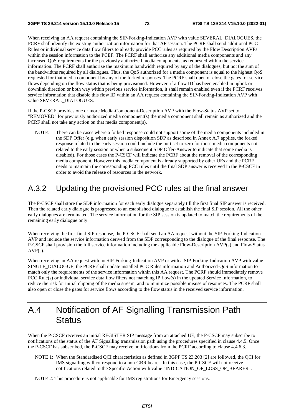When receiving an AA request containing the SIP-Forking-Indication AVP with value SEVERAL\_DIALOGUES, the PCRF shall identify the existing authorization information for that AF session. The PCRF shall send additional PCC Rules or individual service data flow filters to already provide PCC rules as required by the Flow Description AVPs within the session information to the PCEF. The PCRF shall authorize any additional media components and any increased QoS requirements for the previously authorized media components, as requested within the service information. The PCRF shall authorize the maximum bandwidth required by any of the dialogues, but not the sum of the bandwidths required by all dialogues. Thus, the QoS authorized for a media component is equal to the highest QoS requested for that media component by any of the forked responses. The PCRF shall open or close the gates for service flows depending on the flow status that is being provisioned. However, if a flow ID has been enabled in uplink or downlink direction or both way within previous service information, it shall remain enabled even if the PCRF receives service information that disable this flow ID within an AA request containing the SIP-Forking-Indication AVP with value SEVERAL\_DIALOGUES.

If the P-CSCF provides one or more Media-Component-Description AVP with the Flow-Status AVP set to "REMOVED" for previously authorized media component(s) the media component shall remain as authorized and the PCRF shall not take any action on that media component(s).

NOTE: There can be cases where a forked response could not support some of the media components included in the SDP Offer (e.g. when early session disposition SDP as described in Annex A.7 applies, the forked response related to the early session could include the port set to zero for those media components not related to the early session or when a subsequent SDP Offer-Answer to indicate that some media is disabled). For those cases the P-CSCF will indicate the PCRF about the removal of the corresponding media component. However this media component is already supported by other UEs and the PCRF needs to maintain the corresponding PCC rules until the final SDP answer is received in the P-CSCF in order to avoid the release of resources in the network.

### A.3.2 Updating the provisioned PCC rules at the final answer

The P-CSCF shall store the SDP information for each early dialogue separately till the first final SIP answer is received. Then the related early dialogue is progressed to an established dialogue to establish the final SIP session. All the other early dialogues are terminated. The service information for the SIP session is updated to match the requirements of the remaining early dialogue only.

When receiving the first final SIP response, the P-CSCF shall send an AA request without the SIP-Forking-Indication AVP and include the service information derived from the SDP corresponding to the dialogue of the final response. The P-CSCF shall provision the full service information including the applicable Flow-Description AVP(s) and Flow-Status AVP(s).

When receiving an AA request with no SIP-Forking-Indication AVP or with a SIP-Forking-Indication AVP with value SINGLE\_DIALOGUE, the PCRF shall update installed PCC Rules information and Authorized-QoS information to match only the requirements of the service information within this AA request. The PCRF should immediately remove PCC Rule(s) or individual service data flow filters not matching IP flow(s) in the updated Service Information, to reduce the risk for initial clipping of the media stream, and to minimize possible misuse of resources. The PCRF shall also open or close the gates for service flows according to the flow status in the received service information.

# A.4 Notification of AF Signalling Transmission Path **Status**

When the P-CSCF receives an initial REGISTER SIP message from an attached UE, the P-CSCF may subscribe to notifications of the status of the AF Signalling transmission path using the procedures specified in clause 4.4.5. Once the P-CSCF has subscribed, the P-CSCF may receive notifications from the PCRF according to clause 4.4.6.3.

- NOTE 1: When the Standardised QCI characteristics as defined in 3GPP TS 23.203 [2] are followed, the QCI for IMS signalling will correspond to a non-GBR bearer. In this case, the P-CSCF will not receive notifications related to the Specific-Action with value "INDICATION\_OF\_LOSS\_OF\_BEARER".
- NOTE 2: This procedure is not applicable for IMS registrations for Emergency sessions.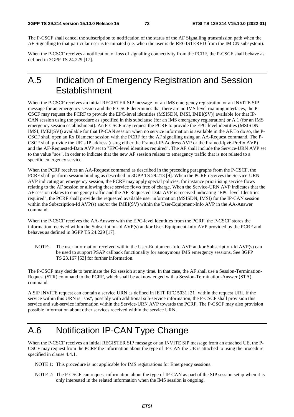The P-CSCF shall cancel the subscription to notification of the status of the AF Signalling transmission path when the AF Signalling to that particular user is terminated (i.e. when the user is de-REGISTERED from the IM CN subsystem).

When the P-CSCF receives a notification of loss of signalling connectivity from the PCRF, the P-CSCF shall behave as defined in 3GPP TS 24.229 [17].

# A.5 Indication of Emergency Registration and Session **Establishment**

When the P-CSCF receives an initial REGISTER SIP message for an IMS emergency registration or an INVITE SIP message for an emergency session and the P-CSCF determines that there are no IMS-level roaming interfaces, the P-CSCF may request the PCRF to provide the EPC-level identities (MSISDN, IMSI, IMEI(SV)) available for that IP-CAN session using the procedure as specified in this subclause (for an IMS emergency registration) or A.1 (for an IMS emergency session establishment). An P-CSCF may request the PCRF to provide the EPC-level identities (MSISDN, IMSI, IMEI(SV)) available for that IP-CAN session when no service information is available in the AF.To do so, the P-CSCF shall open an Rx Diameter session with the PCRF for the AF signalling using an AA-Request command. The P-CSCF shall provide the UE's IP address (using either the Framed-IP-Address AVP or the Framed-Ipv6-Prefix AVP) and the AF-Requested-Data AVP set to "EPC-level identities required". The AF shall include the Service-URN AVP set to the value "sos", in order to indicate that the new AF session relates to emergency traffic that is not related to a specific emergency service.

When the PCRF receives an AA-Request command as described in the preceding paragraphs from the P-CSCF, the PCRF shall perform session binding as described in 3GPP TS 29.213 [9]. When the PCRF receives the Service-URN AVP indicating an emergency session, the PCRF may apply special policies, for instance prioritising service flows relating to the AF session or allowing these service flows free of charge. When the Service-URN AVP indicates that the AF session relates to emergency traffic and the AF-Requested-Data AVP is received indicating "EPC-level Identities required", the PCRF shall provide the requested available user information (MSISDN, IMSI) for the IP-CAN session within the Subscription-Id AVP(s) and/or the IMEI(SV) within the User-Equipment-Info AVP in the AA-Answer command.

When the P-CSCF receives the AA-Answer with the EPC-level identities from the PCRF, the P-CSCF stores the information received within the Subscription-Id AVP(s) and/or User-Equipment-Info AVP provided by the PCRF and behaves as defined in 3GPP TS 24.229 [17].

NOTE: The user information received within the User-Equipment-Info AVP and/or Subscription-Id AVP(s) can be used to support PSAP callback functionality for anonymous IMS emergency sessions. See 3GPP TS 23.167 [53] for further information.

The P-CSCF may decide to terminate the Rx session at any time. In that case, the AF shall use a Session-Termination-Request (STR) command to the PCRF, which shall be acknowledged with a Session-Termination-Answer (STA) command.

A SIP INVITE request can contain a service URN as defined in IETF RFC 5031 [21] within the request URI. If the service within this URN is "sos", possibly with additional sub-service information, the P-CSCF shall provision this service and sub-service information within the Service-URN AVP towards the PCRF. The P-CSCF may also provision possible information about other services received within the service URN.

# A.6 Notification IP-CAN Type Change

When the P-CSCF receives an initial REGISTER SIP message or an INVITE SIP message from an attached UE, the P-CSCF may request from the PCRF the information about the type of IP-CAN the UE is attached to using the procedure specified in clause 4.4.1.

NOTE 1: This procedure is not applicable for IMS registrations for Emergency sessions.

NOTE 2: The P-CSCF can request information about the type of IP-CAN as part of the SIP session setup when it is only interested in the related information when the IMS session is ongoing.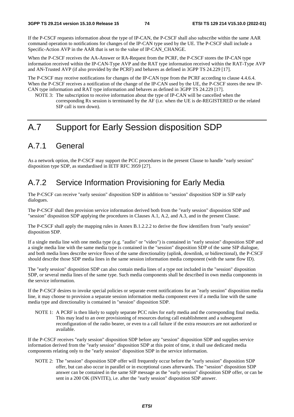If the P-CSCF requests information about the type of IP-CAN, the P-CSCF shall also subscribe within the same AAR command operation to notifications for changes of the IP-CAN type used by the UE. The P-CSCF shall include a Specific-Action AVP in the AAR that is set to the value of IP-CAN\_CHANGE.

When the P-CSCF receives the AA-Answer or RA-Request from the PCRF, the P-CSCF stores the IP-CAN type information received within the IP-CAN-Type AVP and the RAT type information received within the RAT-Type AVP and AN-Trusted AVP (if also provided by the PCRF) and behaves as defined in 3GPP TS 24.229 [17].

The P-CSCF may receive notifications for changes of the IP-CAN type from the PCRF according to clause 4.4.6.4. When the P-CSCF receives a notification of the change of the IP-CAN used by the UE, the P-CSCF stores the new IP-CAN type information and RAT type information and behaves as defined in 3GPP TS 24.229 [17].

NOTE 3: The subscription to receive information about the type of IP-CAN will be cancelled when the corresponding Rx session is terminated by the AF (i.e. when the UE is de-REGISTERED or the related SIP call is torn down).

# A.7 Support for Early Session disposition SDP

## A.7.1 General

As a network option, the P-CSCF may support the PCC procedures in the present Clause to handle "early session" disposition type SDP, as standardised in IETF RFC 3959 [27].

#### A.7.2 Service Information Provisioning for Early Media

The P-CSCF can receive "early session" disposition SDP in addition to "session" disposition SDP in SIP early dialogues.

The P-CSCF shall then provision service information derived both from the "early session" disposition SDP and "session" disposition SDP applying the procedures in Clauses A.1, A.2, and A.3, and in the present Clause.

The P-CSCF shall apply the mapping rules in Annex B.1.2.2.2 to derive the flow identifiers from "early session" disposition SDP.

If a single media line with one media type (e.g. "audio" or "video") is contained in "early session" disposition SDP and a single media line with the same media type is contained in the "session" disposition SDP of the same SIP dialogue, and both media lines describe service flows of the same directionality (uplink, downlink, or bidirectional), the P-CSCF should describe those SDP media lines in the same session information media component (with the same flow ID).

The "early session" disposition SDP can also contain media lines of a type not included in the "session" disposition SDP, or several media lines of the same type. Such media components shall be described in own media components in the service information.

If the P-CSCF desires to invoke special policies or separate event notifications for an "early session" disposition media line, it may choose to provision a separate session information media component even if a media line with the same media type and directionality is contained in "session" disposition SDP.

NOTE 1: A PCRF is then likely to supply separate PCC rules for early media and the corresponding final media. This may lead to an over provisioning of resources during call establishment and a subsequent reconfiguration of the radio bearer, or even to a call failure if the extra resources are not authorized or available.

If the P-CSCF receives "early session" disposition SDP before any "session" disposition SDP and supplies service information derived from the "early session" disposition SDP at this point of time, it shall use dedicated media components relating only to the "early session" disposition SDP in the service information.

NOTE 2: The "session" disposition SDP offer will frequently occur before the "early session" disposition SDP offer, but can also occur in parallel or in exceptional cases afterwards. The "session" disposition SDP answer can be contained in the same SIP message as the "early session" disposition SDP offer, or can be sent in a 200 OK (INVITE), i.e. after the "early session" disposition SDP answer.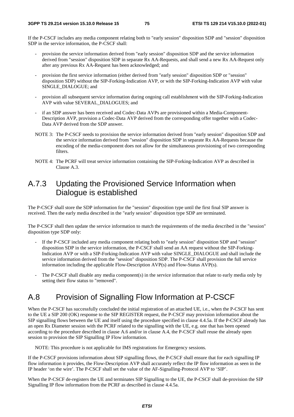If the P-CSCF includes any media component relating both to "early session" disposition SDP and "session" disposition SDP in the service information, the P-CSCF shall:

- provision the service information derived from "early session" disposition SDP and the service information derived from "session" disposition SDP in separate Rx AA-Requests, and shall send a new Rx AA-Request only after any previous Rx AA-Request has been acknowledged; and
- provision the first service information (either derived from "early session" disposition SDP or "session" disposition SDP) without the SIP-Forking-Indication AVP, or with the SIP-Forking-Indication AVP with value SINGLE\_DIALOGUE; and
- provision all subsequent service information during ongoing call establishment with the SIP-Forking-Indication AVP with value SEVERAL\_DIALOGUES; and
- if an SDP answer has been received and Codec-Data AVPs are provisioned within a Media-Component-Description AVP, provision a Codec-Data AVP derived from the corresponding offer together with a Codec-Data AVP derived from the SDP answer.
- NOTE 3: The P-CSCF needs to provision the service information derived from "early session" disposition SDP and the service information derived from "session" disposition SDP in separate Rx AA-Requests because the encoding of the media-component does not allow for the simultaneous provisioning of two corresponding filters.
- NOTE 4: The PCRF will treat service information containing the SIP-Forking-Indication AVP as described in Clause A.3.

#### A.7.3 Updating the Provisioned Service Information when Dialogue is established

The P-CSCF shall store the SDP information for the "session" disposition type until the first final SIP answer is received. Then the early media described in the "early session" disposition type SDP are terminated.

The P-CSCF shall then update the service information to match the requirements of the media described in the "session" disposition type SDP only:

- If the P-CSCF included any media component relating both to "early session" disposition SDP and "session" disposition SDP in the service information, the P-CSCF shall send an AA request without the SIP-Forking-Indication AVP or with a SIP-Forking-Indication AVP with value SINGLE\_DIALOGUE and shall include the service information derived from the "session" disposition SDP. The P-CSCF shall provision the full service information including the applicable Flow-Description AVP(s) and Flow-Status AVP(s).
- The P-CSCF shall disable any media component(s) in the service information that relate to early media only by setting their flow status to "removed".

### A.8 Provision of Signalling Flow Information at P-CSCF

When the P-CSCF has successfully concluded the initial registration of an attached UE, i.e., when the P-CSCF has sent to the UE a SIP 200 (OK) response to the SIP REGISTER request, the P-CSCF may provision information about the SIP signalling flows between the UE and itself using the procedure specified in clause 4.4.5a. If the P-CSCF already has an open Rx Diameter session with the PCRF related to the signalling with the UE, e.g. one that has been opened according to the procedure described in clause A.6 and/or in clause A.4, the P-CSCF shall reuse the already open session to provision the SIP Signalling IP Flow information.

NOTE: This procedure is not applicable for IMS registrations for Emergency sessions.

If the P-CSCF provisions information about SIP signalling flows, the P-CSCF shall ensure that for each signalling IP flow information it provides, the Flow-Description AVP shall accurately reflect the IP flow information as seen in the IP header 'on the wire'. The P-CSCF shall set the value of the AF-Signalling-Protocol AVP to 'SIP'.

When the P-CSCF de-registers the UE and terminates SIP Signalling to the UE, the P-CSCF shall de-provision the SIP Signalling IP flow information from the PCRF as described in clause 4.4.5a.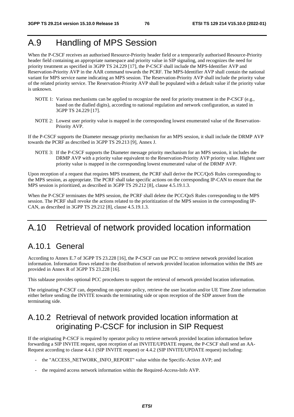# A.9 Handling of MPS Session

When the P-CSCF receives an authorised Resource-Priority header field or a temporarily authorised Resource-Priority header field containing an appropriate namespace and priority value in SIP signaling, and recognizes the need for priority treatment as specified in 3GPP TS 24.229 [17], the P-CSCF shall include the MPS-Identifier AVP and Reservation-Priority AVP in the AAR command towards the PCRF. The MPS-Identifier AVP shall contain the national variant for MPS service name indicating an MPS session. The Reservation-Priority AVP shall include the priority value of the related priority service. The Reservation-Priority AVP shall be populated with a default value if the priority value is unknown.

- NOTE 1: Various mechanisms can be applied to recognize the need for priority treatment in the P-CSCF (e.g., based on the dialled digits), according to national regulation and network configuration, as stated in 3GPP TS 24.229 [17].
- NOTE 2: Lowest user priority value is mapped in the corresponding lowest enumerated value of the Reservation-Priority AVP.

If the P-CSCF supports the Diameter message priority mechanism for an MPS session, it shall include the DRMP AVP towards the PCRF as described in 3GPP TS 29.213 [9], Annex J.

NOTE 3: If the P-CSCF supports the Diameter message priority mechanism for an MPS session, it includes the DRMP AVP with a priority value equivalent to the Reservation-Priority AVP priority value. Highest user priority value is mapped in the corresponding lowest enumerated value of the DRMP AVP.

Upon reception of a request that requires MPS treatment, the PCRF shall derive the PCC/QoS Rules corresponding to the MPS session, as appropriate. The PCRF shall take specific actions on the corresponding IP-CAN to ensure that the MPS session is prioritized, as described in 3GPP TS 29.212 [8], clause 4.5.19.1.3.

When the P-CSCF terminates the MPS session, the PCRF shall delete the PCC/QoS Rules corresponding to the MPS session. The PCRF shall revoke the actions related to the prioritization of the MPS session in the corresponding IP-CAN, as described in 3GPP TS 29.212 [8], clause 4.5.19.1.3.

# A.10 Retrieval of network provided location information

## A.10.1 General

According to Annex E.7 of 3GPP TS 23.228 [16], the P-CSCF can use PCC to retrieve network provided location information. Information flows related to the distribution of network provided location information within the IMS are provided in Annex R of 3GPP TS 23.228 [16].

This sublause provides optional PCC procedures to support the retrieval of network provided location information.

The originating P-CSCF can, depending on operator policy, retrieve the user location and/or UE Time Zone information either before sending the INVITE towards the terminating side or upon reception of the SDP answer from the terminating side.

## A.10.2 Retrieval of network provided location information at originating P-CSCF for inclusion in SIP Request

If the originating P-CSCF is required by operator policy to retrieve network provided location information before forwarding a SIP INVITE request, upon reception of an INVITE/UPDATE request, the P-CSCF shall send an AA-Request according to clause 4.4.1 (SIP INVITE request) or 4.4.2 (SIP INVITE/UPDATE request) including:

- the "ACCESS\_NETWORK\_INFO\_REPORT" value within the Specific-Action AVP; and
- the required access network information within the Required-Access-Info AVP.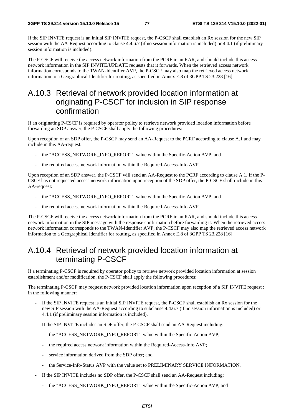If the SIP INVITE request is an initial SIP INVITE request, the P-CSCF shall establish an Rx session for the new SIP session with the AA-Request according to clause 4.4.6.7 (if no session information is included) or 4.4.1 (if preliminary session information is included).

The P-CSCF will receive the access network information from the PCRF in an RAR, and should include this access network information in the SIP INVITE/UPDATE requests that it forwards. When the retrieved access network information corresponds to the TWAN-Identifier AVP, the P-CSCF may also map the retrieved access network information to a Geographical Identifier for routing, as specified in Annex E.8 of 3GPP TS 23.228 [16].

### A.10.3 Retrieval of network provided location information at originating P-CSCF for inclusion in SIP response confirmation

If an originating P-CSCF is required by operator policy to retrieve network provided location information before forwarding an SDP answer, the P-CSCF shall apply the following procedures:

Upon reception of an SDP offer, the P-CSCF may send an AA-Request to the PCRF according to clause A.1 and may include in this AA-request:

- the "ACCESS\_NETWORK\_INFO\_REPORT" value within the Specific-Action AVP; and
- the required access network information within the Required-Access-Info AVP.

Upon reception of an SDP answer, the P-CSCF will send an AA-Request to the PCRF according to clause A.1. If the P-CSCF has not requested access network information upon reception of the SDP offer, the P-CSCF shall include in this AA-request:

- the "ACCESS\_NETWORK\_INFO\_REPORT" value within the Specific-Action AVP; and
- the required access network information within the Required-Access-Info AVP.

The P-CSCF will receive the access network information from the PCRF in an RAR, and should include this access network information in the SIP message with the response confirmation before forwarding it. When the retrieved access network information corresponds to the TWAN-Identifier AVP, the P-CSCF may also map the retrieved access network information to a Geographical Identifier for routing, as specified in Annex E.8 of 3GPP TS 23.228 [16].

#### A.10.4 Retrieval of network provided location information at terminating P-CSCF

If a terminating P-CSCF is required by operator policy to retrieve network provided location information at session establishment and/or modification, the P-CSCF shall apply the following procedures:

The terminating P-CSCF may request network provided location information upon reception of a SIP INVITE request : in the following manner:

- If the SIP INVITE request is an initial SIP INVITE request, the P-CSCF shall establish an Rx session for the new SIP session with the AA-Request according to subclause 4.4.6.7 (if no session information is included) or 4.4.1 (if preliminary session information is included).
- If the SIP INVITE includes an SDP offer, the P-CSCF shall send an AA-Request including:
	- the "ACCESS\_NETWORK\_INFO\_REPORT" value within the Specific-Action AVP;
	- the required access network information within the Required-Access-Info AVP;
	- service information derived from the SDP offer; and
	- the Service-Info-Status AVP with the value set to PRELIMINARY SERVICE INFORMATION.
- If the SIP INVITE includes no SDP offer, the P-CSCF shall send an AA-Request including:
	- the "ACCESS\_NETWORK\_INFO\_REPORT" value within the Specific-Action AVP; and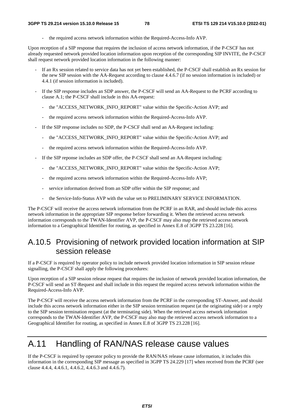the required access network information within the Required-Access-Info AVP.

Upon reception of a SIP response that requires the inclusion of access network information, if the P-CSCF has not already requested network provided location information upon reception of the corresponding SIP INVITE, the P-CSCF shall request network provided location information in the following manner:

- If an Rx session related to service data has not yet been established, the P-CSCF shall establish an Rx session for the new SIP session with the AA-Request according to clause 4.4.6.7 (if no session information is included) or 4.4.1 (if session information is included).
- If the SIP response includes an SDP answer, the P-CSCF will send an AA-Request to the PCRF according to clause A.1; the P-CSCF shall include in this AA-request:
	- the "ACCESS\_NETWORK\_INFO\_REPORT" value within the Specific-Action AVP; and
	- the required access network information within the Required-Access-Info AVP.
- If the SIP response includes no SDP, the P-CSCF shall send an AA-Request including:
	- the "ACCESS\_NETWORK\_INFO\_REPORT" value within the Specific-Action AVP; and
	- the required access network information within the Required-Access-Info AVP.
- If the SIP reponse includes an SDP offer, the P-CSCF shall send an AA-Request including:
	- the "ACCESS\_NETWORK\_INFO\_REPORT" value within the Specific-Action AVP;
	- the required access network information within the Required-Access-Info AVP;
	- service information derived from an SDP offer within the SIP response; and
	- the Service-Info-Status AVP with the value set to PRELIMINARY SERVICE INFORMATION.

The P-CSCF will receive the access network information from the PCRF in an RAR, and should include this access network information in the appropriate SIP response before forwarding it. When the retrieved access network information corresponds to the TWAN-Identifier AVP, the P-CSCF may also map the retrieved access network information to a Geographical Identifier for routing, as specified in Annex E.8 of 3GPP TS 23.228 [16].

## A.10.5 Provisioning of network provided location information at SIP session release

If a P-CSCF is required by operator policy to include network provided location information in SIP session release signalling, the P-CSCF shall apply the following procedures:

Upon reception of a SIP session release request that requires the inclusion of network provided location information, the P-CSCF will send an ST-Request and shall include in this request the required access network information within the Required-Access-Info AVP.

The P-CSCF will receive the access network information from the PCRF in the corresponding ST-Answer, and should include this access network information either in the SIP session termination request (at the originating side) or a reply to the SIP session termination request (at the terminating side). When the retrieved access network information corresponds to the TWAN-Identifier AVP, the P-CSCF may also map the retrieved access network information to a Geographical Identifier for routing, as specified in Annex E.8 of 3GPP TS 23.228 [16].

# A.11 Handling of RAN/NAS release cause values

If the P-CSCF is required by operator policy to provide the RAN/NAS release cause information, it includes this information in the corresponding SIP message as specified in 3GPP TS 24.229 [17] when received from the PCRF (see clause 4.4.4, 4.4.6.1, 4.4.6.2, 4.4.6.3 and 4.4.6.7).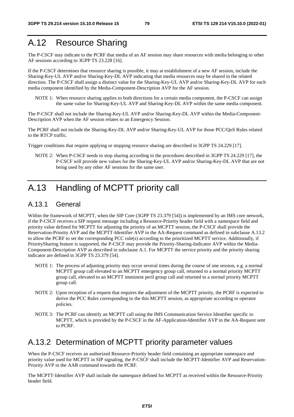# A.12 Resource Sharing

The P-CSCF may indicate to the PCRF that media of an AF session may share resources with media belonging to other AF sessions according to 3GPP TS 23.228 [16].

If the P-CSCF determines that resource sharing is possible, it may at establishment of a new AF session, include the Sharing-Key-UL AVP and/or Sharing-Key-DL AVP indicating that media resources may be shared in the related direction. The P-CSCF shall assign a distinct value for the Sharing-Key-UL AVP and/or Sharing-Key-DL AVP for each media component identified by the Media-Component-Description AVP for the AF session.

NOTE 1: When resource sharing applies to both directions for a certain media component, the P-CSCF can assign the same value for Sharing-Key-UL AVP and Sharing-Key-DL AVP within the same media component.

The P-CSCF shall not include the Sharing-Key-UL AVP and/or Sharing-Key-DL AVP within the Media-Component-Description AVP when the AF session relates to an Emergency Session.

The PCRF shall not include the Sharing-Key-DL AVP and/or Sharing-Key-UL AVP for those PCC/QoS Rules related to the RTCP traffic.

Trigger conditions that require applying or stopping resource sharing are described in 3GPP TS 24.229 [17].

NOTE 2: When P-CSCF needs to stop sharing according to the procedures described in 3GPP TS 24.229 [17], the P-CSCF will provide new values for the Sharing-Key-UL AVP and/or Sharing-Key-DL AVP that are not being used by any other AF sessions for the same user.

# A.13 Handling of MCPTT priority call

#### A.13.1 General

Within the framework of MCPTT, when the SIP Core (3GPP TS 23.379 [54]) is implemented by an IMS core network, if the P-CSCF receives a SIP request message including a Resource-Priority header field with a namespace field and priority value defined for MCPTT for adjusting the priority of an MCPTT session, the P-CSCF shall provide the Reservation-Priority AVP and the MCPTT-Identifier AVP in the AA-Request command as defined in subclause A.13.2 to allow the PCRF to set the corresponding PCC rule(s) according to the prioritized MCPTT service. Additionally, if PrioritySharing feature is supported, the P-CSCF may provide the Priority-Sharing-Indicator AVP within the Media-Component-Description AVP as described in subclause A.1. For MCPTT the service priority and the priority sharing indicator are defined in 3GPP TS 23.379 [54].

- NOTE 1: The process of adjusting priority may occur several times during the course of one session, e.g. a normal MCPTT group call elevated to an MCPTT emergency group call, returned to a normal priority MCPTT group call, elevated to an MCPTT imminent peril group call and returned to a normal priority MCPTT group call.
- NOTE 2: Upon reception of a request that requires the adjustment of the MCPTT priority, the PCRF is expected to derive the PCC Rules corresponding to the this MCPTT session, as appropriate according to operator policies.
- NOTE 3: The PCRF can identify an MCPTT call using the IMS Communication Service Identifier specific to MCPTT, which is provided by the P-CSCF in the AF-Application-Identifier AVP in the AA-Request sent to PCRF.

#### A.13.2 Determination of MCPTT priority parameter values

When the P-CSCF receives an authorized Resource-Priority header field containing an appropriate namespace and priority value used for MCPTT in SIP signaling, the P-CSCF shall include the MCPTT-Identifier AVP and Reservation-Priority AVP in the AAR command towards the PCRF.

The MCPTT-Identifier AVP shall include the namespace defined for MCPTT as received within the Resource-Priority header field.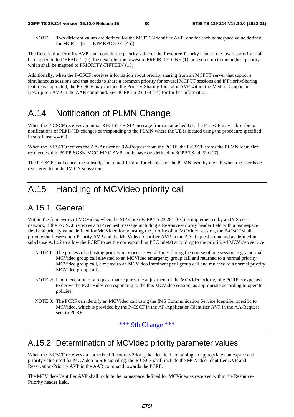NOTE: Two different values are defined for the MCPTT-Identifier AVP, one for each namespace value defined for MCPTT (see IETF RFC 8101 [45]).

The Reservation-Priority AVP shall contain the priority value of the Resource-Priority header; the lowest priority shall be mapped to to DEFAULT (0), the next after the lowest to PRIORITY-ONE (1), and so on up to the highest priority which shall be mapped to PRIORITY-FIFTEEN (15).

Additionally, when the P-CSCF receives information about priority sharing from an MCPTT server that supports simultaneous sessions and that needs to share a common priority for several MCPTT sessions and if PrioritySharing feature is supported, the P-CSCF may include the Priority-Sharing-Indicator AVP within the Media-Component-Description AVP in the AAR command. See 3GPP TS 23.379 [54] for further information.

# A.14 Notification of PLMN Change

When the P-CSCF receives an initial REGISTER SIP message from an attached UE, the P-CSCF may subscribe to notifications of PLMN ID changes corresponding to the PLMN where the UE is located using the procedure specified in subclause 4.4.6.9.

When the P-CSCF receives the AA-Answer or RA-Request from the PCRF, the P-CSCF stores the PLMN identifier received within 3GPP-SGSN-MCC-MNC AVP and behaves as defined in 3GPP TS 24.229 [17].

The P-CSCF shall cancel the subscription to notification for changes of the PLMN used by the UE when the user is deregistered from the IM CN subsystem.

# A.15 Handling of MCVideo priority call

### A.15.1 General

Within the framework of MCVideo, when the SIP Core (3GPP TS 23.281 [6x]) is implemented by an IMS core network, if the P-CSCF receives a SIP request message including a Resource-Priority header field with a namespace field and priority value defined for MCVideo for adjusting the priority of an MCVideo session, the P-CSCF shall provide the Reservation-Priority AVP and the MCVideo-Identifier AVP in the AA-Request command as defined in subclause A.1x.2 to allow the PCRF to set the corresponding PCC rule(s) according to the prioritized MCVideo service.

- NOTE 1: The process of adjusting priority may occur several times during the course of one session, e.g. a normal MCVideo group call elevated to an MCVideo emergency group call and returned to a normal priority MCVideo group call, elevated to an MCVideo imminent peril group call and returned to a normal priority MCVideo group call.
- NOTE 2: Upon reception of a request that requires the adjustment of the MCVideo priority, the PCRF is expected to derive the PCC Rules corresponding to the this MCVideo session, as appropriate according to operator policies.
- NOTE 3: The PCRF can identify an MCVideo call using the IMS Communication Service Identifier specific to MCVideo, which is provided by the P-CSCF in the AF-Application-Identifier AVP in the AA-Request sent to PCRF.

\*\*\* 9th Change \*\*\*

#### A.15.2 Determination of MCVideo priority parameter values

When the P-CSCF receives an authorized Resource-Priority header field containing an appropriate namespace and priority value used for MCVideo in SIP signaling, the P-CSCF shall include the MCVideo-Identifier AVP and Reservation-Priority AVP in the AAR command towards the PCRF.

The MCVideo-Identifier AVP shall include the namespace defined for MCVideo as received within the Resource-Priority header field.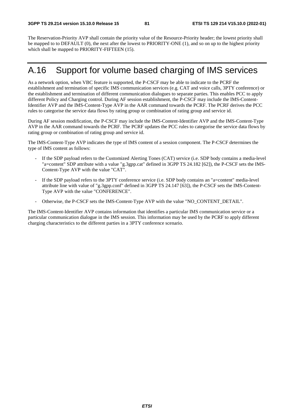The Reservation-Priority AVP shall contain the priority value of the Resource-Priority header; the lowest priority shall be mapped to to DEFAULT (0), the next after the lowest to PRIORITY-ONE (1), and so on up to the highest priority which shall be mapped to PRIORITY-FIFTEEN (15).

## A.16 Support for volume based charging of IMS services

As a network option, when VBC feature is supported, the P-CSCF may be able to indicate to the PCRF the establishment and termination of specific IMS communication services (e.g. CAT and voice calls, 3PTY conference) or the establishment and termination of different communication dialogues to separate parties. This enables PCC to apply different Policy and Charging control. During AF session establishment, the P-CSCF may include the IMS-Content-Identifier AVP and the IMS-Content-Type AVP in the AAR command towards the PCRF. The PCRF derives the PCC rules to categorise the service data flows by rating group or combination of rating group and service id.

During AF session modification, the P-CSCF may include the IMS-Content-Identifier AVP and the IMS-Content-Type AVP in the AAR command towards the PCRF. The PCRF updates the PCC rules to categorise the service data flows by rating group or combination of rating group and service id.

The IMS-Content-Type AVP indicates the type of IMS content of a session component. The P-CSCF determines the type of IMS content as follows:

- If the SDP payload refers to the Customized Alerting Tones (CAT) service (i.e. SDP body contains a media-level "a=content" SDP attribute with a value "g.3gpp.cat" defined in 3GPP TS 24.182 [62]), the P-CSCF sets the IMS-Content-Type AVP with the value "CAT".
- If the SDP payload refers to the 3PTY conference service (i.e. SDP body contains an "a=content" media-level attribute line with value of "g.3gpp.conf" defined in 3GPP TS 24.147 [63]), the P-CSCF sets the IMS-Content-Type AVP with the value "CONFERENCE".
- Otherwise, the P-CSCF sets the IMS-Content-Type AVP with the value "NO\_CONTENT\_DETAIL".

The IMS-Content-Identifier AVP contains information that identifies a particular IMS communication service or a particular communication dialogue in the IMS session. This information may be used by the PCRF to apply different charging characteristics to the different parties in a 3PTY conference scenario.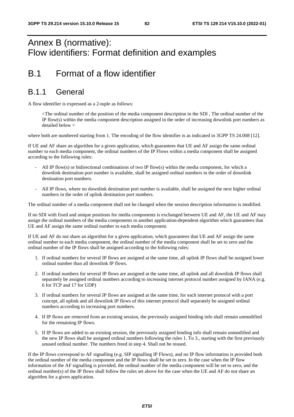# Annex B (normative): Flow identifiers: Format definition and examples

# B.1 Format of a flow identifier

#### B.1.1 General

A flow identifier is expressed as a 2-tuple as follows:

 <The ordinal number of the position of the media component description in the SDI , The ordinal number of the IP flow(s) within the media component description assigned in the order of increasing downlink port numbers as detailed below >

where both are numbered starting from 1. The encoding of the flow identifier is as indicated in 3GPP TS 24.008 [12].

If UE and AF share an algorithm for a given application, which guarantees that UE and AF assign the same ordinal number to each media component, the ordinal numbers of the IP Flows within a media component shall be assigned according to the following rules:

- All IP flow(s) or bidirectional combinations of two IP flow(s) within the media component, for which a downlink destination port number is available, shall be assigned ordinal numbers in the order of downlink destination port numbers.
- All IP flows, where no downlink destination port number is available, shall be assigned the next higher ordinal numbers in the order of uplink destination port numbers.

The ordinal number of a media component shall not be changed when the session description information is modified.

If no SDI with fixed and unique positions for media components is exchanged between UE and AF, the UE and AF may assign the ordinal numbers of the media components in another application-dependent algorithm which guarantees that UE and AF assign the same ordinal number to each media component.

If UE and AF do not share an algorithm for a given application, which guarantees that UE and AF assign the same ordinal number to each media component, the ordinal number of the media component shall be set to zero and the ordinal number of the IP flows shall be assigned according to the following rules:

- 1. If ordinal numbers for several IP flows are assigned at the same time, all uplink IP flows shall be assigned lower ordinal number than all downlink IP flows.
- 2. If ordinal numbers for several IP flows are assigned at the same time, all uplink and all downlink IP flows shall separately be assigned ordinal numbers according to increasing internet protocol number assigned by IANA (e.g. 6 for TCP and 17 for UDP)
- 3. If ordinal numbers for several IP flows are assigned at the same time, for each internet protocol with a port concept, all uplink and all downlink IP flows of this internet protocol shall separately be assigned ordinal numbers according to increasing port numbers.
- 4. If IP flows are removed from an existing session, the previously assigned binding info shall remain unmodified for the remaining IP flows.
- 5. If IP flows are added to an existing session, the previously assigned binding info shall remain unmodified and the new IP flows shall be assigned ordinal numbers following the rules 1. To 3., starting with the first previously unused ordinal number. The numbers freed in step 4. Shall not be reused.

If the IP flows correspond to AF signalling (e.g. SIP signalling IP Flows), and no IP flow information is provided both the ordinal number of the media component and the IP flows shall be set to zero. In the case when the IP flow information of the AF signalling is provided, the ordinal number of the media component will be set to zero, and the ordinal number(s) of the IP flows shall follow the rules set above for the case when the UE and AF do not share an algorithm for a given application.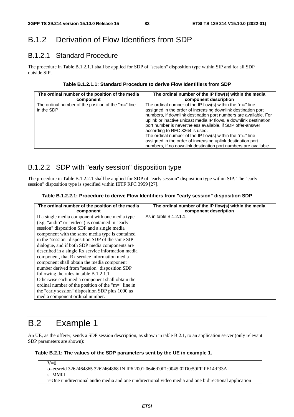# B.1.2 Derivation of Flow Identifiers from SDP

#### B.1.2.1 Standard Procedure

The procedure in Table B.1.2.1.1 shall be applied for SDP of "session" disposition type within SIP and for all SDP outside SIP.

#### **Table B.1.2.1.1: Standard Procedure to derive Flow Identifiers from SDP**

| The ordinal number of the position of the media                   | The ordinal number of the IP flow(s) within the media                                                                                                                                                                                                                                                                                                                                                                                                                                                                                                                  |
|-------------------------------------------------------------------|------------------------------------------------------------------------------------------------------------------------------------------------------------------------------------------------------------------------------------------------------------------------------------------------------------------------------------------------------------------------------------------------------------------------------------------------------------------------------------------------------------------------------------------------------------------------|
| component                                                         | component description                                                                                                                                                                                                                                                                                                                                                                                                                                                                                                                                                  |
| The ordinal number of the position of the "m=" line<br>in the SDP | The ordinal number of the IP flow(s) within the " $m=$ " line<br>assigned in the order of increasing downlink destination port<br>numbers, if downlink destination port numbers are available. For<br>uplink or inactive unicast media IP flows, a downlink destination<br>port number is nevertheless available, if SDP offer-answer<br>according to RFC 3264 is used.<br>The ordinal number of the IP flow(s) within the "m=" line<br>assigned in the order of increasing uplink destination port<br>numbers, if no downlink destination port numbers are available. |

#### B.1.2.2 SDP with "early session" disposition type

The procedure in Table B.1.2.2.1 shall be applied for SDP of "early session" disposition type within SIP. The "early session" disposition type is specified within IETF RFC 3959 [27].

#### **Table B.1.2.2.1: Procedure to derive Flow Identifiers from "early session" disposition SDP**

| The ordinal number of the position of the media<br>component | The ordinal number of the IP flow(s) within the media<br>component description |
|--------------------------------------------------------------|--------------------------------------------------------------------------------|
| If a single media component with one media type              | As in table B.1.2.1.1.                                                         |
|                                                              |                                                                                |
| (e.g. "audio" or "video") is contained in "early             |                                                                                |
| session" disposition SDP and a single media                  |                                                                                |
| component with the same media type is contained              |                                                                                |
| in the "session" disposition SDP of the same SIP             |                                                                                |
| dialogue, and if both SDP media components are               |                                                                                |
| described in a single Rx service information media           |                                                                                |
| component, that Rx service information media                 |                                                                                |
| component shall obtain the media component                   |                                                                                |
| number derived from "session" disposition SDP                |                                                                                |
| following the rules in table B.1.2.1.1.                      |                                                                                |
| Otherwise each media component shall obtain the              |                                                                                |
| ordinal number of the position of the "m=" line in           |                                                                                |
| the "early session" disposition SDP plus 1000 as             |                                                                                |
| media component ordinal number.                              |                                                                                |

# B.2 Example 1

An UE, as the offerer, sends a SDP session description, as shown in table B.2.1, to an application server (only relevant SDP parameters are shown):

#### **Table B.2.1: The values of the SDP parameters sent by the UE in example 1.**

 $\overline{V=0}$ o=ecsreid 3262464865 3262464868 IN IP6 2001:0646:00F1:0045:02D0:59FF:FE14:F33A s=MM01 i=One unidirectional audio media and one unidirectional video media and one bidirectional application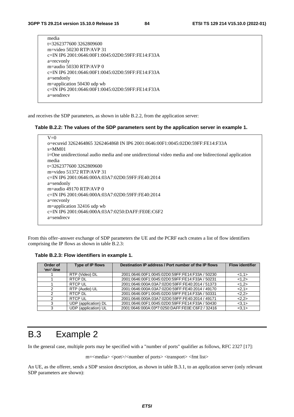| media                                            |
|--------------------------------------------------|
| t=3262377600 3262809600                          |
| m=video 50230 RTP/AVP 31                         |
| c=IN IP6 2001:0646:00F1:0045:02D0:59FF:FE14:F33A |
| a=recvonly                                       |
| m=audio 50330 RTP/AVP $\theta$                   |
| c=IN IP6 2001:0646:00F1:0045:02D0:59FF:FE14:F33A |
| a=sendonly                                       |
| m=application 50430 udp wb                       |
| c=IN IP6 2001:0646:00F1:0045:02D0:59FF:FE14:F33A |
| $a =$ sendrec $v$                                |
|                                                  |

and receives the SDP parameters, as shown in table B.2.2, from the application server:

#### **Table B.2.2: The values of the SDP parameters sent by the application server in example 1.**

| $V=0$                                                                                                 |
|-------------------------------------------------------------------------------------------------------|
| o=ecsreid 3262464865 3262464868 IN IP6 2001:0646:00F1:0045:02D0:59FF:FE14:F33A                        |
| $s = MM01$                                                                                            |
| i=One unidirectional audio media and one unidirectional video media and one bidirectional application |
| media                                                                                                 |
| t=3262377600 3262809600                                                                               |
| m=video $51372$ RTP/AVP 31                                                                            |
| c=IN IP6 2001:0646:000A:03A7:02D0:59FF:FE40:2014                                                      |
| $a =$ sendonly                                                                                        |
| m=audio 49170 RTP/AVP $\theta$                                                                        |
| c=IN IP6 2001:0646:000A:03A7:02D0:59FF:FE40:2014                                                      |
| a=recvonly                                                                                            |
| m=application $32416$ udp wb                                                                          |
| c=IN IP6 2001:0646:000A:03A7:0250:DAFF:FE0E:C6F2                                                      |
| $a =$ sendrec $v$                                                                                     |
|                                                                                                       |

From this offer–answer exchange of SDP parameters the UE and the PCRF each creates a list of flow identifiers comprising the IP flows as shown in table B.2.3:

**Table B.2.3: Flow identifiers in example 1.** 

| Order of<br>$'m='-line$ | Type of IP flows     | Destination IP address / Port number of the IP flows | <b>Flow identifier</b> |
|-------------------------|----------------------|------------------------------------------------------|------------------------|
|                         | RTP (Video) DL       | 2001:0646:00F1:0045:02D0:59FF:FE14:F33A / 50230      | <1,1>                  |
|                         | RTCP DL              | 2001:0646:00F1:0045:02D0:59FF:FE14:F33A / 50231      | <1,2>                  |
|                         | <b>RTCP UL</b>       | 2001:0646:000A:03A7:02D0:59FF:FE40:2014 / 51373      | <1,2>                  |
|                         | RTP (Audio) UL       | 2001:0646:000A:03A7:02D0:59FF:FE40:2014 / 49170      | 2,1>                   |
|                         | RTCP DL              | 2001:0646:00F1:0045:02D0:59FF:FE14:F33A / 50331      | 2,2>                   |
|                         | <b>RTCP UL</b>       | 2001:0646:000A:03A7:02D0:59FF:FE40:2014 / 49171      | 2,2>                   |
| 3                       | UDP (application) DL | 2001:0646:00F1:0045:02D0:59FF:FE14:F33A / 50430      | <3,1>                  |
| 3                       | UDP (application) UL | 2001:0646:000A:03ª7:0250:DAFF:FE0E:C6F2 / 32416      | <3.1>                  |

# B.3 Example 2

In the general case, multiple ports may be specified with a "number of ports" qualifier as follows, RFC 2327 [17]:

m=<media> <port>/<number of ports> <transport> <fmt list>

An UE, as the offerer, sends a SDP session description, as shown in table B.3.1, to an application server (only relevant SDP parameters are shown):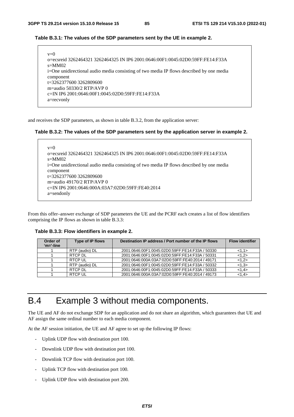#### **Table B.3.1: The values of the SDP parameters sent by the UE in example 2.**

| $v=0$                                                                                    |
|------------------------------------------------------------------------------------------|
| o=ecsreid 3262464321 3262464325 IN IP6 2001:0646:00F1:0045:02D0:59FF:FE14:F33A           |
| $s=MM02$                                                                                 |
| i=One unidirectional audio media consisting of two media IP flows described by one media |
| component                                                                                |
| $t=32623776003262809600$                                                                 |
| m=audio 50330/2 RTP/AVP 0                                                                |
| c=IN IP6 2001:0646:00F1:0045:02D0:59FF:FE14:F33A                                         |
| a=recvonly                                                                               |

and receives the SDP parameters, as shown in table B.3.2, from the application server:

#### **Table B.3.2: The values of the SDP parameters sent by the application server in example 2.**

```
v=0o=ecsreid 3262464321 3262464325 IN IP6 2001:0646:00F1:0045:02D0:59FF:FE14:F33A 
s=MM02 
i=One unidirectional audio media consisting of two media IP flows described by one media 
component 
t=3262377600 3262809600 
m=audio 49170/2 RTP/AVP 0 
c=IN IP6 2001:0646:000A:03A7:02D0:59FF:FE40:2014 
a=sendonly
```
From this offer–answer exchange of SDP parameters the UE and the PCRF each creates a list of flow identifiers comprising the IP flows as shown in table B.3.3:

**Table B.3.3: Flow identifiers in example 2.** 

| Order of<br>$'m='-line$ | Type of IP flows | Destination IP address / Port number of the IP flows | <b>Flow identifier</b> |
|-------------------------|------------------|------------------------------------------------------|------------------------|
|                         | RTP (audio) DL   | 2001:0646:00F1:0045:02D0:59FF:FE14:F33A / 50330      | <1,1>                  |
|                         | RTCP DL          | 2001:0646:00F1:0045:02D0:59FF:FE14:F33A / 50331      | <1,2>                  |
|                         | <b>RTCP UL</b>   | 2001.0646.000A.03A7.02D0.59FF.FE40.2014 / 49171      | <1.2>                  |
|                         | RTP (audio) DL   | 2001:0646:00F1:0045:02D0:59FF:FE14:F33A / 50332      | <1.3>                  |
|                         | RTCP DL          | 2001:0646:00F1:0045:02D0:59FF:FE14:F33A / 50333      | <1.4>                  |
|                         | <b>RTCP UL</b>   | 2001:0646:000A:03A7:02D0:59FF:FE40:2014 / 49173      | <1.4>                  |

# B.4 Example 3 without media components.

The UE and AF do not exchange SDP for an application and do not share an algorithm, which guarantees that UE and AF assign the same ordinal number to each media component.

At the AF session initiation, the UE and AF agree to set up the following IP flows:

- Uplink UDP flow with destination port 100.
- Downlink UDP flow with destination port 100.
- Downlink TCP flow with destination port 100.
- Uplink TCP flow with destination port 100.
- Uplink UDP flow with destination port 200.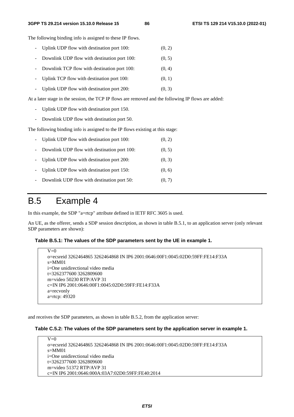The following binding info is assigned to these IP flows.

- Uplink UDP flow with destination port  $100$ :  $(0, 2)$
- Downlink UDP flow with destination port 100: (0, 5)
- Downlink TCP flow with destination port 100: (0, 4)
- Uplink TCP flow with destination port 100: (0, 1)
- Uplink UDP flow with destination port  $200$ :  $(0, 3)$

At a later stage in the session, the TCP IP flows are removed and the following IP flows are added:

- Uplink UDP flow with destination port 150.
- Downlink UDP flow with destination port 50.

The following binding info is assigned to the IP flows existing at this stage:

|                     | - Uplink UDP flow with destination port 100: | (0, 2) |
|---------------------|----------------------------------------------|--------|
| $\sim$              | Downlink UDP flow with destination port 100: | (0, 5) |
|                     | - Uplink UDP flow with destination port 200: | (0, 3) |
|                     | - Uplink UDP flow with destination port 150: | (0, 6) |
| $\omega_{\rm{max}}$ | Downlink UDP flow with destination port 50:  | (0, 7) |

#### B.5 Example 4

In this example, the SDP "a=rtcp" attribute defined in IETF RFC 3605 is used.

An UE, as the offerer, sends a SDP session description, as shown in table B.5.1, to an application server (only relevant SDP parameters are shown):

#### **Table B.5.1: The values of the SDP parameters sent by the UE in example 1.**

```
V=0o=ecsreid 3262464865 3262464868 IN IP6 2001:0646:00F1:0045:02D0:59FF:FE14:F33A 
s=MM01 
i=One unidirectional video media 
t=3262377600 3262809600 
m=video 50230 RTP/AVP 31 
c=IN IP6 2001:0646:00F1:0045:02D0:59FF:FE14:F33A 
a=recvonly 
a=rtcp: 49320
```
and receives the SDP parameters, as shown in table B.5.2, from the application server:

#### **Table C.5.2: The values of the SDP parameters sent by the application server in example 1.**

 $V=0$ o=ecsreid 3262464865 3262464868 IN IP6 2001:0646:00F1:0045:02D0:59FF:FE14:F33A  $s=MM01$ i=One unidirectional video media t=3262377600 3262809600 m=video 51372 RTP/AVP 31 c=IN IP6 2001:0646:000A:03A7:02D0:59FF:FE40:2014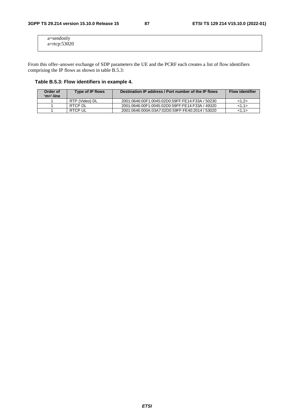| a=sendonly   |  |  |
|--------------|--|--|
|              |  |  |
| a=rtcp:53020 |  |  |
|              |  |  |
|              |  |  |
|              |  |  |

From this offer–answer exchange of SDP parameters the UE and the PCRF each creates a list of flow identifiers comprising the IP flows as shown in table B.5.3:

#### **Table B.5.3: Flow identifiers in example 4.**

| Order of<br>'m='-line | Type of IP flows | Destination IP address / Port number of the IP flows | <b>Flow identifier</b> |
|-----------------------|------------------|------------------------------------------------------|------------------------|
|                       | RTP (Video) DL   | 2001:0646:00F1:0045:02D0:59FF:FE14:F33A / 50230      | <1.2>                  |
|                       | RTCP DL          | 2001:0646:00F1:0045:02D0:59FF:FE14:F33A / 49320      | <1.1>                  |
|                       | RTCP UL          | 2001:0646:000A:03A7:02D0:59FF:FE40:2014 / 53020      | <1.1>                  |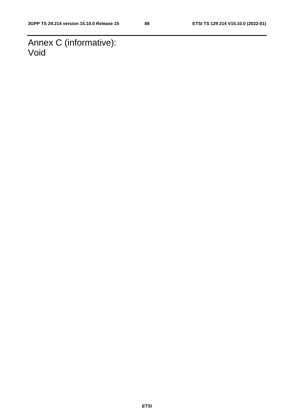Annex C (informative): Void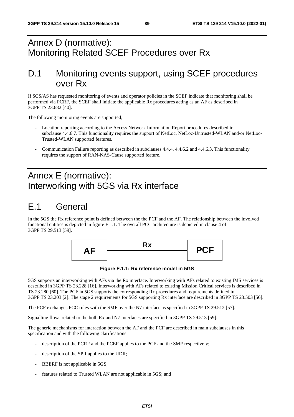# Annex D (normative): Monitoring Related SCEF Procedures over Rx

## D.1 Monitoring events support, using SCEF procedures over Rx

If SCS/AS has requested monitoring of events and operator policies in the SCEF indicate that monitoring shall be performed via PCRF, the SCEF shall initiate the applicable Rx procedures acting as an AF as described in 3GPP TS 23.682 [40].

The following monitoring events are supported;

- Location reporting according to the Access Network Information Report procedures described in subclause 4.4.6.7. This functionality requires the support of NetLoc, NetLoc-Untrusted-WLAN and/or NetLoc-Trusted-WLAN supported features.
- Communication Failure reporting as described in subclauses 4.4.4, 4.4.6.2 and 4.4.6.3. This functionality requires the support of RAN-NAS-Cause supported feature.

# Annex E (normative): Interworking with 5GS via Rx interface

# E.1 General

In the 5GS the Rx reference point is defined between the the PCF and the AF. The relationship between the involved functional entities is depicted in figure E.1.1. The overall PCC architecture is depicted in clause 4 of 3GPP TS 29.513 [59].



**Figure E.1.1: Rx reference model in 5GS** 

5GS supports an interworking with AFs via the Rx interface. Interworking with AFs related to existing IMS services is described in 3GPP TS 23.228 [16]. Interworking with AFs related to existing Mission Critical services is described in TS 23.280 [60]. The PCF in 5GS supports the corresponding Rx procedures and requirements defined in 3GPP TS 23.203 [2]. The stage 2 requirements for 5GS supporting Rx interface are described in 3GPP TS 23.503 [56].

The PCF exchanges PCC rules with the SMF over the N7 interface as specified in 3GPP TS 29.512 [57].

Signalling flows related to the both Rx and N7 interfaces are specified in 3GPP TS 29.513 [59].

The generic mechanisms for interaction between the AF and the PCF are described in main subclauses in this specification and with the following clarifications:

- description of the PCRF and the PCEF applies to the PCF and the SMF respectively;
- description of the SPR applies to the UDR;
- BBERF is not applicable in 5GS;
- features related to Trusted WLAN are not applicable in 5GS; and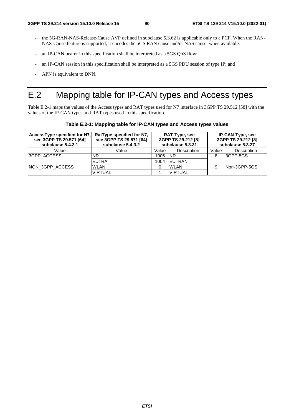- the 5G-RAN-NAS-Release-Cause AVP defined in subclause 5.3.62 is applicable only to a PCF. When the RAN-NAS-Cause feature is supported, it encodes the 5GS RAN cause and/or NAS cause, when available.
- an IP-CAN bearer in this specification shall be interpreted as a 5GS QoS flow;
- an IP-CAN session in this specification shall be interpreted as a 5GS PDU session of type IP; and
- APN is equivalent to DNN.

# E.2 Mapping table for IP-CAN types and Access types

Table E.2-1 maps the values of the Access types and RAT types used for N7 interface in 3GPP TS 29.512 [58] with the values of the IP-CAN types and RAT types used in this specification.

**Table E.2-1: Mapping table for IP-CAN types and Access types values** 

| AccessType specified for N7,<br>see 3GPP TS 29.571 [64]<br>subclause 5.4.3.1 | RatType specified for N7.<br>see 3GPP TS 29.571 [64]<br>subclause 5.4.3.2 | RAT-Type, see<br>3GPP TS 29.212 [8]<br>subclause 5.3.31 |                    | <b>IP-CAN-Type, see</b><br>3GPP TS 29.212 [8]<br>subclause 5.3.27 |                    |
|------------------------------------------------------------------------------|---------------------------------------------------------------------------|---------------------------------------------------------|--------------------|-------------------------------------------------------------------|--------------------|
| Value                                                                        | Value                                                                     | Value                                                   | <b>Description</b> | Value                                                             | <b>Description</b> |
| 3GPP_ACCESS                                                                  | <b>NR</b>                                                                 | 1006                                                    | <b>INR</b>         | 8                                                                 | 3GPP-5GS           |
|                                                                              | <b>IEUTRA</b>                                                             | 1004                                                    | <b>IEUTRAN</b>     |                                                                   |                    |
| NON 3GPP ACCESS                                                              | <b>WLAN</b>                                                               |                                                         | <b>WLAN</b>        | 9                                                                 | INon-3GPP-5GS      |
|                                                                              | <b>VIRTUAL</b>                                                            |                                                         | <b>VIRTUAL</b>     |                                                                   |                    |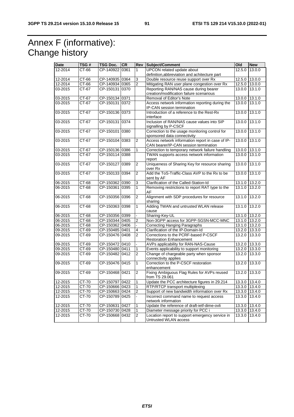# Annex F (informative): Change history

| <b>UPCON</b> related update about<br>12-2014<br>CT-66<br>CP-140922<br>0361<br>$\mathbf{1}$<br>12.5.0<br>13.0.0<br>definition, abbreviation and achitecture part<br>Double resource reuse support over Rx<br>12-2014<br>CT-66<br>CP-140935 0364<br>3<br>12.5.0<br>13.0.0<br>Mitigating RAN user plane congestion over Rx<br>12-2014<br>CT-66<br>CP-140934 0365<br>$\overline{2}$<br>12.5.0 13.0.0<br>Reporting RAN/NAS cause during bearer<br>03-2015<br>CT-67<br>CP-150131 0370<br>13.0.0 13.1.0<br>creation/modification failure scenarious<br>03-2015<br>CT-67<br>CP-150134 0371<br>Removal of Editor's Note<br>13.0.0<br>13.1.0<br>Access network information reporting during the<br>03-2015<br>CT-67<br>CP-150131 0372<br>13.0.0 13.1.0<br>IP-CAN session termination<br>CP-150136 0373<br>13.1.0<br>03-2015<br>CT-67<br>Introduction of a reference to the Rest-Rx<br>13.0.0<br>interface<br>0374<br>03-2015<br>CT-67<br>CP-150131<br>Inclusion of RAN/NAS cause values into SIP<br>13.0.0<br>13.1.0<br>signalling by P-CSCF<br>03-2015<br>CT-67<br>CP-150101 0380<br>Correction to the usage monitoring control for<br>13.0.0 13.1.0<br>sponsored data connectivity<br>Access network information report in case of IP-<br>03-2015<br>CT-67<br>CP-150104 0383<br>13.0.0<br>13.1.0<br>2<br>CAN bearer/IP-CAN session termination<br>03-2015<br>CT-67<br>CP-150136<br>0386<br>Correction to temporary network failure handling<br>13.0.0 13.1.0<br>1<br>03-2015<br>CT-67<br>CP-150114 0388<br>TWAN supports access network information<br>13.0.0 13.1.0<br>report<br>Uniqueness of Sharing Key for resource sharing<br>03-2015<br>CT-67<br>CP-150127<br>0389<br>13.0.0<br>13.1.0<br>2<br>over Rx<br>Add the ToS-Traffic-Class AVP to the Rx to be<br>03-2015<br>CT-67<br>$\overline{2}$<br>13.1.0<br>CP-150133 0394<br>13.0.0<br>sent by AF<br>Clarification of the Called-Station-Id<br>06-2015<br>CT-68<br>0390<br>13.1.0 13.2.0<br>CP-150362<br>3<br>06-2015<br>CT-68<br>CP-150361 0395<br>Removing restrictions to report RAT type to the<br>1<br>13.1.0 13.2.0<br>AF<br>Alignment with SDP procedures for resource<br>06-2015<br>CT-68<br>CP-150356 0396<br>13.2.0<br>2<br>13.1.0<br>sharing<br>Adding TWAN and untrusted WLAN release<br>06-2015<br>CT-68<br>1<br>13.2.0<br>CP-150363 0398<br>13.1.0<br>cause<br>Sharing-Key-UL<br>CT-68<br>CP-150356 0399<br>13.1.0 13.2.0<br>÷.<br>06-2015<br>CT-68<br>CP-150344 0405<br>2<br>Non-3GPP access for 3GPP-SGSN-MCC-MNC<br>13.1.0 13.2.0<br>CP-150362 0406<br>06-2015<br>CT-68<br><b>Correcting Hanging Paragraphs</b><br>13.1.0 13.2.0<br>CP-150485 0401<br>4<br>Clarification of the IP-Domain-Id<br>09-2015<br>CT-69<br>13.2.0 13.3.0<br>Corrections to the PCRF-based P-CSCF<br>09-2015<br>CP-150476 0408<br>CT-69<br>2<br>13.2.0<br>13.3.0<br><b>Restoration Enhancement</b><br>CT-69<br>CP-150472 0410<br>AVPs applicability for RAN-NAS-Cause<br>13.2.0 13.3.0<br>09-2015<br>09-2015<br>CT-69<br>CP-150480 0411<br>Events applicability to support monitoring<br>13.2.0 13.3.0<br>1<br>Change of chargeable party when sponsor<br>09-2015<br>CT-69<br>CP-150482 0412<br>$\overline{2}$<br>13.2.0<br>13.3.0<br>connectivity applies<br>09-2015<br>$CT-69$<br>CP-150476 0415<br>Correction to the P-CSCF restoration<br>13.3.0<br>1<br>13.2.0<br>enhancement<br>Fixing Ambiguous Flag Rules for AVPs reused<br>$\overline{2}$<br>13.2.0 13.3.0<br>09-2015<br>CT-69<br>CP-150468 0421<br>from TS 29.061<br>CT-70<br>CP-150797 0422<br>Update the PCC architecture figures in 29.214<br>13.3.0 13.4.0<br>12-2015<br>1<br>CT-70<br>CP-150666 0423<br>RTP/RTCP transport multiplexing<br>13.3.0 13.4.0<br>1<br>CT-70<br>CP-150663 0424<br>2<br>12-2015<br>Support of new bandwidth information over Rx<br>13.3.0 13.4.0<br>CP-150789 0425<br>Incorrect command name to request access<br>12-2015<br>CT-70<br>13.3.0 13.4.0<br>network information<br>Update the reference of draft-ietf-dime-ovli<br>CT-70<br>CP-150631 0427<br>13.3.0 13.4.0<br>12-2015<br>1<br>Diameter message priority for PCC i<br>12-2015<br>CT-70<br>CP-150730 0428<br>13.3.0 13.4.0<br>1 | Date    | TSG# | TSG Doc. | <b>CR</b> | Rev | Subject/Comment<br>Old |  | <b>New</b> |
|----------------------------------------------------------------------------------------------------------------------------------------------------------------------------------------------------------------------------------------------------------------------------------------------------------------------------------------------------------------------------------------------------------------------------------------------------------------------------------------------------------------------------------------------------------------------------------------------------------------------------------------------------------------------------------------------------------------------------------------------------------------------------------------------------------------------------------------------------------------------------------------------------------------------------------------------------------------------------------------------------------------------------------------------------------------------------------------------------------------------------------------------------------------------------------------------------------------------------------------------------------------------------------------------------------------------------------------------------------------------------------------------------------------------------------------------------------------------------------------------------------------------------------------------------------------------------------------------------------------------------------------------------------------------------------------------------------------------------------------------------------------------------------------------------------------------------------------------------------------------------------------------------------------------------------------------------------------------------------------------------------------------------------------------------------------------------------------------------------------------------------------------------------------------------------------------------------------------------------------------------------------------------------------------------------------------------------------------------------------------------------------------------------------------------------------------------------------------------------------------------------------------------------------------------------------------------------------------------------------------------------------------------------------------------------------------------------------------------------------------------------------------------------------------------------------------------------------------------------------------------------------------------------------------------------------------------------------------------------------------------------------------------------------------------------------------------------------------------------------------------------------------------------------------------------------------------------------------------------------------------------------------------------------------------------------------------------------------------------------------------------------------------------------------------------------------------------------------------------------------------------------------------------------------------------------------------------------------------------------------------------------------------------------------------------------------------------------------------------------------------------------------------------------------------------------------------------------------------------------------------------------------------------------------------------------------------------------------------------------------------------------------------------------------------------------------------------------------------------------------------|---------|------|----------|-----------|-----|------------------------|--|------------|
|                                                                                                                                                                                                                                                                                                                                                                                                                                                                                                                                                                                                                                                                                                                                                                                                                                                                                                                                                                                                                                                                                                                                                                                                                                                                                                                                                                                                                                                                                                                                                                                                                                                                                                                                                                                                                                                                                                                                                                                                                                                                                                                                                                                                                                                                                                                                                                                                                                                                                                                                                                                                                                                                                                                                                                                                                                                                                                                                                                                                                                                                                                                                                                                                                                                                                                                                                                                                                                                                                                                                                                                                                                                                                                                                                                                                                                                                                                                                                                                                                                                                                                                            |         |      |          |           |     |                        |  |            |
|                                                                                                                                                                                                                                                                                                                                                                                                                                                                                                                                                                                                                                                                                                                                                                                                                                                                                                                                                                                                                                                                                                                                                                                                                                                                                                                                                                                                                                                                                                                                                                                                                                                                                                                                                                                                                                                                                                                                                                                                                                                                                                                                                                                                                                                                                                                                                                                                                                                                                                                                                                                                                                                                                                                                                                                                                                                                                                                                                                                                                                                                                                                                                                                                                                                                                                                                                                                                                                                                                                                                                                                                                                                                                                                                                                                                                                                                                                                                                                                                                                                                                                                            |         |      |          |           |     |                        |  |            |
|                                                                                                                                                                                                                                                                                                                                                                                                                                                                                                                                                                                                                                                                                                                                                                                                                                                                                                                                                                                                                                                                                                                                                                                                                                                                                                                                                                                                                                                                                                                                                                                                                                                                                                                                                                                                                                                                                                                                                                                                                                                                                                                                                                                                                                                                                                                                                                                                                                                                                                                                                                                                                                                                                                                                                                                                                                                                                                                                                                                                                                                                                                                                                                                                                                                                                                                                                                                                                                                                                                                                                                                                                                                                                                                                                                                                                                                                                                                                                                                                                                                                                                                            |         |      |          |           |     |                        |  |            |
|                                                                                                                                                                                                                                                                                                                                                                                                                                                                                                                                                                                                                                                                                                                                                                                                                                                                                                                                                                                                                                                                                                                                                                                                                                                                                                                                                                                                                                                                                                                                                                                                                                                                                                                                                                                                                                                                                                                                                                                                                                                                                                                                                                                                                                                                                                                                                                                                                                                                                                                                                                                                                                                                                                                                                                                                                                                                                                                                                                                                                                                                                                                                                                                                                                                                                                                                                                                                                                                                                                                                                                                                                                                                                                                                                                                                                                                                                                                                                                                                                                                                                                                            |         |      |          |           |     |                        |  |            |
|                                                                                                                                                                                                                                                                                                                                                                                                                                                                                                                                                                                                                                                                                                                                                                                                                                                                                                                                                                                                                                                                                                                                                                                                                                                                                                                                                                                                                                                                                                                                                                                                                                                                                                                                                                                                                                                                                                                                                                                                                                                                                                                                                                                                                                                                                                                                                                                                                                                                                                                                                                                                                                                                                                                                                                                                                                                                                                                                                                                                                                                                                                                                                                                                                                                                                                                                                                                                                                                                                                                                                                                                                                                                                                                                                                                                                                                                                                                                                                                                                                                                                                                            |         |      |          |           |     |                        |  |            |
|                                                                                                                                                                                                                                                                                                                                                                                                                                                                                                                                                                                                                                                                                                                                                                                                                                                                                                                                                                                                                                                                                                                                                                                                                                                                                                                                                                                                                                                                                                                                                                                                                                                                                                                                                                                                                                                                                                                                                                                                                                                                                                                                                                                                                                                                                                                                                                                                                                                                                                                                                                                                                                                                                                                                                                                                                                                                                                                                                                                                                                                                                                                                                                                                                                                                                                                                                                                                                                                                                                                                                                                                                                                                                                                                                                                                                                                                                                                                                                                                                                                                                                                            |         |      |          |           |     |                        |  |            |
|                                                                                                                                                                                                                                                                                                                                                                                                                                                                                                                                                                                                                                                                                                                                                                                                                                                                                                                                                                                                                                                                                                                                                                                                                                                                                                                                                                                                                                                                                                                                                                                                                                                                                                                                                                                                                                                                                                                                                                                                                                                                                                                                                                                                                                                                                                                                                                                                                                                                                                                                                                                                                                                                                                                                                                                                                                                                                                                                                                                                                                                                                                                                                                                                                                                                                                                                                                                                                                                                                                                                                                                                                                                                                                                                                                                                                                                                                                                                                                                                                                                                                                                            |         |      |          |           |     |                        |  |            |
|                                                                                                                                                                                                                                                                                                                                                                                                                                                                                                                                                                                                                                                                                                                                                                                                                                                                                                                                                                                                                                                                                                                                                                                                                                                                                                                                                                                                                                                                                                                                                                                                                                                                                                                                                                                                                                                                                                                                                                                                                                                                                                                                                                                                                                                                                                                                                                                                                                                                                                                                                                                                                                                                                                                                                                                                                                                                                                                                                                                                                                                                                                                                                                                                                                                                                                                                                                                                                                                                                                                                                                                                                                                                                                                                                                                                                                                                                                                                                                                                                                                                                                                            |         |      |          |           |     |                        |  |            |
|                                                                                                                                                                                                                                                                                                                                                                                                                                                                                                                                                                                                                                                                                                                                                                                                                                                                                                                                                                                                                                                                                                                                                                                                                                                                                                                                                                                                                                                                                                                                                                                                                                                                                                                                                                                                                                                                                                                                                                                                                                                                                                                                                                                                                                                                                                                                                                                                                                                                                                                                                                                                                                                                                                                                                                                                                                                                                                                                                                                                                                                                                                                                                                                                                                                                                                                                                                                                                                                                                                                                                                                                                                                                                                                                                                                                                                                                                                                                                                                                                                                                                                                            |         |      |          |           |     |                        |  |            |
|                                                                                                                                                                                                                                                                                                                                                                                                                                                                                                                                                                                                                                                                                                                                                                                                                                                                                                                                                                                                                                                                                                                                                                                                                                                                                                                                                                                                                                                                                                                                                                                                                                                                                                                                                                                                                                                                                                                                                                                                                                                                                                                                                                                                                                                                                                                                                                                                                                                                                                                                                                                                                                                                                                                                                                                                                                                                                                                                                                                                                                                                                                                                                                                                                                                                                                                                                                                                                                                                                                                                                                                                                                                                                                                                                                                                                                                                                                                                                                                                                                                                                                                            |         |      |          |           |     |                        |  |            |
|                                                                                                                                                                                                                                                                                                                                                                                                                                                                                                                                                                                                                                                                                                                                                                                                                                                                                                                                                                                                                                                                                                                                                                                                                                                                                                                                                                                                                                                                                                                                                                                                                                                                                                                                                                                                                                                                                                                                                                                                                                                                                                                                                                                                                                                                                                                                                                                                                                                                                                                                                                                                                                                                                                                                                                                                                                                                                                                                                                                                                                                                                                                                                                                                                                                                                                                                                                                                                                                                                                                                                                                                                                                                                                                                                                                                                                                                                                                                                                                                                                                                                                                            |         |      |          |           |     |                        |  |            |
|                                                                                                                                                                                                                                                                                                                                                                                                                                                                                                                                                                                                                                                                                                                                                                                                                                                                                                                                                                                                                                                                                                                                                                                                                                                                                                                                                                                                                                                                                                                                                                                                                                                                                                                                                                                                                                                                                                                                                                                                                                                                                                                                                                                                                                                                                                                                                                                                                                                                                                                                                                                                                                                                                                                                                                                                                                                                                                                                                                                                                                                                                                                                                                                                                                                                                                                                                                                                                                                                                                                                                                                                                                                                                                                                                                                                                                                                                                                                                                                                                                                                                                                            |         |      |          |           |     |                        |  |            |
|                                                                                                                                                                                                                                                                                                                                                                                                                                                                                                                                                                                                                                                                                                                                                                                                                                                                                                                                                                                                                                                                                                                                                                                                                                                                                                                                                                                                                                                                                                                                                                                                                                                                                                                                                                                                                                                                                                                                                                                                                                                                                                                                                                                                                                                                                                                                                                                                                                                                                                                                                                                                                                                                                                                                                                                                                                                                                                                                                                                                                                                                                                                                                                                                                                                                                                                                                                                                                                                                                                                                                                                                                                                                                                                                                                                                                                                                                                                                                                                                                                                                                                                            |         |      |          |           |     |                        |  |            |
|                                                                                                                                                                                                                                                                                                                                                                                                                                                                                                                                                                                                                                                                                                                                                                                                                                                                                                                                                                                                                                                                                                                                                                                                                                                                                                                                                                                                                                                                                                                                                                                                                                                                                                                                                                                                                                                                                                                                                                                                                                                                                                                                                                                                                                                                                                                                                                                                                                                                                                                                                                                                                                                                                                                                                                                                                                                                                                                                                                                                                                                                                                                                                                                                                                                                                                                                                                                                                                                                                                                                                                                                                                                                                                                                                                                                                                                                                                                                                                                                                                                                                                                            |         |      |          |           |     |                        |  |            |
|                                                                                                                                                                                                                                                                                                                                                                                                                                                                                                                                                                                                                                                                                                                                                                                                                                                                                                                                                                                                                                                                                                                                                                                                                                                                                                                                                                                                                                                                                                                                                                                                                                                                                                                                                                                                                                                                                                                                                                                                                                                                                                                                                                                                                                                                                                                                                                                                                                                                                                                                                                                                                                                                                                                                                                                                                                                                                                                                                                                                                                                                                                                                                                                                                                                                                                                                                                                                                                                                                                                                                                                                                                                                                                                                                                                                                                                                                                                                                                                                                                                                                                                            |         |      |          |           |     |                        |  |            |
|                                                                                                                                                                                                                                                                                                                                                                                                                                                                                                                                                                                                                                                                                                                                                                                                                                                                                                                                                                                                                                                                                                                                                                                                                                                                                                                                                                                                                                                                                                                                                                                                                                                                                                                                                                                                                                                                                                                                                                                                                                                                                                                                                                                                                                                                                                                                                                                                                                                                                                                                                                                                                                                                                                                                                                                                                                                                                                                                                                                                                                                                                                                                                                                                                                                                                                                                                                                                                                                                                                                                                                                                                                                                                                                                                                                                                                                                                                                                                                                                                                                                                                                            |         |      |          |           |     |                        |  |            |
|                                                                                                                                                                                                                                                                                                                                                                                                                                                                                                                                                                                                                                                                                                                                                                                                                                                                                                                                                                                                                                                                                                                                                                                                                                                                                                                                                                                                                                                                                                                                                                                                                                                                                                                                                                                                                                                                                                                                                                                                                                                                                                                                                                                                                                                                                                                                                                                                                                                                                                                                                                                                                                                                                                                                                                                                                                                                                                                                                                                                                                                                                                                                                                                                                                                                                                                                                                                                                                                                                                                                                                                                                                                                                                                                                                                                                                                                                                                                                                                                                                                                                                                            |         |      |          |           |     |                        |  |            |
|                                                                                                                                                                                                                                                                                                                                                                                                                                                                                                                                                                                                                                                                                                                                                                                                                                                                                                                                                                                                                                                                                                                                                                                                                                                                                                                                                                                                                                                                                                                                                                                                                                                                                                                                                                                                                                                                                                                                                                                                                                                                                                                                                                                                                                                                                                                                                                                                                                                                                                                                                                                                                                                                                                                                                                                                                                                                                                                                                                                                                                                                                                                                                                                                                                                                                                                                                                                                                                                                                                                                                                                                                                                                                                                                                                                                                                                                                                                                                                                                                                                                                                                            |         |      |          |           |     |                        |  |            |
|                                                                                                                                                                                                                                                                                                                                                                                                                                                                                                                                                                                                                                                                                                                                                                                                                                                                                                                                                                                                                                                                                                                                                                                                                                                                                                                                                                                                                                                                                                                                                                                                                                                                                                                                                                                                                                                                                                                                                                                                                                                                                                                                                                                                                                                                                                                                                                                                                                                                                                                                                                                                                                                                                                                                                                                                                                                                                                                                                                                                                                                                                                                                                                                                                                                                                                                                                                                                                                                                                                                                                                                                                                                                                                                                                                                                                                                                                                                                                                                                                                                                                                                            |         |      |          |           |     |                        |  |            |
|                                                                                                                                                                                                                                                                                                                                                                                                                                                                                                                                                                                                                                                                                                                                                                                                                                                                                                                                                                                                                                                                                                                                                                                                                                                                                                                                                                                                                                                                                                                                                                                                                                                                                                                                                                                                                                                                                                                                                                                                                                                                                                                                                                                                                                                                                                                                                                                                                                                                                                                                                                                                                                                                                                                                                                                                                                                                                                                                                                                                                                                                                                                                                                                                                                                                                                                                                                                                                                                                                                                                                                                                                                                                                                                                                                                                                                                                                                                                                                                                                                                                                                                            |         |      |          |           |     |                        |  |            |
|                                                                                                                                                                                                                                                                                                                                                                                                                                                                                                                                                                                                                                                                                                                                                                                                                                                                                                                                                                                                                                                                                                                                                                                                                                                                                                                                                                                                                                                                                                                                                                                                                                                                                                                                                                                                                                                                                                                                                                                                                                                                                                                                                                                                                                                                                                                                                                                                                                                                                                                                                                                                                                                                                                                                                                                                                                                                                                                                                                                                                                                                                                                                                                                                                                                                                                                                                                                                                                                                                                                                                                                                                                                                                                                                                                                                                                                                                                                                                                                                                                                                                                                            |         |      |          |           |     |                        |  |            |
|                                                                                                                                                                                                                                                                                                                                                                                                                                                                                                                                                                                                                                                                                                                                                                                                                                                                                                                                                                                                                                                                                                                                                                                                                                                                                                                                                                                                                                                                                                                                                                                                                                                                                                                                                                                                                                                                                                                                                                                                                                                                                                                                                                                                                                                                                                                                                                                                                                                                                                                                                                                                                                                                                                                                                                                                                                                                                                                                                                                                                                                                                                                                                                                                                                                                                                                                                                                                                                                                                                                                                                                                                                                                                                                                                                                                                                                                                                                                                                                                                                                                                                                            |         |      |          |           |     |                        |  |            |
|                                                                                                                                                                                                                                                                                                                                                                                                                                                                                                                                                                                                                                                                                                                                                                                                                                                                                                                                                                                                                                                                                                                                                                                                                                                                                                                                                                                                                                                                                                                                                                                                                                                                                                                                                                                                                                                                                                                                                                                                                                                                                                                                                                                                                                                                                                                                                                                                                                                                                                                                                                                                                                                                                                                                                                                                                                                                                                                                                                                                                                                                                                                                                                                                                                                                                                                                                                                                                                                                                                                                                                                                                                                                                                                                                                                                                                                                                                                                                                                                                                                                                                                            |         |      |          |           |     |                        |  |            |
|                                                                                                                                                                                                                                                                                                                                                                                                                                                                                                                                                                                                                                                                                                                                                                                                                                                                                                                                                                                                                                                                                                                                                                                                                                                                                                                                                                                                                                                                                                                                                                                                                                                                                                                                                                                                                                                                                                                                                                                                                                                                                                                                                                                                                                                                                                                                                                                                                                                                                                                                                                                                                                                                                                                                                                                                                                                                                                                                                                                                                                                                                                                                                                                                                                                                                                                                                                                                                                                                                                                                                                                                                                                                                                                                                                                                                                                                                                                                                                                                                                                                                                                            |         |      |          |           |     |                        |  |            |
|                                                                                                                                                                                                                                                                                                                                                                                                                                                                                                                                                                                                                                                                                                                                                                                                                                                                                                                                                                                                                                                                                                                                                                                                                                                                                                                                                                                                                                                                                                                                                                                                                                                                                                                                                                                                                                                                                                                                                                                                                                                                                                                                                                                                                                                                                                                                                                                                                                                                                                                                                                                                                                                                                                                                                                                                                                                                                                                                                                                                                                                                                                                                                                                                                                                                                                                                                                                                                                                                                                                                                                                                                                                                                                                                                                                                                                                                                                                                                                                                                                                                                                                            |         |      |          |           |     |                        |  |            |
|                                                                                                                                                                                                                                                                                                                                                                                                                                                                                                                                                                                                                                                                                                                                                                                                                                                                                                                                                                                                                                                                                                                                                                                                                                                                                                                                                                                                                                                                                                                                                                                                                                                                                                                                                                                                                                                                                                                                                                                                                                                                                                                                                                                                                                                                                                                                                                                                                                                                                                                                                                                                                                                                                                                                                                                                                                                                                                                                                                                                                                                                                                                                                                                                                                                                                                                                                                                                                                                                                                                                                                                                                                                                                                                                                                                                                                                                                                                                                                                                                                                                                                                            |         |      |          |           |     |                        |  |            |
|                                                                                                                                                                                                                                                                                                                                                                                                                                                                                                                                                                                                                                                                                                                                                                                                                                                                                                                                                                                                                                                                                                                                                                                                                                                                                                                                                                                                                                                                                                                                                                                                                                                                                                                                                                                                                                                                                                                                                                                                                                                                                                                                                                                                                                                                                                                                                                                                                                                                                                                                                                                                                                                                                                                                                                                                                                                                                                                                                                                                                                                                                                                                                                                                                                                                                                                                                                                                                                                                                                                                                                                                                                                                                                                                                                                                                                                                                                                                                                                                                                                                                                                            |         |      |          |           |     |                        |  |            |
|                                                                                                                                                                                                                                                                                                                                                                                                                                                                                                                                                                                                                                                                                                                                                                                                                                                                                                                                                                                                                                                                                                                                                                                                                                                                                                                                                                                                                                                                                                                                                                                                                                                                                                                                                                                                                                                                                                                                                                                                                                                                                                                                                                                                                                                                                                                                                                                                                                                                                                                                                                                                                                                                                                                                                                                                                                                                                                                                                                                                                                                                                                                                                                                                                                                                                                                                                                                                                                                                                                                                                                                                                                                                                                                                                                                                                                                                                                                                                                                                                                                                                                                            |         |      |          |           |     |                        |  |            |
|                                                                                                                                                                                                                                                                                                                                                                                                                                                                                                                                                                                                                                                                                                                                                                                                                                                                                                                                                                                                                                                                                                                                                                                                                                                                                                                                                                                                                                                                                                                                                                                                                                                                                                                                                                                                                                                                                                                                                                                                                                                                                                                                                                                                                                                                                                                                                                                                                                                                                                                                                                                                                                                                                                                                                                                                                                                                                                                                                                                                                                                                                                                                                                                                                                                                                                                                                                                                                                                                                                                                                                                                                                                                                                                                                                                                                                                                                                                                                                                                                                                                                                                            | 06-2015 |      |          |           |     |                        |  |            |
|                                                                                                                                                                                                                                                                                                                                                                                                                                                                                                                                                                                                                                                                                                                                                                                                                                                                                                                                                                                                                                                                                                                                                                                                                                                                                                                                                                                                                                                                                                                                                                                                                                                                                                                                                                                                                                                                                                                                                                                                                                                                                                                                                                                                                                                                                                                                                                                                                                                                                                                                                                                                                                                                                                                                                                                                                                                                                                                                                                                                                                                                                                                                                                                                                                                                                                                                                                                                                                                                                                                                                                                                                                                                                                                                                                                                                                                                                                                                                                                                                                                                                                                            |         |      |          |           |     |                        |  |            |
|                                                                                                                                                                                                                                                                                                                                                                                                                                                                                                                                                                                                                                                                                                                                                                                                                                                                                                                                                                                                                                                                                                                                                                                                                                                                                                                                                                                                                                                                                                                                                                                                                                                                                                                                                                                                                                                                                                                                                                                                                                                                                                                                                                                                                                                                                                                                                                                                                                                                                                                                                                                                                                                                                                                                                                                                                                                                                                                                                                                                                                                                                                                                                                                                                                                                                                                                                                                                                                                                                                                                                                                                                                                                                                                                                                                                                                                                                                                                                                                                                                                                                                                            |         |      |          |           |     |                        |  |            |
|                                                                                                                                                                                                                                                                                                                                                                                                                                                                                                                                                                                                                                                                                                                                                                                                                                                                                                                                                                                                                                                                                                                                                                                                                                                                                                                                                                                                                                                                                                                                                                                                                                                                                                                                                                                                                                                                                                                                                                                                                                                                                                                                                                                                                                                                                                                                                                                                                                                                                                                                                                                                                                                                                                                                                                                                                                                                                                                                                                                                                                                                                                                                                                                                                                                                                                                                                                                                                                                                                                                                                                                                                                                                                                                                                                                                                                                                                                                                                                                                                                                                                                                            |         |      |          |           |     |                        |  |            |
|                                                                                                                                                                                                                                                                                                                                                                                                                                                                                                                                                                                                                                                                                                                                                                                                                                                                                                                                                                                                                                                                                                                                                                                                                                                                                                                                                                                                                                                                                                                                                                                                                                                                                                                                                                                                                                                                                                                                                                                                                                                                                                                                                                                                                                                                                                                                                                                                                                                                                                                                                                                                                                                                                                                                                                                                                                                                                                                                                                                                                                                                                                                                                                                                                                                                                                                                                                                                                                                                                                                                                                                                                                                                                                                                                                                                                                                                                                                                                                                                                                                                                                                            |         |      |          |           |     |                        |  |            |
|                                                                                                                                                                                                                                                                                                                                                                                                                                                                                                                                                                                                                                                                                                                                                                                                                                                                                                                                                                                                                                                                                                                                                                                                                                                                                                                                                                                                                                                                                                                                                                                                                                                                                                                                                                                                                                                                                                                                                                                                                                                                                                                                                                                                                                                                                                                                                                                                                                                                                                                                                                                                                                                                                                                                                                                                                                                                                                                                                                                                                                                                                                                                                                                                                                                                                                                                                                                                                                                                                                                                                                                                                                                                                                                                                                                                                                                                                                                                                                                                                                                                                                                            |         |      |          |           |     |                        |  |            |
|                                                                                                                                                                                                                                                                                                                                                                                                                                                                                                                                                                                                                                                                                                                                                                                                                                                                                                                                                                                                                                                                                                                                                                                                                                                                                                                                                                                                                                                                                                                                                                                                                                                                                                                                                                                                                                                                                                                                                                                                                                                                                                                                                                                                                                                                                                                                                                                                                                                                                                                                                                                                                                                                                                                                                                                                                                                                                                                                                                                                                                                                                                                                                                                                                                                                                                                                                                                                                                                                                                                                                                                                                                                                                                                                                                                                                                                                                                                                                                                                                                                                                                                            |         |      |          |           |     |                        |  |            |
|                                                                                                                                                                                                                                                                                                                                                                                                                                                                                                                                                                                                                                                                                                                                                                                                                                                                                                                                                                                                                                                                                                                                                                                                                                                                                                                                                                                                                                                                                                                                                                                                                                                                                                                                                                                                                                                                                                                                                                                                                                                                                                                                                                                                                                                                                                                                                                                                                                                                                                                                                                                                                                                                                                                                                                                                                                                                                                                                                                                                                                                                                                                                                                                                                                                                                                                                                                                                                                                                                                                                                                                                                                                                                                                                                                                                                                                                                                                                                                                                                                                                                                                            |         |      |          |           |     |                        |  |            |
|                                                                                                                                                                                                                                                                                                                                                                                                                                                                                                                                                                                                                                                                                                                                                                                                                                                                                                                                                                                                                                                                                                                                                                                                                                                                                                                                                                                                                                                                                                                                                                                                                                                                                                                                                                                                                                                                                                                                                                                                                                                                                                                                                                                                                                                                                                                                                                                                                                                                                                                                                                                                                                                                                                                                                                                                                                                                                                                                                                                                                                                                                                                                                                                                                                                                                                                                                                                                                                                                                                                                                                                                                                                                                                                                                                                                                                                                                                                                                                                                                                                                                                                            |         |      |          |           |     |                        |  |            |
|                                                                                                                                                                                                                                                                                                                                                                                                                                                                                                                                                                                                                                                                                                                                                                                                                                                                                                                                                                                                                                                                                                                                                                                                                                                                                                                                                                                                                                                                                                                                                                                                                                                                                                                                                                                                                                                                                                                                                                                                                                                                                                                                                                                                                                                                                                                                                                                                                                                                                                                                                                                                                                                                                                                                                                                                                                                                                                                                                                                                                                                                                                                                                                                                                                                                                                                                                                                                                                                                                                                                                                                                                                                                                                                                                                                                                                                                                                                                                                                                                                                                                                                            |         |      |          |           |     |                        |  |            |
|                                                                                                                                                                                                                                                                                                                                                                                                                                                                                                                                                                                                                                                                                                                                                                                                                                                                                                                                                                                                                                                                                                                                                                                                                                                                                                                                                                                                                                                                                                                                                                                                                                                                                                                                                                                                                                                                                                                                                                                                                                                                                                                                                                                                                                                                                                                                                                                                                                                                                                                                                                                                                                                                                                                                                                                                                                                                                                                                                                                                                                                                                                                                                                                                                                                                                                                                                                                                                                                                                                                                                                                                                                                                                                                                                                                                                                                                                                                                                                                                                                                                                                                            |         |      |          |           |     |                        |  |            |
|                                                                                                                                                                                                                                                                                                                                                                                                                                                                                                                                                                                                                                                                                                                                                                                                                                                                                                                                                                                                                                                                                                                                                                                                                                                                                                                                                                                                                                                                                                                                                                                                                                                                                                                                                                                                                                                                                                                                                                                                                                                                                                                                                                                                                                                                                                                                                                                                                                                                                                                                                                                                                                                                                                                                                                                                                                                                                                                                                                                                                                                                                                                                                                                                                                                                                                                                                                                                                                                                                                                                                                                                                                                                                                                                                                                                                                                                                                                                                                                                                                                                                                                            |         |      |          |           |     |                        |  |            |
|                                                                                                                                                                                                                                                                                                                                                                                                                                                                                                                                                                                                                                                                                                                                                                                                                                                                                                                                                                                                                                                                                                                                                                                                                                                                                                                                                                                                                                                                                                                                                                                                                                                                                                                                                                                                                                                                                                                                                                                                                                                                                                                                                                                                                                                                                                                                                                                                                                                                                                                                                                                                                                                                                                                                                                                                                                                                                                                                                                                                                                                                                                                                                                                                                                                                                                                                                                                                                                                                                                                                                                                                                                                                                                                                                                                                                                                                                                                                                                                                                                                                                                                            |         |      |          |           |     |                        |  |            |
|                                                                                                                                                                                                                                                                                                                                                                                                                                                                                                                                                                                                                                                                                                                                                                                                                                                                                                                                                                                                                                                                                                                                                                                                                                                                                                                                                                                                                                                                                                                                                                                                                                                                                                                                                                                                                                                                                                                                                                                                                                                                                                                                                                                                                                                                                                                                                                                                                                                                                                                                                                                                                                                                                                                                                                                                                                                                                                                                                                                                                                                                                                                                                                                                                                                                                                                                                                                                                                                                                                                                                                                                                                                                                                                                                                                                                                                                                                                                                                                                                                                                                                                            |         |      |          |           |     |                        |  |            |
|                                                                                                                                                                                                                                                                                                                                                                                                                                                                                                                                                                                                                                                                                                                                                                                                                                                                                                                                                                                                                                                                                                                                                                                                                                                                                                                                                                                                                                                                                                                                                                                                                                                                                                                                                                                                                                                                                                                                                                                                                                                                                                                                                                                                                                                                                                                                                                                                                                                                                                                                                                                                                                                                                                                                                                                                                                                                                                                                                                                                                                                                                                                                                                                                                                                                                                                                                                                                                                                                                                                                                                                                                                                                                                                                                                                                                                                                                                                                                                                                                                                                                                                            | 12-2015 |      |          |           |     |                        |  |            |
|                                                                                                                                                                                                                                                                                                                                                                                                                                                                                                                                                                                                                                                                                                                                                                                                                                                                                                                                                                                                                                                                                                                                                                                                                                                                                                                                                                                                                                                                                                                                                                                                                                                                                                                                                                                                                                                                                                                                                                                                                                                                                                                                                                                                                                                                                                                                                                                                                                                                                                                                                                                                                                                                                                                                                                                                                                                                                                                                                                                                                                                                                                                                                                                                                                                                                                                                                                                                                                                                                                                                                                                                                                                                                                                                                                                                                                                                                                                                                                                                                                                                                                                            |         |      |          |           |     |                        |  |            |
|                                                                                                                                                                                                                                                                                                                                                                                                                                                                                                                                                                                                                                                                                                                                                                                                                                                                                                                                                                                                                                                                                                                                                                                                                                                                                                                                                                                                                                                                                                                                                                                                                                                                                                                                                                                                                                                                                                                                                                                                                                                                                                                                                                                                                                                                                                                                                                                                                                                                                                                                                                                                                                                                                                                                                                                                                                                                                                                                                                                                                                                                                                                                                                                                                                                                                                                                                                                                                                                                                                                                                                                                                                                                                                                                                                                                                                                                                                                                                                                                                                                                                                                            |         |      |          |           |     |                        |  |            |
|                                                                                                                                                                                                                                                                                                                                                                                                                                                                                                                                                                                                                                                                                                                                                                                                                                                                                                                                                                                                                                                                                                                                                                                                                                                                                                                                                                                                                                                                                                                                                                                                                                                                                                                                                                                                                                                                                                                                                                                                                                                                                                                                                                                                                                                                                                                                                                                                                                                                                                                                                                                                                                                                                                                                                                                                                                                                                                                                                                                                                                                                                                                                                                                                                                                                                                                                                                                                                                                                                                                                                                                                                                                                                                                                                                                                                                                                                                                                                                                                                                                                                                                            |         |      |          |           |     |                        |  |            |
|                                                                                                                                                                                                                                                                                                                                                                                                                                                                                                                                                                                                                                                                                                                                                                                                                                                                                                                                                                                                                                                                                                                                                                                                                                                                                                                                                                                                                                                                                                                                                                                                                                                                                                                                                                                                                                                                                                                                                                                                                                                                                                                                                                                                                                                                                                                                                                                                                                                                                                                                                                                                                                                                                                                                                                                                                                                                                                                                                                                                                                                                                                                                                                                                                                                                                                                                                                                                                                                                                                                                                                                                                                                                                                                                                                                                                                                                                                                                                                                                                                                                                                                            |         |      |          |           |     |                        |  |            |
|                                                                                                                                                                                                                                                                                                                                                                                                                                                                                                                                                                                                                                                                                                                                                                                                                                                                                                                                                                                                                                                                                                                                                                                                                                                                                                                                                                                                                                                                                                                                                                                                                                                                                                                                                                                                                                                                                                                                                                                                                                                                                                                                                                                                                                                                                                                                                                                                                                                                                                                                                                                                                                                                                                                                                                                                                                                                                                                                                                                                                                                                                                                                                                                                                                                                                                                                                                                                                                                                                                                                                                                                                                                                                                                                                                                                                                                                                                                                                                                                                                                                                                                            |         |      |          |           |     |                        |  |            |
| 12-2015<br>CT-70<br>Location report to support emergency service in<br>CP-150668 0432<br>2<br>13.3.0 13.4.0<br>Untrusted WLAN access                                                                                                                                                                                                                                                                                                                                                                                                                                                                                                                                                                                                                                                                                                                                                                                                                                                                                                                                                                                                                                                                                                                                                                                                                                                                                                                                                                                                                                                                                                                                                                                                                                                                                                                                                                                                                                                                                                                                                                                                                                                                                                                                                                                                                                                                                                                                                                                                                                                                                                                                                                                                                                                                                                                                                                                                                                                                                                                                                                                                                                                                                                                                                                                                                                                                                                                                                                                                                                                                                                                                                                                                                                                                                                                                                                                                                                                                                                                                                                                       |         |      |          |           |     |                        |  |            |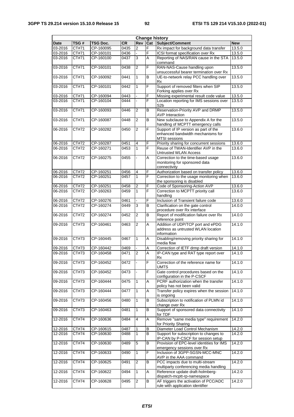| <b>Change history</b> |                    |                 |                   |                         |                |                                                                                                   |            |
|-----------------------|--------------------|-----------------|-------------------|-------------------------|----------------|---------------------------------------------------------------------------------------------------|------------|
| <b>Date</b>           | TSG#               | <b>TSG Doc.</b> | CR                | Rev                     | Cat            | Subject/Comment                                                                                   | <b>New</b> |
| $03 - 2016$           | CT#71              | CP-160095       | 0435              | $\overline{2}$          | F              | Rx impact for background data transfer                                                            | 13.5.0     |
| 03-2016               | CT#71              | CP-160101       | $\overline{04}36$ |                         | F              | ICSI format specification over Rx                                                                 | 13.5.0     |
| 03-2016               | CT#71              | CP-160100       | 0437              | 3                       | A              | Reporting of NAS/RAN cause in the STA<br>command                                                  | 13.5.0     |
| 03-2016               | $\overline{CT#71}$ | CP-160101       | 0438              | $\overline{2}$          | F              | RAN-NAS-Cause handling upon<br>unsuccessful bearer termination over Rx                            | 13.5.0     |
| 03-2016               | CT#71              | CP-160092       | 0441              | $\mathbf{1}$            | B              | UE-to-network relay PCC handling over<br>Rx                                                       | 13.5.0     |
| 03-2016               | CT#71              | CP-160101       | 0442              | 1                       | F              | Support of removed filters when SIP<br>Forking applies over Rx                                    | 13.5.0     |
| 03-2016               | CT#71              | CP-160094       | 0443              |                         | F              | Missing experimental result code value                                                            | 13.5.0     |
| 03-2016               | $\overline{CT#71}$ | CP-160104       | 0444              |                         | F              | Location reporting for IMS sessions over<br>S <sub>2</sub> b                                      | 13.5.0     |
| 03-2016               | CT#71              | CP-160093       | 0446              | $\overline{2}$          | B              | Reservation-Priority AVP and DRMP<br><b>AVP</b> Interaction                                       | 13.5.0     |
| 03-2016               | CT#71              | CP-160087       | 0448              | $\overline{2}$          | $\overline{B}$ | New subclause to Appendix A for the<br>handling of MCPTT emergency calls                          | 13.5.0     |
| 06-2016               | <b>CT#72</b>       | CP-160282       | 0450              | $\overline{2}$          | $\overline{F}$ | Support of IP version as part of the<br>enhanced bandwidth mechanisms for<br><b>MTSI</b> sessions | 13.6.0     |
| 06-2016               | CT#72              | CP-160287       | 0451              | 4                       | F              | Priority sharing for concurrent sessions                                                          | 13.6.0     |
| 06-2016               | CT#72              | CP-160271       | 0453              | 1                       | F              | Reuse of TWAN-Identifier AVP in the<br><b>Untrusted WLAN Access</b>                               | 13.6.0     |
| 06-2016               | CT#72              | CP-160275       | 0455              |                         | A              | Correction to the time-based usage<br>monitoring for sponsored data<br>connectivity               | 13.6.0     |
| 06-2016               | CT#72              | CP-160251       | 0456              | $\overline{\mathbf{4}}$ | F              | Authorization based on transfer policy                                                            | 13.6.0     |
| 06-2016               | CT#72              | CP-160251       | 0457              | 1                       | F              | Correction to the usage monitoring when<br>the sponsoring is disabled                             | 13.6.0     |
| 06-2016               | CT#72              | CP-160251       | 0458              | $\mathbf 2$             | F              | Code of Sponsoring-Action AVP                                                                     | 13.6.0     |
| 06-2016               | CT#72              | CP-160263       | 0459              | $\overline{1}$          | F              | Correction to MCPTT priority call<br>handling                                                     | 13.6.0     |
| 06-2016               | CT#72              | CP-160276       | 0461              |                         | F              | Inclusion of Transient failure code                                                               | 13.6.0     |
| $06 - 2016$           | CT#72              | CP-160274       | 0449              | 3                       | B              | Clarification on the gate control<br>procedure over Rx interface                                  | 14.0.0     |
| 06-2016               | CT#72              | CP-160274       | 0452              | $\overline{2}$          | B              | Report of modification failure over Rx<br>reference point                                         | 14.0.0     |
| 09-2016               | CT#73              | CP-160461       | 0463              | $\overline{c}$          | A              | Addition of UDP/TCP port and ePDG<br>address as untrusted WLAN location<br>information            | 14.1.0     |
| 09-2016               | CT#73              | CP-160445       | 0467              | $\mathbf{1}$            | A              | Disabling/removing priority sharing for<br>media flow                                             | 14.1.0     |
| 09-2016               | CT#73              | CP-160442       | 0469              |                         | Α              | Correction of IETF drmp draft version                                                             | 14.1.0     |
| 09-2016               | CT#73              | CP-160458       | 0471              | $\overline{2}$          | A              | IP-CAN type and RAT type report over<br>КX                                                        | 14.1.0     |
| 09-2016               | CT#73              | CP-160452       | 0472              |                         | F              | Correction of the reference name for<br>UMTS                                                      | 14.1.0     |
| 09-2016               | CT#73              | CP-160452       | 0473              |                         | F              | Gate control procedures based on the<br>configuration in the P-CSCF                               | 14.1.0     |
| 09-2016               | CT#73              | CP-160444       | 0475              | $\mathbf{1}$            | Α              | PCRF authorization when the transfer<br>policy has not been valid                                 | 14.1.0     |
| 09-2016               | CT#73              | CP-160444       | 0477              | 1                       | Α              | Transfer policy expires when the session<br>is ongoing                                            | 14.1.0     |
| 09-2016               | CT#73              | CP-160456       | 0480              | 1                       | B              | Subscription to notification of PLMN id<br>change over Rx                                         | 14.1.0     |
| 09-2016               | CT#73              | CP-160463       | 0481              | $\mathbf{1}$            | B              | Support of sponsored data connectivity<br>for TDF                                                 | 14.1.0     |
| 12-2016               | CT#74              | CP-160636       | 0484              | 4                       | Α              | Remove "same media type" requirement<br>for Priority Sharing                                      | 14.2.0     |
| 12-2016               | CT#74              | CP-160615       | 0487              | 1                       | В              | Diameter Load Control Mechanism                                                                   | 14.2.0     |
| 12-2016               | CT#74              | CP-160630       | 0488              | 1                       | В              | Support for subscription to changes to<br>IP-CAN by P-CSCF for session setup                      | 14.2.0     |
| 12-2016               | CT#74              | CP-160630       | 0489              | $\overline{5}$          | $\overline{B}$ | Provision of EPC-level identities for IMS<br>emergency sessions over Rx                           | 14.2.0     |
| 12-2016               | CT#74              | CP-160633       | 0490              | $\mathbf{1}$            | F              | Inclusion of 3GPP-SGSN-MCC-MNC<br>AVP in the AAA command                                          | 14.2.0     |
| 12-2016               | CT#74              | CP-160625       | 0491              | $\overline{2}$          | B              | PCC impacts due to multi-stream<br>multiparty conferencing media handling                         | 14.2.0     |
| 12-2016               | CT#74              | CP-160622       | 0494              | $\mathbf{1}$            | A              | Reference update draft-holmberg-<br>dispatch-mcptt-rp-namespace                                   | 14.2.0     |
| 12-2016               | CT#74              | CP-160628       | 0495              | $\overline{c}$          | B              | AF triggers the activation of PCC/ADC<br>rule with application identifier                         | 14.2.0     |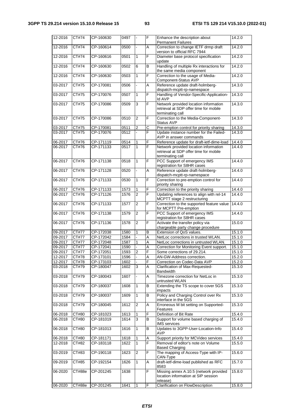| 12-2016     | CT#74  | CP-160630              | 0497 | $\blacksquare$   | F | Enhance the description about<br><b>Permanent Failures</b>                                          | 14.2.0 |
|-------------|--------|------------------------|------|------------------|---|-----------------------------------------------------------------------------------------------------|--------|
| 12-2016     | CT#74  | CP-160614              | 0500 | $\blacksquare$   | A | Correction to change IETF drmp draft<br>version to official RFC 7944                                | 14.2.0 |
| 12-2016     | CT#74  | CP-160616              | 0501 | $\mathbf{1}$     | F | Diameter base protocol specification<br>update                                                      | 14.2.0 |
| 12-2016     | CT#74  | CP-160630              | 0502 | 6                | B | Handling of multiple Rx interactions for<br>the same media component                                | 14.2.0 |
| 12-2016     | CT#74  | CP-160630              | 0503 | $\mathbf{1}$     | F | Correction to the usage of Media-<br>Component-Status AVP                                           | 14.2.0 |
| 03-2017     | CT#75  | CP-170081              | 0506 | $\blacksquare$   | A | Reference update draft-holmberg-                                                                    | 14.3.0 |
| 03-2017     | CT#75  | CP-170076              | 0507 | $\overline{1}$   | F | dispatch-mcptt-rp-namespace<br>Handling of Vendor-Specific-Application-<br><b>Id AVP</b>            | 14.3.0 |
| 03-2017     | CT#75  | CP-170086              | 0509 | $\overline{3}$   | F | Network provided location information<br>retrieval at SDP offer time for mobile<br>terminating call | 14.3.0 |
| 03-2017     | CT#75  | CP-170086              | 0510 | $\overline{c}$   | F | Correction to the Media-Component-<br>Status AVP                                                    | 14.3.0 |
| 03-2017     | CT#75  | CP-170081              | 0511 | $\boldsymbol{2}$ | С | Pre-emption control for priority sharing                                                            | 14.3.0 |
| 03-2017     | CT#75  | CP-170076              | 0512 | ä,               | F | Update instance number for the Failed-<br>AVP in answer commands                                    | 14.3.0 |
| 06-2017     | CT#76  | CP-171119              | 0514 | 1                | F | Reference update for draft-ietf-dime-load                                                           | 14.4.0 |
| 06-2017     | CT#76  | CP-171133              | 0517 | $\mathbf{1}$     | F | Network provided location information<br>retrieval at SDP offer time for mobile                     | 14.4.0 |
| 06-2017     | CT#76  | CP-171138              | 0518 | $\mathbf{1}$     | F | terminating call<br>PCC Support of emergency IMS<br>registration for S8HR cases                     | 14.4.0 |
| 06-2017     | CT#76  | CP-171128              | 0520 |                  | A | Reference update draft-holmberg-                                                                    | 14.4.0 |
| 06-2017     | CT#76  | CP-171133              | 0530 | $\mathbf{1}$     | F | dispatch-mcptt-rp-namespace<br>Correction to pre-emption control for<br>priority sharing            | 14.4.0 |
| 06-2017     | CT#76  | CP-171133              | 1573 | 1                | F | Correction to the priority sharing                                                                  | 14.4.0 |
| 06-2017     | CT#76  | CP-171126              | 1576 | $\overline{2}$   | F | Updating references to align with rel-14                                                            | 14.4.0 |
|             |        |                        |      |                  |   | MCPTT stage 2 restructuring                                                                         |        |
| 06-2017     | CT#76  | CP-171133              | 1577 | $\overline{2}$   | F | Correction to the supported feature value<br>for MCPTT Pre-emption                                  | 14.4.0 |
| 06-2017     | CT#76  | CP-171138              | 1579 | $\overline{c}$   | F | PCC Support of emergency IMS<br>registration for S8HR cases                                         | 14.4.0 |
| 06-2017     | CT#76  | CP-171136              | 1578 | $\overline{2}$   | F | Activate the transfer policy via<br>chargeable party change procedure                               | 15.0.0 |
| 09-2017     | CT#77  | CP-172038              | 1580 | 1                | B | Extension of QoS values.                                                                            | 15.1.0 |
| 09-2017     | CT#77  | CP-172042              | 1584 |                  | A | NetLoc corrections in trusted WLAN.                                                                 | 15.1.0 |
| 09-2017     | CT#77  | CP-172048              | 1587 | $\mathbf{1}$     | A | NetLoc corrections in untrusted WLAN.                                                               | 15.1.0 |
| 09-2017     | CT#77  | CP-172041              | 1590 |                  | A | Correction for Monitoring Event support.                                                            | 15.1.0 |
| 09-2017     | CT#77  | CP-172051              | 1593 | $\overline{2}$   | F | Some corrections of 29.214.                                                                         | 15.1.0 |
| 12-2017     | CT#78  | CP-173101              | 1596 | $\overline{a}$   | A | AN-GW-Address correction.                                                                           | 15.2.0 |
| 12-2017     | CT#78  | CP-173103<br>CP-180047 | 1602 |                  | F | Correction on Codec-Data AVP                                                                        | 15.2.0 |
| 03-2018     | CT#79  |                        | 1602 | 3                | Α | Clarification of Max-Requested-<br><b>Bandwidth</b>                                                 | 15.3.0 |
| $03 - 2018$ | CT#79  | CP-180043              | 1607 | $\blacksquare$   | Α | Timezone correction for NetLoc in<br>untrusted WLAN                                                 | 15.3.0 |
| 03-2018     | CT#79  | CP-180037              | 1608 | $\mathbf{1}$     | В | Extending the TS scope to cover 5GS<br>impacts                                                      | 15.3.0 |
| 03-2018     | CT#79  | CP-180037              | 1609 | $\mathbf{1}$     | В | Policy and Charging Control over Rx<br>interface in the 5GS                                         | 15.3.0 |
| 03-2018     | CT#79  | CP-180045              | 1612 | 2                | Α | Erroneous M bit setting on Supported-<br>Features                                                   | 15.3.0 |
| 06-2018     | CT#80  | CP-181023              | 1613 | 1                | F | Definition of Bit Rate                                                                              | 15.4.0 |
| 06-2018     | CT#80  | CP-181019              | 1614 | 3                | В | Support for volume based charging of<br><b>IMS</b> services                                         | 15.4.0 |
| 06-2018     | CT#80  | CP-181013              | 1616 | $\mathbf{1}$     | B | Updates to 3GPP-User-Location-Info<br><b>AVP</b>                                                    | 15.4.0 |
| 06-2018     | CT#80  | CP-181171              | 1618 | 1                | A | Support priority for MCVideo services                                                               | 15.4.0 |
| 12-2018     | CT#82  | CP-183118              | 1622 | 1                | F | Removal of editor's note on Volume<br><b>Based Charging</b>                                         | 15.5.0 |
| 03-2019     | CT#83  | CP-190118              | 1623 | $\overline{c}$   | F | The mapping of Access-Type with IP-<br>CAN-Type                                                     | 15.6.0 |
| 09-2019     | CT#85  | CP-192154              | 1626 | 1                | Α | draft-ietf-dime-load published as RFC<br>8583                                                       | 15.7.0 |
| 06-2020     | CT#88e | CP-201245              | 1638 |                  | F | Missing annex A.10.5 (network provided<br>location information at SIP session<br>release)           | 15.8.0 |
| 06-2020     | CT#88e | CP-201245              | 1641 | 1                | F | Clarification on FlowDescription                                                                    | 15.8.0 |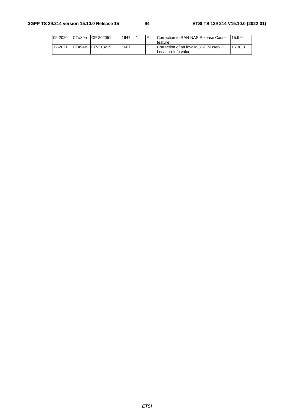| 09-2020 | CT#89e | CP-202051  | 1647 | - | Correction to RAN-NAS Release Cause<br>feature             | 15.9.0  |
|---------|--------|------------|------|---|------------------------------------------------------------|---------|
| 12-2021 | CT#94e | ICP-213215 | 1667 |   | Correction of an invalid 3GPP-User-<br>Location-Info value | 15.10.0 |